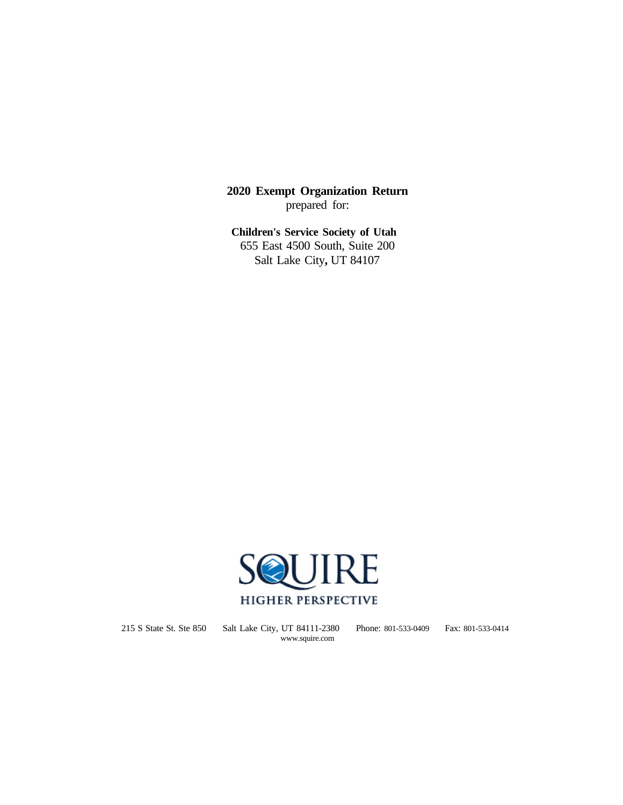**2020 Exempt Organization Return** prepared for:

 **Children's Service Society of Utah** 655 East 4500 South, Suite 200 Salt Lake City**,** UT 84107



215 S State St. Ste 850 Salt Lake City, UT 84111-2380 Phone: 801-533-0409 Fax: 801-533-0414 www.squire.com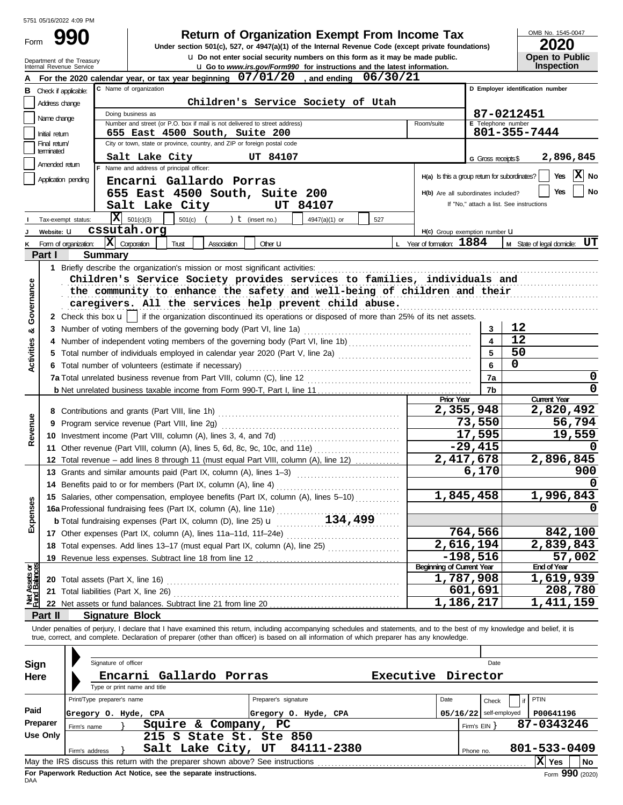| 5751 05/16/2022 4:09 PM |  |
|-------------------------|--|

Form

Department of the Treasury

# **Return of Organization Exempt From Income Tax**  $\frac{\text{OMB No. 1545-0}}{2020}$

Internal Revenue Service u **Go to** *www.irs.gov/Form990* **for instructions and the latest information. u** Do not enter social security numbers on this form as it may be made public. **Under section 501(c), 527, or 4947(a)(1) of the Internal Revenue Code (except private foundations)** OMB No. 1545-0047

| ____<br><b>Open to Public</b><br><b>Inspection</b> |  |  |  |
|----------------------------------------------------|--|--|--|
|                                                    |  |  |  |
|                                                    |  |  |  |

| в                              |                                                                                                                                                                                                                                                                                                                                                                                                                                                                                                                                                                                                                                                                                                                                                                                                                                                                                                                                                                                                                                                                                                                                                                                                                                                                                                                                                                                                                                                                                                                                                                                                                                                                                                                                                                                                                                                                                                                                                                                                                                                                                                                                                                                                                                                                                                                                                                                                                                                                                                                                                                                                                                                                                                                                                                                                                                                                                                                                                                                                                                                                                                                                                                                                                                                                                                                                                                                                                                                                                                                                                                                                                                                                                                                                                                                                                                                                                                                                                                                                                                               |                                                                                 |            |           |                          |  |
|--------------------------------|-----------------------------------------------------------------------------------------------------------------------------------------------------------------------------------------------------------------------------------------------------------------------------------------------------------------------------------------------------------------------------------------------------------------------------------------------------------------------------------------------------------------------------------------------------------------------------------------------------------------------------------------------------------------------------------------------------------------------------------------------------------------------------------------------------------------------------------------------------------------------------------------------------------------------------------------------------------------------------------------------------------------------------------------------------------------------------------------------------------------------------------------------------------------------------------------------------------------------------------------------------------------------------------------------------------------------------------------------------------------------------------------------------------------------------------------------------------------------------------------------------------------------------------------------------------------------------------------------------------------------------------------------------------------------------------------------------------------------------------------------------------------------------------------------------------------------------------------------------------------------------------------------------------------------------------------------------------------------------------------------------------------------------------------------------------------------------------------------------------------------------------------------------------------------------------------------------------------------------------------------------------------------------------------------------------------------------------------------------------------------------------------------------------------------------------------------------------------------------------------------------------------------------------------------------------------------------------------------------------------------------------------------------------------------------------------------------------------------------------------------------------------------------------------------------------------------------------------------------------------------------------------------------------------------------------------------------------------------------------------------------------------------------------------------------------------------------------------------------------------------------------------------------------------------------------------------------------------------------------------------------------------------------------------------------------------------------------------------------------------------------------------------------------------------------------------------------------------------------------------------------------------------------------------------------------------------------------------------------------------------------------------------------------------------------------------------------------------------------------------------------------------------------------------------------------------------------------------------------------------------------------------------------------------------------------------------------------------------------------------------------------------------------------------------|---------------------------------------------------------------------------------|------------|-----------|--------------------------|--|
|                                |                                                                                                                                                                                                                                                                                                                                                                                                                                                                                                                                                                                                                                                                                                                                                                                                                                                                                                                                                                                                                                                                                                                                                                                                                                                                                                                                                                                                                                                                                                                                                                                                                                                                                                                                                                                                                                                                                                                                                                                                                                                                                                                                                                                                                                                                                                                                                                                                                                                                                                                                                                                                                                                                                                                                                                                                                                                                                                                                                                                                                                                                                                                                                                                                                                                                                                                                                                                                                                                                                                                                                                                                                                                                                                                                                                                                                                                                                                                                                                                                                                               |                                                                                 |            |           |                          |  |
|                                |                                                                                                                                                                                                                                                                                                                                                                                                                                                                                                                                                                                                                                                                                                                                                                                                                                                                                                                                                                                                                                                                                                                                                                                                                                                                                                                                                                                                                                                                                                                                                                                                                                                                                                                                                                                                                                                                                                                                                                                                                                                                                                                                                                                                                                                                                                                                                                                                                                                                                                                                                                                                                                                                                                                                                                                                                                                                                                                                                                                                                                                                                                                                                                                                                                                                                                                                                                                                                                                                                                                                                                                                                                                                                                                                                                                                                                                                                                                                                                                                                                               | Doing business as                                                               |            |           |                          |  |
|                                |                                                                                                                                                                                                                                                                                                                                                                                                                                                                                                                                                                                                                                                                                                                                                                                                                                                                                                                                                                                                                                                                                                                                                                                                                                                                                                                                                                                                                                                                                                                                                                                                                                                                                                                                                                                                                                                                                                                                                                                                                                                                                                                                                                                                                                                                                                                                                                                                                                                                                                                                                                                                                                                                                                                                                                                                                                                                                                                                                                                                                                                                                                                                                                                                                                                                                                                                                                                                                                                                                                                                                                                                                                                                                                                                                                                                                                                                                                                                                                                                                                               | Number and street (or P.O. box if mail is not delivered to street address)      | Room/suite |           |                          |  |
|                                |                                                                                                                                                                                                                                                                                                                                                                                                                                                                                                                                                                                                                                                                                                                                                                                                                                                                                                                                                                                                                                                                                                                                                                                                                                                                                                                                                                                                                                                                                                                                                                                                                                                                                                                                                                                                                                                                                                                                                                                                                                                                                                                                                                                                                                                                                                                                                                                                                                                                                                                                                                                                                                                                                                                                                                                                                                                                                                                                                                                                                                                                                                                                                                                                                                                                                                                                                                                                                                                                                                                                                                                                                                                                                                                                                                                                                                                                                                                                                                                                                                               |                                                                                 |            |           |                          |  |
|                                |                                                                                                                                                                                                                                                                                                                                                                                                                                                                                                                                                                                                                                                                                                                                                                                                                                                                                                                                                                                                                                                                                                                                                                                                                                                                                                                                                                                                                                                                                                                                                                                                                                                                                                                                                                                                                                                                                                                                                                                                                                                                                                                                                                                                                                                                                                                                                                                                                                                                                                                                                                                                                                                                                                                                                                                                                                                                                                                                                                                                                                                                                                                                                                                                                                                                                                                                                                                                                                                                                                                                                                                                                                                                                                                                                                                                                                                                                                                                                                                                                                               |                                                                                 |            |           |                          |  |
|                                |                                                                                                                                                                                                                                                                                                                                                                                                                                                                                                                                                                                                                                                                                                                                                                                                                                                                                                                                                                                                                                                                                                                                                                                                                                                                                                                                                                                                                                                                                                                                                                                                                                                                                                                                                                                                                                                                                                                                                                                                                                                                                                                                                                                                                                                                                                                                                                                                                                                                                                                                                                                                                                                                                                                                                                                                                                                                                                                                                                                                                                                                                                                                                                                                                                                                                                                                                                                                                                                                                                                                                                                                                                                                                                                                                                                                                                                                                                                                                                                                                                               | Salt Lake City<br>UT 84107                                                      |            |           |                          |  |
|                                |                                                                                                                                                                                                                                                                                                                                                                                                                                                                                                                                                                                                                                                                                                                                                                                                                                                                                                                                                                                                                                                                                                                                                                                                                                                                                                                                                                                                                                                                                                                                                                                                                                                                                                                                                                                                                                                                                                                                                                                                                                                                                                                                                                                                                                                                                                                                                                                                                                                                                                                                                                                                                                                                                                                                                                                                                                                                                                                                                                                                                                                                                                                                                                                                                                                                                                                                                                                                                                                                                                                                                                                                                                                                                                                                                                                                                                                                                                                                                                                                                                               | F Name and address of principal officer:                                        |            |           |                          |  |
|                                |                                                                                                                                                                                                                                                                                                                                                                                                                                                                                                                                                                                                                                                                                                                                                                                                                                                                                                                                                                                                                                                                                                                                                                                                                                                                                                                                                                                                                                                                                                                                                                                                                                                                                                                                                                                                                                                                                                                                                                                                                                                                                                                                                                                                                                                                                                                                                                                                                                                                                                                                                                                                                                                                                                                                                                                                                                                                                                                                                                                                                                                                                                                                                                                                                                                                                                                                                                                                                                                                                                                                                                                                                                                                                                                                                                                                                                                                                                                                                                                                                                               |                                                                                 |            |           |                          |  |
|                                | inieniai ikevenue oervice<br>Cross to <i>www.ils.gov/Formato</i> for instructions and the latest information.<br><b>III</b> JUGULIUII<br>For the 2020 calendar year, or tax year beginning 07/01/20, and ending 06/30/21<br>C Name of organization<br>D Employer identification number<br>Check if applicable:<br>Children's Service Society of Utah<br>Address change<br>87-0212451<br>Name change<br>E Telephone number<br>801-355-7444<br>655 East 4500 South, Suite 200<br>Initial return<br>City or town, state or province, country, and ZIP or foreign postal code<br>Final return<br>terminated<br>2,896,845<br>G Gross receipts\$<br>Amended return<br>$ X $ No<br>Yes<br>$H(a)$ Is this a group return for subordinates? $\begin{bmatrix} \end{bmatrix}$<br>Application pending<br>Encarni Gallardo Porras<br>Yes<br>No<br>655 East 4500 South, Suite 200<br>H(b) Are all subordinates included?<br>If "No," attach a list. See instructions<br>Salt Lake City<br><b>UT 84107</b><br>$ \mathbf{X} $ 501(c)(3)<br>501(c)<br>) $t$ (insert no.)<br>4947(a)(1) or<br>Tax-exempt status:<br>527<br>cssutah.org<br>Website: U<br>H(c) Group exemption number U<br>$ \mathbf{X} $ Corporation<br>L Year of formation: $1884$<br><b>M</b> State of legal domicile: $UT$<br>Form of organization:<br>Trust<br>Other $U$<br>Association<br>Part I<br><b>Summary</b><br>1 Briefly describe the organization's mission or most significant activities:<br>Children's Service Society provides services to families, individuals and<br>the community to enhance the safety and well-being of children and their<br>caregivers. All the services help prevent child abuse.<br>2 Check this box $\mathbf{u}$   if the organization discontinued its operations or disposed of more than 25% of its net assets.<br>12<br>3<br>12<br>$\overline{\mathbf{4}}$<br>4 Number of independent voting members of the governing body (Part VI, line 1b)<br>1. Number of independent voting members of the governing body (Part VI, line 1b)<br>50<br>5<br>0<br>6<br>6 Total number of volunteers (estimate if necessary)<br>0<br>7a<br>0<br>7b<br><b>Current Year</b><br>Prior Year<br>2,355,948<br>2,820,492<br>56,794<br>73,550<br>19,559<br>17,595<br>$-29,415$<br>11 Other revenue (Part VIII, column (A), lines 5, 6d, 8c, 9c, 10c, and 11e)<br>2,417,678<br>2,896,845<br>12 Total revenue - add lines 8 through 11 (must equal Part VIII, column (A), line 12)<br>900<br>6,170<br>13 Grants and similar amounts paid (Part IX, column (A), lines 1-3)<br>1,845,458<br>1,996,843<br>15 Salaries, other compensation, employee benefits (Part IX, column (A), lines 5-10)<br>16a Professional fundraising fees (Part IX, column (A), line 11e)<br>134,499<br><b>b</b> Total fundraising expenses (Part IX, column $(D)$ , line 25) $U$<br>764,566<br>842,100<br>17 Other expenses (Part IX, column (A), lines 11a-11d, 11f-24e)<br>2,616,194<br>2,839,843<br>18 Total expenses. Add lines 13-17 (must equal Part IX, column (A), line 25)<br>$-198,516$<br>57,002<br><b>Beginning of Current Year</b><br><b>End of Year</b><br>1,787,908<br>1,619,939<br>20 Total assets (Part X, line 16)<br>208,780<br>601,691<br>21 Total liabilities (Part X, line 26)<br>1,186,217<br>1,411,159<br>Part II<br><b>Signature Block</b><br>Under penalties of perjury, I declare that I have examined this return, including accompanying schedules and statements, and to the best of my knowledge and belief, it is<br>true, correct, and complete. Declaration of preparer (other than officer) is based on all information of which preparer has any knowledge.<br>Signature of officer<br>Date<br>Sign<br>Encarni Gallardo Porras<br>Executive Director<br>Type or print name and title<br>Print/Type preparer's name<br>PTIN<br>Preparer's signature<br>Date<br>if<br>Check<br>$05/16/22$ self-employed<br>P00641196<br>Gregory O. Hyde, CPA<br>Gregory O. Hyde, CPA<br><b>Preparer</b><br>87-0343246<br>Squire & Company, PC<br>Firm's $EIN$ }<br>Firm's name |                                                                                 |            |           |                          |  |
|                                |                                                                                                                                                                                                                                                                                                                                                                                                                                                                                                                                                                                                                                                                                                                                                                                                                                                                                                                                                                                                                                                                                                                                                                                                                                                                                                                                                                                                                                                                                                                                                                                                                                                                                                                                                                                                                                                                                                                                                                                                                                                                                                                                                                                                                                                                                                                                                                                                                                                                                                                                                                                                                                                                                                                                                                                                                                                                                                                                                                                                                                                                                                                                                                                                                                                                                                                                                                                                                                                                                                                                                                                                                                                                                                                                                                                                                                                                                                                                                                                                                                               |                                                                                 |            |           |                          |  |
|                                |                                                                                                                                                                                                                                                                                                                                                                                                                                                                                                                                                                                                                                                                                                                                                                                                                                                                                                                                                                                                                                                                                                                                                                                                                                                                                                                                                                                                                                                                                                                                                                                                                                                                                                                                                                                                                                                                                                                                                                                                                                                                                                                                                                                                                                                                                                                                                                                                                                                                                                                                                                                                                                                                                                                                                                                                                                                                                                                                                                                                                                                                                                                                                                                                                                                                                                                                                                                                                                                                                                                                                                                                                                                                                                                                                                                                                                                                                                                                                                                                                                               |                                                                                 |            |           |                          |  |
|                                |                                                                                                                                                                                                                                                                                                                                                                                                                                                                                                                                                                                                                                                                                                                                                                                                                                                                                                                                                                                                                                                                                                                                                                                                                                                                                                                                                                                                                                                                                                                                                                                                                                                                                                                                                                                                                                                                                                                                                                                                                                                                                                                                                                                                                                                                                                                                                                                                                                                                                                                                                                                                                                                                                                                                                                                                                                                                                                                                                                                                                                                                                                                                                                                                                                                                                                                                                                                                                                                                                                                                                                                                                                                                                                                                                                                                                                                                                                                                                                                                                                               |                                                                                 |            |           |                          |  |
|                                |                                                                                                                                                                                                                                                                                                                                                                                                                                                                                                                                                                                                                                                                                                                                                                                                                                                                                                                                                                                                                                                                                                                                                                                                                                                                                                                                                                                                                                                                                                                                                                                                                                                                                                                                                                                                                                                                                                                                                                                                                                                                                                                                                                                                                                                                                                                                                                                                                                                                                                                                                                                                                                                                                                                                                                                                                                                                                                                                                                                                                                                                                                                                                                                                                                                                                                                                                                                                                                                                                                                                                                                                                                                                                                                                                                                                                                                                                                                                                                                                                                               |                                                                                 |            |           |                          |  |
|                                |                                                                                                                                                                                                                                                                                                                                                                                                                                                                                                                                                                                                                                                                                                                                                                                                                                                                                                                                                                                                                                                                                                                                                                                                                                                                                                                                                                                                                                                                                                                                                                                                                                                                                                                                                                                                                                                                                                                                                                                                                                                                                                                                                                                                                                                                                                                                                                                                                                                                                                                                                                                                                                                                                                                                                                                                                                                                                                                                                                                                                                                                                                                                                                                                                                                                                                                                                                                                                                                                                                                                                                                                                                                                                                                                                                                                                                                                                                                                                                                                                                               |                                                                                 |            |           |                          |  |
|                                |                                                                                                                                                                                                                                                                                                                                                                                                                                                                                                                                                                                                                                                                                                                                                                                                                                                                                                                                                                                                                                                                                                                                                                                                                                                                                                                                                                                                                                                                                                                                                                                                                                                                                                                                                                                                                                                                                                                                                                                                                                                                                                                                                                                                                                                                                                                                                                                                                                                                                                                                                                                                                                                                                                                                                                                                                                                                                                                                                                                                                                                                                                                                                                                                                                                                                                                                                                                                                                                                                                                                                                                                                                                                                                                                                                                                                                                                                                                                                                                                                                               |                                                                                 |            |           |                          |  |
|                                |                                                                                                                                                                                                                                                                                                                                                                                                                                                                                                                                                                                                                                                                                                                                                                                                                                                                                                                                                                                                                                                                                                                                                                                                                                                                                                                                                                                                                                                                                                                                                                                                                                                                                                                                                                                                                                                                                                                                                                                                                                                                                                                                                                                                                                                                                                                                                                                                                                                                                                                                                                                                                                                                                                                                                                                                                                                                                                                                                                                                                                                                                                                                                                                                                                                                                                                                                                                                                                                                                                                                                                                                                                                                                                                                                                                                                                                                                                                                                                                                                                               |                                                                                 |            |           |                          |  |
|                                |                                                                                                                                                                                                                                                                                                                                                                                                                                                                                                                                                                                                                                                                                                                                                                                                                                                                                                                                                                                                                                                                                                                                                                                                                                                                                                                                                                                                                                                                                                                                                                                                                                                                                                                                                                                                                                                                                                                                                                                                                                                                                                                                                                                                                                                                                                                                                                                                                                                                                                                                                                                                                                                                                                                                                                                                                                                                                                                                                                                                                                                                                                                                                                                                                                                                                                                                                                                                                                                                                                                                                                                                                                                                                                                                                                                                                                                                                                                                                                                                                                               |                                                                                 |            |           |                          |  |
|                                |                                                                                                                                                                                                                                                                                                                                                                                                                                                                                                                                                                                                                                                                                                                                                                                                                                                                                                                                                                                                                                                                                                                                                                                                                                                                                                                                                                                                                                                                                                                                                                                                                                                                                                                                                                                                                                                                                                                                                                                                                                                                                                                                                                                                                                                                                                                                                                                                                                                                                                                                                                                                                                                                                                                                                                                                                                                                                                                                                                                                                                                                                                                                                                                                                                                                                                                                                                                                                                                                                                                                                                                                                                                                                                                                                                                                                                                                                                                                                                                                                                               |                                                                                 |            |           |                          |  |
| Governance                     |                                                                                                                                                                                                                                                                                                                                                                                                                                                                                                                                                                                                                                                                                                                                                                                                                                                                                                                                                                                                                                                                                                                                                                                                                                                                                                                                                                                                                                                                                                                                                                                                                                                                                                                                                                                                                                                                                                                                                                                                                                                                                                                                                                                                                                                                                                                                                                                                                                                                                                                                                                                                                                                                                                                                                                                                                                                                                                                                                                                                                                                                                                                                                                                                                                                                                                                                                                                                                                                                                                                                                                                                                                                                                                                                                                                                                                                                                                                                                                                                                                               |                                                                                 |            |           |                          |  |
|                                |                                                                                                                                                                                                                                                                                                                                                                                                                                                                                                                                                                                                                                                                                                                                                                                                                                                                                                                                                                                                                                                                                                                                                                                                                                                                                                                                                                                                                                                                                                                                                                                                                                                                                                                                                                                                                                                                                                                                                                                                                                                                                                                                                                                                                                                                                                                                                                                                                                                                                                                                                                                                                                                                                                                                                                                                                                                                                                                                                                                                                                                                                                                                                                                                                                                                                                                                                                                                                                                                                                                                                                                                                                                                                                                                                                                                                                                                                                                                                                                                                                               |                                                                                 |            |           |                          |  |
|                                |                                                                                                                                                                                                                                                                                                                                                                                                                                                                                                                                                                                                                                                                                                                                                                                                                                                                                                                                                                                                                                                                                                                                                                                                                                                                                                                                                                                                                                                                                                                                                                                                                                                                                                                                                                                                                                                                                                                                                                                                                                                                                                                                                                                                                                                                                                                                                                                                                                                                                                                                                                                                                                                                                                                                                                                                                                                                                                                                                                                                                                                                                                                                                                                                                                                                                                                                                                                                                                                                                                                                                                                                                                                                                                                                                                                                                                                                                                                                                                                                                                               |                                                                                 |            |           |                          |  |
| න්                             |                                                                                                                                                                                                                                                                                                                                                                                                                                                                                                                                                                                                                                                                                                                                                                                                                                                                                                                                                                                                                                                                                                                                                                                                                                                                                                                                                                                                                                                                                                                                                                                                                                                                                                                                                                                                                                                                                                                                                                                                                                                                                                                                                                                                                                                                                                                                                                                                                                                                                                                                                                                                                                                                                                                                                                                                                                                                                                                                                                                                                                                                                                                                                                                                                                                                                                                                                                                                                                                                                                                                                                                                                                                                                                                                                                                                                                                                                                                                                                                                                                               |                                                                                 |            |           |                          |  |
|                                |                                                                                                                                                                                                                                                                                                                                                                                                                                                                                                                                                                                                                                                                                                                                                                                                                                                                                                                                                                                                                                                                                                                                                                                                                                                                                                                                                                                                                                                                                                                                                                                                                                                                                                                                                                                                                                                                                                                                                                                                                                                                                                                                                                                                                                                                                                                                                                                                                                                                                                                                                                                                                                                                                                                                                                                                                                                                                                                                                                                                                                                                                                                                                                                                                                                                                                                                                                                                                                                                                                                                                                                                                                                                                                                                                                                                                                                                                                                                                                                                                                               |                                                                                 |            |           |                          |  |
|                                |                                                                                                                                                                                                                                                                                                                                                                                                                                                                                                                                                                                                                                                                                                                                                                                                                                                                                                                                                                                                                                                                                                                                                                                                                                                                                                                                                                                                                                                                                                                                                                                                                                                                                                                                                                                                                                                                                                                                                                                                                                                                                                                                                                                                                                                                                                                                                                                                                                                                                                                                                                                                                                                                                                                                                                                                                                                                                                                                                                                                                                                                                                                                                                                                                                                                                                                                                                                                                                                                                                                                                                                                                                                                                                                                                                                                                                                                                                                                                                                                                                               |                                                                                 |            |           |                          |  |
| <b>Activities</b>              |                                                                                                                                                                                                                                                                                                                                                                                                                                                                                                                                                                                                                                                                                                                                                                                                                                                                                                                                                                                                                                                                                                                                                                                                                                                                                                                                                                                                                                                                                                                                                                                                                                                                                                                                                                                                                                                                                                                                                                                                                                                                                                                                                                                                                                                                                                                                                                                                                                                                                                                                                                                                                                                                                                                                                                                                                                                                                                                                                                                                                                                                                                                                                                                                                                                                                                                                                                                                                                                                                                                                                                                                                                                                                                                                                                                                                                                                                                                                                                                                                                               |                                                                                 |            |           |                          |  |
|                                |                                                                                                                                                                                                                                                                                                                                                                                                                                                                                                                                                                                                                                                                                                                                                                                                                                                                                                                                                                                                                                                                                                                                                                                                                                                                                                                                                                                                                                                                                                                                                                                                                                                                                                                                                                                                                                                                                                                                                                                                                                                                                                                                                                                                                                                                                                                                                                                                                                                                                                                                                                                                                                                                                                                                                                                                                                                                                                                                                                                                                                                                                                                                                                                                                                                                                                                                                                                                                                                                                                                                                                                                                                                                                                                                                                                                                                                                                                                                                                                                                                               |                                                                                 |            |           |                          |  |
|                                |                                                                                                                                                                                                                                                                                                                                                                                                                                                                                                                                                                                                                                                                                                                                                                                                                                                                                                                                                                                                                                                                                                                                                                                                                                                                                                                                                                                                                                                                                                                                                                                                                                                                                                                                                                                                                                                                                                                                                                                                                                                                                                                                                                                                                                                                                                                                                                                                                                                                                                                                                                                                                                                                                                                                                                                                                                                                                                                                                                                                                                                                                                                                                                                                                                                                                                                                                                                                                                                                                                                                                                                                                                                                                                                                                                                                                                                                                                                                                                                                                                               |                                                                                 |            |           |                          |  |
|                                |                                                                                                                                                                                                                                                                                                                                                                                                                                                                                                                                                                                                                                                                                                                                                                                                                                                                                                                                                                                                                                                                                                                                                                                                                                                                                                                                                                                                                                                                                                                                                                                                                                                                                                                                                                                                                                                                                                                                                                                                                                                                                                                                                                                                                                                                                                                                                                                                                                                                                                                                                                                                                                                                                                                                                                                                                                                                                                                                                                                                                                                                                                                                                                                                                                                                                                                                                                                                                                                                                                                                                                                                                                                                                                                                                                                                                                                                                                                                                                                                                                               |                                                                                 |            |           |                          |  |
|                                |                                                                                                                                                                                                                                                                                                                                                                                                                                                                                                                                                                                                                                                                                                                                                                                                                                                                                                                                                                                                                                                                                                                                                                                                                                                                                                                                                                                                                                                                                                                                                                                                                                                                                                                                                                                                                                                                                                                                                                                                                                                                                                                                                                                                                                                                                                                                                                                                                                                                                                                                                                                                                                                                                                                                                                                                                                                                                                                                                                                                                                                                                                                                                                                                                                                                                                                                                                                                                                                                                                                                                                                                                                                                                                                                                                                                                                                                                                                                                                                                                                               |                                                                                 |            |           |                          |  |
|                                |                                                                                                                                                                                                                                                                                                                                                                                                                                                                                                                                                                                                                                                                                                                                                                                                                                                                                                                                                                                                                                                                                                                                                                                                                                                                                                                                                                                                                                                                                                                                                                                                                                                                                                                                                                                                                                                                                                                                                                                                                                                                                                                                                                                                                                                                                                                                                                                                                                                                                                                                                                                                                                                                                                                                                                                                                                                                                                                                                                                                                                                                                                                                                                                                                                                                                                                                                                                                                                                                                                                                                                                                                                                                                                                                                                                                                                                                                                                                                                                                                                               |                                                                                 |            |           |                          |  |
| Revenue                        |                                                                                                                                                                                                                                                                                                                                                                                                                                                                                                                                                                                                                                                                                                                                                                                                                                                                                                                                                                                                                                                                                                                                                                                                                                                                                                                                                                                                                                                                                                                                                                                                                                                                                                                                                                                                                                                                                                                                                                                                                                                                                                                                                                                                                                                                                                                                                                                                                                                                                                                                                                                                                                                                                                                                                                                                                                                                                                                                                                                                                                                                                                                                                                                                                                                                                                                                                                                                                                                                                                                                                                                                                                                                                                                                                                                                                                                                                                                                                                                                                                               |                                                                                 |            |           |                          |  |
|                                |                                                                                                                                                                                                                                                                                                                                                                                                                                                                                                                                                                                                                                                                                                                                                                                                                                                                                                                                                                                                                                                                                                                                                                                                                                                                                                                                                                                                                                                                                                                                                                                                                                                                                                                                                                                                                                                                                                                                                                                                                                                                                                                                                                                                                                                                                                                                                                                                                                                                                                                                                                                                                                                                                                                                                                                                                                                                                                                                                                                                                                                                                                                                                                                                                                                                                                                                                                                                                                                                                                                                                                                                                                                                                                                                                                                                                                                                                                                                                                                                                                               |                                                                                 |            |           |                          |  |
|                                |                                                                                                                                                                                                                                                                                                                                                                                                                                                                                                                                                                                                                                                                                                                                                                                                                                                                                                                                                                                                                                                                                                                                                                                                                                                                                                                                                                                                                                                                                                                                                                                                                                                                                                                                                                                                                                                                                                                                                                                                                                                                                                                                                                                                                                                                                                                                                                                                                                                                                                                                                                                                                                                                                                                                                                                                                                                                                                                                                                                                                                                                                                                                                                                                                                                                                                                                                                                                                                                                                                                                                                                                                                                                                                                                                                                                                                                                                                                                                                                                                                               |                                                                                 |            |           |                          |  |
|                                |                                                                                                                                                                                                                                                                                                                                                                                                                                                                                                                                                                                                                                                                                                                                                                                                                                                                                                                                                                                                                                                                                                                                                                                                                                                                                                                                                                                                                                                                                                                                                                                                                                                                                                                                                                                                                                                                                                                                                                                                                                                                                                                                                                                                                                                                                                                                                                                                                                                                                                                                                                                                                                                                                                                                                                                                                                                                                                                                                                                                                                                                                                                                                                                                                                                                                                                                                                                                                                                                                                                                                                                                                                                                                                                                                                                                                                                                                                                                                                                                                                               |                                                                                 |            |           |                          |  |
|                                |                                                                                                                                                                                                                                                                                                                                                                                                                                                                                                                                                                                                                                                                                                                                                                                                                                                                                                                                                                                                                                                                                                                                                                                                                                                                                                                                                                                                                                                                                                                                                                                                                                                                                                                                                                                                                                                                                                                                                                                                                                                                                                                                                                                                                                                                                                                                                                                                                                                                                                                                                                                                                                                                                                                                                                                                                                                                                                                                                                                                                                                                                                                                                                                                                                                                                                                                                                                                                                                                                                                                                                                                                                                                                                                                                                                                                                                                                                                                                                                                                                               |                                                                                 |            |           |                          |  |
|                                |                                                                                                                                                                                                                                                                                                                                                                                                                                                                                                                                                                                                                                                                                                                                                                                                                                                                                                                                                                                                                                                                                                                                                                                                                                                                                                                                                                                                                                                                                                                                                                                                                                                                                                                                                                                                                                                                                                                                                                                                                                                                                                                                                                                                                                                                                                                                                                                                                                                                                                                                                                                                                                                                                                                                                                                                                                                                                                                                                                                                                                                                                                                                                                                                                                                                                                                                                                                                                                                                                                                                                                                                                                                                                                                                                                                                                                                                                                                                                                                                                                               |                                                                                 |            |           |                          |  |
|                                |                                                                                                                                                                                                                                                                                                                                                                                                                                                                                                                                                                                                                                                                                                                                                                                                                                                                                                                                                                                                                                                                                                                                                                                                                                                                                                                                                                                                                                                                                                                                                                                                                                                                                                                                                                                                                                                                                                                                                                                                                                                                                                                                                                                                                                                                                                                                                                                                                                                                                                                                                                                                                                                                                                                                                                                                                                                                                                                                                                                                                                                                                                                                                                                                                                                                                                                                                                                                                                                                                                                                                                                                                                                                                                                                                                                                                                                                                                                                                                                                                                               |                                                                                 |            |           |                          |  |
| penses                         |                                                                                                                                                                                                                                                                                                                                                                                                                                                                                                                                                                                                                                                                                                                                                                                                                                                                                                                                                                                                                                                                                                                                                                                                                                                                                                                                                                                                                                                                                                                                                                                                                                                                                                                                                                                                                                                                                                                                                                                                                                                                                                                                                                                                                                                                                                                                                                                                                                                                                                                                                                                                                                                                                                                                                                                                                                                                                                                                                                                                                                                                                                                                                                                                                                                                                                                                                                                                                                                                                                                                                                                                                                                                                                                                                                                                                                                                                                                                                                                                                                               |                                                                                 |            |           |                          |  |
|                                |                                                                                                                                                                                                                                                                                                                                                                                                                                                                                                                                                                                                                                                                                                                                                                                                                                                                                                                                                                                                                                                                                                                                                                                                                                                                                                                                                                                                                                                                                                                                                                                                                                                                                                                                                                                                                                                                                                                                                                                                                                                                                                                                                                                                                                                                                                                                                                                                                                                                                                                                                                                                                                                                                                                                                                                                                                                                                                                                                                                                                                                                                                                                                                                                                                                                                                                                                                                                                                                                                                                                                                                                                                                                                                                                                                                                                                                                                                                                                                                                                                               |                                                                                 |            |           |                          |  |
| ă                              |                                                                                                                                                                                                                                                                                                                                                                                                                                                                                                                                                                                                                                                                                                                                                                                                                                                                                                                                                                                                                                                                                                                                                                                                                                                                                                                                                                                                                                                                                                                                                                                                                                                                                                                                                                                                                                                                                                                                                                                                                                                                                                                                                                                                                                                                                                                                                                                                                                                                                                                                                                                                                                                                                                                                                                                                                                                                                                                                                                                                                                                                                                                                                                                                                                                                                                                                                                                                                                                                                                                                                                                                                                                                                                                                                                                                                                                                                                                                                                                                                                               |                                                                                 |            |           |                          |  |
|                                |                                                                                                                                                                                                                                                                                                                                                                                                                                                                                                                                                                                                                                                                                                                                                                                                                                                                                                                                                                                                                                                                                                                                                                                                                                                                                                                                                                                                                                                                                                                                                                                                                                                                                                                                                                                                                                                                                                                                                                                                                                                                                                                                                                                                                                                                                                                                                                                                                                                                                                                                                                                                                                                                                                                                                                                                                                                                                                                                                                                                                                                                                                                                                                                                                                                                                                                                                                                                                                                                                                                                                                                                                                                                                                                                                                                                                                                                                                                                                                                                                                               |                                                                                 |            |           |                          |  |
|                                |                                                                                                                                                                                                                                                                                                                                                                                                                                                                                                                                                                                                                                                                                                                                                                                                                                                                                                                                                                                                                                                                                                                                                                                                                                                                                                                                                                                                                                                                                                                                                                                                                                                                                                                                                                                                                                                                                                                                                                                                                                                                                                                                                                                                                                                                                                                                                                                                                                                                                                                                                                                                                                                                                                                                                                                                                                                                                                                                                                                                                                                                                                                                                                                                                                                                                                                                                                                                                                                                                                                                                                                                                                                                                                                                                                                                                                                                                                                                                                                                                                               |                                                                                 |            |           |                          |  |
|                                |                                                                                                                                                                                                                                                                                                                                                                                                                                                                                                                                                                                                                                                                                                                                                                                                                                                                                                                                                                                                                                                                                                                                                                                                                                                                                                                                                                                                                                                                                                                                                                                                                                                                                                                                                                                                                                                                                                                                                                                                                                                                                                                                                                                                                                                                                                                                                                                                                                                                                                                                                                                                                                                                                                                                                                                                                                                                                                                                                                                                                                                                                                                                                                                                                                                                                                                                                                                                                                                                                                                                                                                                                                                                                                                                                                                                                                                                                                                                                                                                                                               |                                                                                 |            |           |                          |  |
| Net Assets or<br>Fund Balances |                                                                                                                                                                                                                                                                                                                                                                                                                                                                                                                                                                                                                                                                                                                                                                                                                                                                                                                                                                                                                                                                                                                                                                                                                                                                                                                                                                                                                                                                                                                                                                                                                                                                                                                                                                                                                                                                                                                                                                                                                                                                                                                                                                                                                                                                                                                                                                                                                                                                                                                                                                                                                                                                                                                                                                                                                                                                                                                                                                                                                                                                                                                                                                                                                                                                                                                                                                                                                                                                                                                                                                                                                                                                                                                                                                                                                                                                                                                                                                                                                                               |                                                                                 |            |           |                          |  |
|                                |                                                                                                                                                                                                                                                                                                                                                                                                                                                                                                                                                                                                                                                                                                                                                                                                                                                                                                                                                                                                                                                                                                                                                                                                                                                                                                                                                                                                                                                                                                                                                                                                                                                                                                                                                                                                                                                                                                                                                                                                                                                                                                                                                                                                                                                                                                                                                                                                                                                                                                                                                                                                                                                                                                                                                                                                                                                                                                                                                                                                                                                                                                                                                                                                                                                                                                                                                                                                                                                                                                                                                                                                                                                                                                                                                                                                                                                                                                                                                                                                                                               |                                                                                 |            |           |                          |  |
|                                |                                                                                                                                                                                                                                                                                                                                                                                                                                                                                                                                                                                                                                                                                                                                                                                                                                                                                                                                                                                                                                                                                                                                                                                                                                                                                                                                                                                                                                                                                                                                                                                                                                                                                                                                                                                                                                                                                                                                                                                                                                                                                                                                                                                                                                                                                                                                                                                                                                                                                                                                                                                                                                                                                                                                                                                                                                                                                                                                                                                                                                                                                                                                                                                                                                                                                                                                                                                                                                                                                                                                                                                                                                                                                                                                                                                                                                                                                                                                                                                                                                               |                                                                                 |            |           |                          |  |
|                                |                                                                                                                                                                                                                                                                                                                                                                                                                                                                                                                                                                                                                                                                                                                                                                                                                                                                                                                                                                                                                                                                                                                                                                                                                                                                                                                                                                                                                                                                                                                                                                                                                                                                                                                                                                                                                                                                                                                                                                                                                                                                                                                                                                                                                                                                                                                                                                                                                                                                                                                                                                                                                                                                                                                                                                                                                                                                                                                                                                                                                                                                                                                                                                                                                                                                                                                                                                                                                                                                                                                                                                                                                                                                                                                                                                                                                                                                                                                                                                                                                                               |                                                                                 |            |           |                          |  |
|                                |                                                                                                                                                                                                                                                                                                                                                                                                                                                                                                                                                                                                                                                                                                                                                                                                                                                                                                                                                                                                                                                                                                                                                                                                                                                                                                                                                                                                                                                                                                                                                                                                                                                                                                                                                                                                                                                                                                                                                                                                                                                                                                                                                                                                                                                                                                                                                                                                                                                                                                                                                                                                                                                                                                                                                                                                                                                                                                                                                                                                                                                                                                                                                                                                                                                                                                                                                                                                                                                                                                                                                                                                                                                                                                                                                                                                                                                                                                                                                                                                                                               |                                                                                 |            |           |                          |  |
|                                |                                                                                                                                                                                                                                                                                                                                                                                                                                                                                                                                                                                                                                                                                                                                                                                                                                                                                                                                                                                                                                                                                                                                                                                                                                                                                                                                                                                                                                                                                                                                                                                                                                                                                                                                                                                                                                                                                                                                                                                                                                                                                                                                                                                                                                                                                                                                                                                                                                                                                                                                                                                                                                                                                                                                                                                                                                                                                                                                                                                                                                                                                                                                                                                                                                                                                                                                                                                                                                                                                                                                                                                                                                                                                                                                                                                                                                                                                                                                                                                                                                               |                                                                                 |            |           |                          |  |
|                                |                                                                                                                                                                                                                                                                                                                                                                                                                                                                                                                                                                                                                                                                                                                                                                                                                                                                                                                                                                                                                                                                                                                                                                                                                                                                                                                                                                                                                                                                                                                                                                                                                                                                                                                                                                                                                                                                                                                                                                                                                                                                                                                                                                                                                                                                                                                                                                                                                                                                                                                                                                                                                                                                                                                                                                                                                                                                                                                                                                                                                                                                                                                                                                                                                                                                                                                                                                                                                                                                                                                                                                                                                                                                                                                                                                                                                                                                                                                                                                                                                                               |                                                                                 |            |           |                          |  |
|                                |                                                                                                                                                                                                                                                                                                                                                                                                                                                                                                                                                                                                                                                                                                                                                                                                                                                                                                                                                                                                                                                                                                                                                                                                                                                                                                                                                                                                                                                                                                                                                                                                                                                                                                                                                                                                                                                                                                                                                                                                                                                                                                                                                                                                                                                                                                                                                                                                                                                                                                                                                                                                                                                                                                                                                                                                                                                                                                                                                                                                                                                                                                                                                                                                                                                                                                                                                                                                                                                                                                                                                                                                                                                                                                                                                                                                                                                                                                                                                                                                                                               |                                                                                 |            |           |                          |  |
|                                |                                                                                                                                                                                                                                                                                                                                                                                                                                                                                                                                                                                                                                                                                                                                                                                                                                                                                                                                                                                                                                                                                                                                                                                                                                                                                                                                                                                                                                                                                                                                                                                                                                                                                                                                                                                                                                                                                                                                                                                                                                                                                                                                                                                                                                                                                                                                                                                                                                                                                                                                                                                                                                                                                                                                                                                                                                                                                                                                                                                                                                                                                                                                                                                                                                                                                                                                                                                                                                                                                                                                                                                                                                                                                                                                                                                                                                                                                                                                                                                                                                               |                                                                                 |            |           |                          |  |
|                                |                                                                                                                                                                                                                                                                                                                                                                                                                                                                                                                                                                                                                                                                                                                                                                                                                                                                                                                                                                                                                                                                                                                                                                                                                                                                                                                                                                                                                                                                                                                                                                                                                                                                                                                                                                                                                                                                                                                                                                                                                                                                                                                                                                                                                                                                                                                                                                                                                                                                                                                                                                                                                                                                                                                                                                                                                                                                                                                                                                                                                                                                                                                                                                                                                                                                                                                                                                                                                                                                                                                                                                                                                                                                                                                                                                                                                                                                                                                                                                                                                                               |                                                                                 |            |           |                          |  |
| Here                           |                                                                                                                                                                                                                                                                                                                                                                                                                                                                                                                                                                                                                                                                                                                                                                                                                                                                                                                                                                                                                                                                                                                                                                                                                                                                                                                                                                                                                                                                                                                                                                                                                                                                                                                                                                                                                                                                                                                                                                                                                                                                                                                                                                                                                                                                                                                                                                                                                                                                                                                                                                                                                                                                                                                                                                                                                                                                                                                                                                                                                                                                                                                                                                                                                                                                                                                                                                                                                                                                                                                                                                                                                                                                                                                                                                                                                                                                                                                                                                                                                                               |                                                                                 |            |           |                          |  |
|                                |                                                                                                                                                                                                                                                                                                                                                                                                                                                                                                                                                                                                                                                                                                                                                                                                                                                                                                                                                                                                                                                                                                                                                                                                                                                                                                                                                                                                                                                                                                                                                                                                                                                                                                                                                                                                                                                                                                                                                                                                                                                                                                                                                                                                                                                                                                                                                                                                                                                                                                                                                                                                                                                                                                                                                                                                                                                                                                                                                                                                                                                                                                                                                                                                                                                                                                                                                                                                                                                                                                                                                                                                                                                                                                                                                                                                                                                                                                                                                                                                                                               |                                                                                 |            |           |                          |  |
|                                |                                                                                                                                                                                                                                                                                                                                                                                                                                                                                                                                                                                                                                                                                                                                                                                                                                                                                                                                                                                                                                                                                                                                                                                                                                                                                                                                                                                                                                                                                                                                                                                                                                                                                                                                                                                                                                                                                                                                                                                                                                                                                                                                                                                                                                                                                                                                                                                                                                                                                                                                                                                                                                                                                                                                                                                                                                                                                                                                                                                                                                                                                                                                                                                                                                                                                                                                                                                                                                                                                                                                                                                                                                                                                                                                                                                                                                                                                                                                                                                                                                               |                                                                                 |            |           |                          |  |
| Paid                           |                                                                                                                                                                                                                                                                                                                                                                                                                                                                                                                                                                                                                                                                                                                                                                                                                                                                                                                                                                                                                                                                                                                                                                                                                                                                                                                                                                                                                                                                                                                                                                                                                                                                                                                                                                                                                                                                                                                                                                                                                                                                                                                                                                                                                                                                                                                                                                                                                                                                                                                                                                                                                                                                                                                                                                                                                                                                                                                                                                                                                                                                                                                                                                                                                                                                                                                                                                                                                                                                                                                                                                                                                                                                                                                                                                                                                                                                                                                                                                                                                                               |                                                                                 |            |           |                          |  |
|                                |                                                                                                                                                                                                                                                                                                                                                                                                                                                                                                                                                                                                                                                                                                                                                                                                                                                                                                                                                                                                                                                                                                                                                                                                                                                                                                                                                                                                                                                                                                                                                                                                                                                                                                                                                                                                                                                                                                                                                                                                                                                                                                                                                                                                                                                                                                                                                                                                                                                                                                                                                                                                                                                                                                                                                                                                                                                                                                                                                                                                                                                                                                                                                                                                                                                                                                                                                                                                                                                                                                                                                                                                                                                                                                                                                                                                                                                                                                                                                                                                                                               |                                                                                 |            |           |                          |  |
|                                | <b>Use Only</b>                                                                                                                                                                                                                                                                                                                                                                                                                                                                                                                                                                                                                                                                                                                                                                                                                                                                                                                                                                                                                                                                                                                                                                                                                                                                                                                                                                                                                                                                                                                                                                                                                                                                                                                                                                                                                                                                                                                                                                                                                                                                                                                                                                                                                                                                                                                                                                                                                                                                                                                                                                                                                                                                                                                                                                                                                                                                                                                                                                                                                                                                                                                                                                                                                                                                                                                                                                                                                                                                                                                                                                                                                                                                                                                                                                                                                                                                                                                                                                                                                               | 215 S State St. Ste 850                                                         |            |           |                          |  |
|                                |                                                                                                                                                                                                                                                                                                                                                                                                                                                                                                                                                                                                                                                                                                                                                                                                                                                                                                                                                                                                                                                                                                                                                                                                                                                                                                                                                                                                                                                                                                                                                                                                                                                                                                                                                                                                                                                                                                                                                                                                                                                                                                                                                                                                                                                                                                                                                                                                                                                                                                                                                                                                                                                                                                                                                                                                                                                                                                                                                                                                                                                                                                                                                                                                                                                                                                                                                                                                                                                                                                                                                                                                                                                                                                                                                                                                                                                                                                                                                                                                                                               | Salt Lake City, UT<br>84111-2380<br>Firm's address                              |            | Phone no. | 801-533-0409             |  |
|                                |                                                                                                                                                                                                                                                                                                                                                                                                                                                                                                                                                                                                                                                                                                                                                                                                                                                                                                                                                                                                                                                                                                                                                                                                                                                                                                                                                                                                                                                                                                                                                                                                                                                                                                                                                                                                                                                                                                                                                                                                                                                                                                                                                                                                                                                                                                                                                                                                                                                                                                                                                                                                                                                                                                                                                                                                                                                                                                                                                                                                                                                                                                                                                                                                                                                                                                                                                                                                                                                                                                                                                                                                                                                                                                                                                                                                                                                                                                                                                                                                                                               | May the IRS discuss this return with the preparer shown above? See instructions |            |           | $ \mathbf{X} $ Yes<br>No |  |
|                                |                                                                                                                                                                                                                                                                                                                                                                                                                                                                                                                                                                                                                                                                                                                                                                                                                                                                                                                                                                                                                                                                                                                                                                                                                                                                                                                                                                                                                                                                                                                                                                                                                                                                                                                                                                                                                                                                                                                                                                                                                                                                                                                                                                                                                                                                                                                                                                                                                                                                                                                                                                                                                                                                                                                                                                                                                                                                                                                                                                                                                                                                                                                                                                                                                                                                                                                                                                                                                                                                                                                                                                                                                                                                                                                                                                                                                                                                                                                                                                                                                                               |                                                                                 |            |           |                          |  |

| Sign<br>Here     |             |                | Signature of officer<br>Encarni<br>Type or print name and title                                                                                                                         | Gallardo Porras                                                   |                                                     | <b>Executive</b> |  |  | Date<br>Director                                                                                 |  |    |                           |
|------------------|-------------|----------------|-----------------------------------------------------------------------------------------------------------------------------------------------------------------------------------------|-------------------------------------------------------------------|-----------------------------------------------------|------------------|--|--|--------------------------------------------------------------------------------------------------|--|----|---------------------------|
| Paid<br>Preparer | Firm's name |                | Print/Type preparer's name<br>Gregory O. Hyde, CPA                                                                                                                                      | Company,<br>Squire &                                              | Preparer's signature<br>Gregory O. Hyde, CPA<br>PC. |                  |  |  | <b>PTIN</b><br>Check<br>$05/16/22$ self-employed<br>P00641196<br>87-0343246<br>Firm's $EIN$ $\}$ |  |    |                           |
| Use Only         |             | Firm's address | 215 S State St. Ste 850<br>Salt Lake City, UT<br>84111-2380<br>801-533-0409<br>Phone no.<br>х<br>May the IRS discuss this return with the preparer shown above? See instructions<br>Yes |                                                                   |                                                     |                  |  |  |                                                                                                  |  | No |                           |
|                  |             |                |                                                                                                                                                                                         | For Panerwork Reduction Act Notice, see the senarate instructions |                                                     |                  |  |  |                                                                                                  |  |    | $F_{\text{c}}$ 990 (2020) |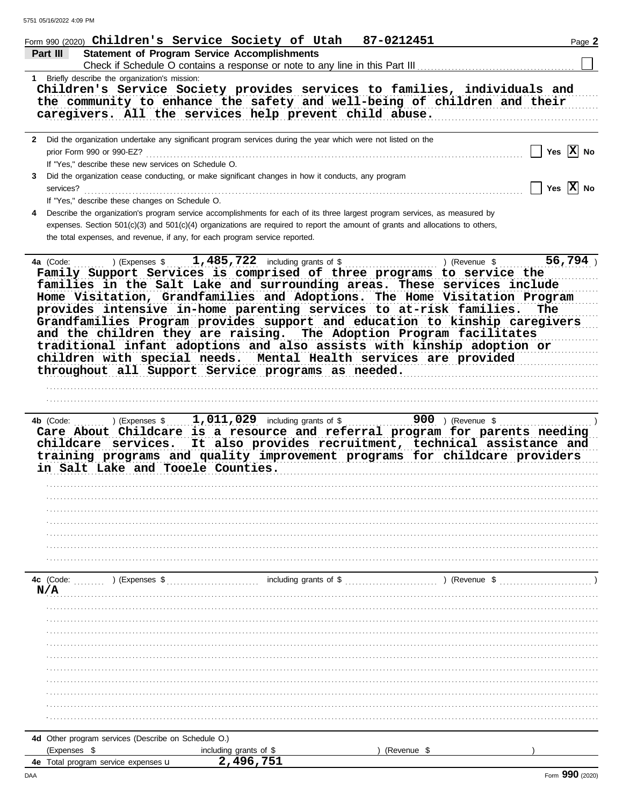| Form 990 (2020) Children's Service Society of Utah                                                                             |                                                                                                                                                                                                                                                                                                                                                                                                                                                                                                                                                                                     | 87-0212451                                            | Page 2       |
|--------------------------------------------------------------------------------------------------------------------------------|-------------------------------------------------------------------------------------------------------------------------------------------------------------------------------------------------------------------------------------------------------------------------------------------------------------------------------------------------------------------------------------------------------------------------------------------------------------------------------------------------------------------------------------------------------------------------------------|-------------------------------------------------------|--------------|
| Part III                                                                                                                       | <b>Statement of Program Service Accomplishments</b><br>Check if Schedule O contains a response or note to any line in this Part III                                                                                                                                                                                                                                                                                                                                                                                                                                                 |                                                       |              |
| 1 Briefly describe the organization's mission:                                                                                 |                                                                                                                                                                                                                                                                                                                                                                                                                                                                                                                                                                                     |                                                       |              |
|                                                                                                                                | Children's Service Society provides services to families, individuals and<br>the community to enhance the safety and well-being of children and their<br>caregivers. All the services help prevent child abuse.                                                                                                                                                                                                                                                                                                                                                                     |                                                       |              |
| prior Form 990 or 990-EZ?<br>If "Yes," describe these new services on Schedule O.                                              | 2 Did the organization undertake any significant program services during the year which were not listed on the                                                                                                                                                                                                                                                                                                                                                                                                                                                                      |                                                       | Yes $X$ No   |
| services?                                                                                                                      | 3 Did the organization cease conducting, or make significant changes in how it conducts, any program                                                                                                                                                                                                                                                                                                                                                                                                                                                                                |                                                       | Yes $ X $ No |
| If "Yes," describe these changes on Schedule O.<br>the total expenses, and revenue, if any, for each program service reported. | 4 Describe the organization's program service accomplishments for each of its three largest program services, as measured by<br>expenses. Section 501(c)(3) and 501(c)(4) organizations are required to report the amount of grants and allocations to others,                                                                                                                                                                                                                                                                                                                      |                                                       |              |
| ) (Expenses \$<br>4a (Code:                                                                                                    | 1,485,722 including grants of \$<br>Family Support Services is comprised of three programs to service the                                                                                                                                                                                                                                                                                                                                                                                                                                                                           | $rac{1}{\sqrt{2\pi}}$ (Revenue $\frac{1}{\sqrt{2}}$ ) | 56,794       |
|                                                                                                                                | families in the Salt Lake and surrounding areas. These services include<br>Home Visitation, Grandfamilies and Adoptions. The Home Visitation Program<br>provides intensive in-home parenting services to at-risk families.<br>Grandfamilies Program provides support and education to kinship caregivers<br>and the children they are raising. The Adoption Program facilitates<br>traditional infant adoptions and also assists with kinship adoption or<br>children with special needs. Mental Health services are provided<br>throughout all Support Service programs as needed. |                                                       | The          |
|                                                                                                                                |                                                                                                                                                                                                                                                                                                                                                                                                                                                                                                                                                                                     |                                                       |              |
|                                                                                                                                |                                                                                                                                                                                                                                                                                                                                                                                                                                                                                                                                                                                     |                                                       |              |
| 4b (Code:<br>childcare services.<br>in Salt Lake and Tooele Counties.                                                          | ) (Expenses $\frac{1,011,029}{1}$ including grants of $\frac{1,000}{1}$ (Revenue \$<br>Care About Childcare is a resource and referral program for parents needing<br>It also provides recruitment, technical assistance and<br>training programs and quality improvement programs for childcare providers                                                                                                                                                                                                                                                                          |                                                       |              |
|                                                                                                                                |                                                                                                                                                                                                                                                                                                                                                                                                                                                                                                                                                                                     |                                                       |              |
|                                                                                                                                |                                                                                                                                                                                                                                                                                                                                                                                                                                                                                                                                                                                     |                                                       |              |
|                                                                                                                                |                                                                                                                                                                                                                                                                                                                                                                                                                                                                                                                                                                                     |                                                       |              |
|                                                                                                                                |                                                                                                                                                                                                                                                                                                                                                                                                                                                                                                                                                                                     |                                                       |              |
|                                                                                                                                |                                                                                                                                                                                                                                                                                                                                                                                                                                                                                                                                                                                     |                                                       |              |
|                                                                                                                                |                                                                                                                                                                                                                                                                                                                                                                                                                                                                                                                                                                                     |                                                       |              |
| 4c (Code:<br>) (Expenses \$<br>N/A                                                                                             | including grants of \$                                                                                                                                                                                                                                                                                                                                                                                                                                                                                                                                                              | ) (Revenue \$                                         |              |
|                                                                                                                                |                                                                                                                                                                                                                                                                                                                                                                                                                                                                                                                                                                                     |                                                       |              |
|                                                                                                                                |                                                                                                                                                                                                                                                                                                                                                                                                                                                                                                                                                                                     |                                                       |              |
|                                                                                                                                |                                                                                                                                                                                                                                                                                                                                                                                                                                                                                                                                                                                     |                                                       |              |
|                                                                                                                                |                                                                                                                                                                                                                                                                                                                                                                                                                                                                                                                                                                                     |                                                       |              |
|                                                                                                                                |                                                                                                                                                                                                                                                                                                                                                                                                                                                                                                                                                                                     |                                                       |              |
|                                                                                                                                |                                                                                                                                                                                                                                                                                                                                                                                                                                                                                                                                                                                     |                                                       |              |
|                                                                                                                                |                                                                                                                                                                                                                                                                                                                                                                                                                                                                                                                                                                                     |                                                       |              |
|                                                                                                                                |                                                                                                                                                                                                                                                                                                                                                                                                                                                                                                                                                                                     |                                                       |              |
| 4d Other program services (Describe on Schedule O.)                                                                            |                                                                                                                                                                                                                                                                                                                                                                                                                                                                                                                                                                                     |                                                       |              |
| (Expenses \$                                                                                                                   | including grants of \$                                                                                                                                                                                                                                                                                                                                                                                                                                                                                                                                                              | (Revenue \$                                           |              |
| 4e Total program service expenses L                                                                                            | 496.751                                                                                                                                                                                                                                                                                                                                                                                                                                                                                                                                                                             |                                                       |              |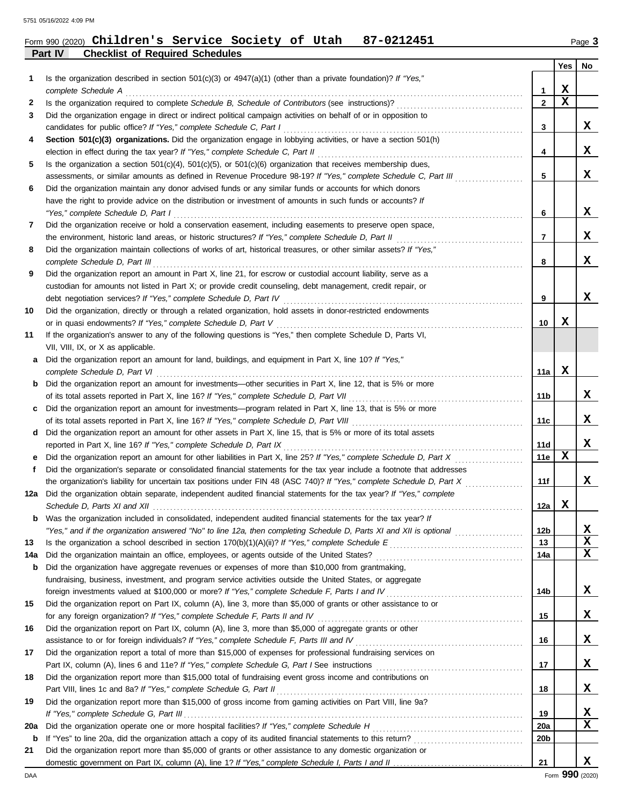**Part IV Checklist of Required Schedules**

## Form 990 (2020) Page **3 Children's Service Society of Utah 87-0212451**

|     |                                                                                                                                                                                                                                               |              | Yes         | No |
|-----|-----------------------------------------------------------------------------------------------------------------------------------------------------------------------------------------------------------------------------------------------|--------------|-------------|----|
| 1   | Is the organization described in section $501(c)(3)$ or $4947(a)(1)$ (other than a private foundation)? If "Yes,"                                                                                                                             |              |             |    |
|     | complete Schedule A                                                                                                                                                                                                                           | 1            | х           |    |
| 2   | Is the organization required to complete Schedule B, Schedule of Contributors (see instructions)?                                                                                                                                             | $\mathbf{2}$ | $\mathbf x$ |    |
| 3   | Did the organization engage in direct or indirect political campaign activities on behalf of or in opposition to                                                                                                                              |              |             |    |
|     | candidates for public office? If "Yes," complete Schedule C, Part I                                                                                                                                                                           | 3            |             | X  |
| 4   | Section 501(c)(3) organizations. Did the organization engage in lobbying activities, or have a section 501(h)                                                                                                                                 |              |             |    |
|     | election in effect during the tax year? If "Yes," complete Schedule C, Part II                                                                                                                                                                | 4            |             | x  |
| 5   | Is the organization a section $501(c)(4)$ , $501(c)(5)$ , or $501(c)(6)$ organization that receives membership dues,<br>assessments, or similar amounts as defined in Revenue Procedure 98-19? If "Yes," complete Schedule C, Part III        | 5            |             | x  |
| 6   | Did the organization maintain any donor advised funds or any similar funds or accounts for which donors                                                                                                                                       |              |             |    |
|     | have the right to provide advice on the distribution or investment of amounts in such funds or accounts? If                                                                                                                                   |              |             |    |
|     | "Yes," complete Schedule D, Part I                                                                                                                                                                                                            | 6            |             | x  |
| 7   | Did the organization receive or hold a conservation easement, including easements to preserve open space,                                                                                                                                     |              |             |    |
|     | the environment, historic land areas, or historic structures? If "Yes," complete Schedule D, Part II                                                                                                                                          | 7            |             | x  |
| 8   | Did the organization maintain collections of works of art, historical treasures, or other similar assets? If "Yes,"                                                                                                                           |              |             |    |
|     | complete Schedule D, Part III                                                                                                                                                                                                                 | 8            |             | x  |
| 9   | Did the organization report an amount in Part X, line 21, for escrow or custodial account liability, serve as a                                                                                                                               |              |             |    |
|     | custodian for amounts not listed in Part X; or provide credit counseling, debt management, credit repair, or                                                                                                                                  |              |             |    |
|     | debt negotiation services? If "Yes," complete Schedule D, Part IV                                                                                                                                                                             | 9            |             | x  |
| 10  | Did the organization, directly or through a related organization, hold assets in donor-restricted endowments                                                                                                                                  |              |             |    |
|     | or in quasi endowments? If "Yes," complete Schedule D, Part V                                                                                                                                                                                 | 10           | x           |    |
| 11  | If the organization's answer to any of the following questions is "Yes," then complete Schedule D, Parts VI,                                                                                                                                  |              |             |    |
|     | VII, VIII, IX, or X as applicable.                                                                                                                                                                                                            |              |             |    |
| а   | Did the organization report an amount for land, buildings, and equipment in Part X, line 10? If "Yes,"                                                                                                                                        |              |             |    |
|     | complete Schedule D, Part VI                                                                                                                                                                                                                  | 11a          | x           |    |
| b   | Did the organization report an amount for investments—other securities in Part X, line 12, that is 5% or more                                                                                                                                 |              |             |    |
|     | of its total assets reported in Part X, line 16? If "Yes," complete Schedule D, Part VII                                                                                                                                                      | 11b          |             | x  |
| с   | Did the organization report an amount for investments—program related in Part X, line 13, that is 5% or more                                                                                                                                  |              |             |    |
|     | of its total assets reported in Part X, line 16? If "Yes," complete Schedule D, Part VIII                                                                                                                                                     | 11c          |             | x  |
| d   | Did the organization report an amount for other assets in Part X, line 15, that is 5% or more of its total assets                                                                                                                             |              |             |    |
|     | reported in Part X, line 16? If "Yes," complete Schedule D, Part IX                                                                                                                                                                           | 11d          |             | x  |
|     | Did the organization report an amount for other liabilities in Part X, line 25? If "Yes," complete Schedule D, Part X                                                                                                                         | 11e          | X           |    |
| f   | Did the organization's separate or consolidated financial statements for the tax year include a footnote that addresses                                                                                                                       |              |             | x  |
| 12a | the organization's liability for uncertain tax positions under FIN 48 (ASC 740)? If "Yes," complete Schedule D, Part X<br>Did the organization obtain separate, independent audited financial statements for the tax year? If "Yes," complete | 11f          |             |    |
|     |                                                                                                                                                                                                                                               | 12a          | X           |    |
|     | Was the organization included in consolidated, independent audited financial statements for the tax year? If                                                                                                                                  |              |             |    |
|     | "Yes," and if the organization answered "No" to line 12a, then completing Schedule D, Parts XI and XII is optional                                                                                                                            | 12b          |             | X  |
| 13  |                                                                                                                                                                                                                                               | 13           |             | x  |
| 14a | Did the organization maintain an office, employees, or agents outside of the United States?                                                                                                                                                   | 14a          |             | x  |
| b   | Did the organization have aggregate revenues or expenses of more than \$10,000 from grantmaking,                                                                                                                                              |              |             |    |
|     | fundraising, business, investment, and program service activities outside the United States, or aggregate                                                                                                                                     |              |             |    |
|     | foreign investments valued at \$100,000 or more? If "Yes," complete Schedule F, Parts I and IV.                                                                                                                                               | 14b          |             | X. |
| 15  | Did the organization report on Part IX, column (A), line 3, more than \$5,000 of grants or other assistance to or                                                                                                                             |              |             |    |
|     | for any foreign organization? If "Yes," complete Schedule F, Parts II and IV                                                                                                                                                                  | 15           |             | X  |
| 16  | Did the organization report on Part IX, column (A), line 3, more than \$5,000 of aggregate grants or other                                                                                                                                    |              |             |    |
|     | assistance to or for foreign individuals? If "Yes," complete Schedule F, Parts III and IV [[[[[[[[[[[[[[[[[[[                                                                                                                                 | 16           |             | X  |
| 17  | Did the organization report a total of more than \$15,000 of expenses for professional fundraising services on                                                                                                                                |              |             |    |
|     |                                                                                                                                                                                                                                               | 17           |             | X  |
| 18  | Did the organization report more than \$15,000 total of fundraising event gross income and contributions on                                                                                                                                   |              |             |    |
|     | Part VIII, lines 1c and 8a? If "Yes," complete Schedule G, Part II                                                                                                                                                                            | 18           |             | x  |
| 19  | Did the organization report more than \$15,000 of gross income from gaming activities on Part VIII, line 9a?                                                                                                                                  |              |             |    |
|     |                                                                                                                                                                                                                                               | 19           |             | x  |
| 20a | Did the organization operate one or more hospital facilities? If "Yes," complete Schedule H                                                                                                                                                   | <b>20a</b>   |             | x  |
| b   |                                                                                                                                                                                                                                               | 20b          |             |    |
| 21  | Did the organization report more than \$5,000 of grants or other assistance to any domestic organization or                                                                                                                                   |              |             | X. |
|     |                                                                                                                                                                                                                                               | 21           |             |    |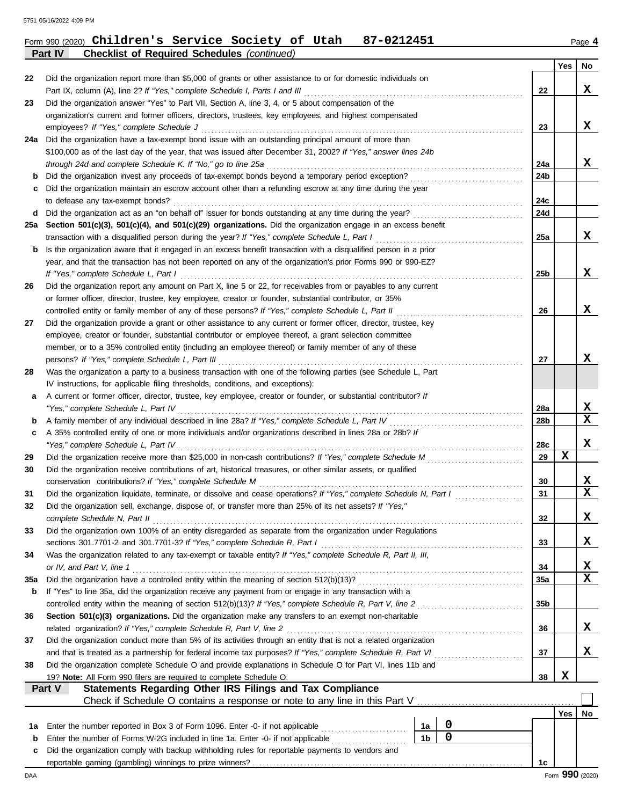#### Form 990 (2020) Page **4 Children's Service Society of Utah 87-0212451**

**Part IV Checklist of Required Schedules** *(continued)*

|          |                                                                                                                                      |                 | Yes | No |  |  |  |  |  |  |  |  |
|----------|--------------------------------------------------------------------------------------------------------------------------------------|-----------------|-----|----|--|--|--|--|--|--|--|--|
| 22       | Did the organization report more than \$5,000 of grants or other assistance to or for domestic individuals on                        |                 |     |    |  |  |  |  |  |  |  |  |
|          |                                                                                                                                      | 22              |     | X  |  |  |  |  |  |  |  |  |
| 23       | Did the organization answer "Yes" to Part VII, Section A, line 3, 4, or 5 about compensation of the                                  |                 |     |    |  |  |  |  |  |  |  |  |
|          | organization's current and former officers, directors, trustees, key employees, and highest compensated                              |                 |     |    |  |  |  |  |  |  |  |  |
|          | employees? If "Yes," complete Schedule J                                                                                             | 23              |     | X  |  |  |  |  |  |  |  |  |
| 24a      | Did the organization have a tax-exempt bond issue with an outstanding principal amount of more than                                  |                 |     |    |  |  |  |  |  |  |  |  |
|          | \$100,000 as of the last day of the year, that was issued after December 31, 2002? If "Yes," answer lines 24b                        |                 |     | X  |  |  |  |  |  |  |  |  |
|          | through 24d and complete Schedule K. If "No," go to line 25a                                                                         | 24a<br>24b      |     |    |  |  |  |  |  |  |  |  |
| b<br>c   | Did the organization maintain an escrow account other than a refunding escrow at any time during the year                            |                 |     |    |  |  |  |  |  |  |  |  |
|          | to defease any tax-exempt bonds?                                                                                                     | 24c             |     |    |  |  |  |  |  |  |  |  |
| d        |                                                                                                                                      | 24d             |     |    |  |  |  |  |  |  |  |  |
| 25a      | Section 501(c)(3), 501(c)(4), and 501(c)(29) organizations. Did the organization engage in an excess benefit                         |                 |     |    |  |  |  |  |  |  |  |  |
|          | transaction with a disqualified person during the year? If "Yes," complete Schedule L, Part I                                        |                 |     |    |  |  |  |  |  |  |  |  |
| b        | Is the organization aware that it engaged in an excess benefit transaction with a disqualified person in a prior                     | 25a             |     | x  |  |  |  |  |  |  |  |  |
|          | year, and that the transaction has not been reported on any of the organization's prior Forms 990 or 990-EZ?                         |                 |     |    |  |  |  |  |  |  |  |  |
|          | If "Yes," complete Schedule L, Part I                                                                                                | 25b             |     | X  |  |  |  |  |  |  |  |  |
| 26       | Did the organization report any amount on Part X, line 5 or 22, for receivables from or payables to any current                      |                 |     |    |  |  |  |  |  |  |  |  |
|          | or former officer, director, trustee, key employee, creator or founder, substantial contributor, or 35%                              |                 |     |    |  |  |  |  |  |  |  |  |
|          | controlled entity or family member of any of these persons? If "Yes," complete Schedule L, Part II                                   | 26              |     | x  |  |  |  |  |  |  |  |  |
| 27       | Did the organization provide a grant or other assistance to any current or former officer, director, trustee, key                    |                 |     |    |  |  |  |  |  |  |  |  |
|          | employee, creator or founder, substantial contributor or employee thereof, a grant selection committee                               |                 |     |    |  |  |  |  |  |  |  |  |
|          | member, or to a 35% controlled entity (including an employee thereof) or family member of any of these                               |                 |     |    |  |  |  |  |  |  |  |  |
|          | persons? If "Yes," complete Schedule L, Part III                                                                                     | 27              |     | x  |  |  |  |  |  |  |  |  |
| 28       | Was the organization a party to a business transaction with one of the following parties (see Schedule L, Part                       |                 |     |    |  |  |  |  |  |  |  |  |
|          | IV instructions, for applicable filing thresholds, conditions, and exceptions):                                                      |                 |     |    |  |  |  |  |  |  |  |  |
| а        | A current or former officer, director, trustee, key employee, creator or founder, or substantial contributor? If                     |                 |     |    |  |  |  |  |  |  |  |  |
|          | "Yes," complete Schedule L, Part IV                                                                                                  | 28a             |     | X  |  |  |  |  |  |  |  |  |
| b        |                                                                                                                                      | 28b             |     | X  |  |  |  |  |  |  |  |  |
| c        | A 35% controlled entity of one or more individuals and/or organizations described in lines 28a or 28b? If                            |                 |     |    |  |  |  |  |  |  |  |  |
|          | "Yes," complete Schedule L, Part IV                                                                                                  | 28c             | х   | x  |  |  |  |  |  |  |  |  |
| 29<br>30 | Did the organization receive contributions of art, historical treasures, or other similar assets, or qualified                       | 29              |     |    |  |  |  |  |  |  |  |  |
|          | conservation contributions? If "Yes," complete Schedule M                                                                            | 30              |     | x  |  |  |  |  |  |  |  |  |
| 31       |                                                                                                                                      | 31              |     | x  |  |  |  |  |  |  |  |  |
| 32       | Did the organization sell, exchange, dispose of, or transfer more than 25% of its net assets? If "Yes,"                              |                 |     |    |  |  |  |  |  |  |  |  |
|          | complete Schedule N, Part II                                                                                                         | 32              |     | х  |  |  |  |  |  |  |  |  |
| 33       | Did the organization own 100% of an entity disregarded as separate from the organization under Regulations                           |                 |     |    |  |  |  |  |  |  |  |  |
|          |                                                                                                                                      | 33              |     | X. |  |  |  |  |  |  |  |  |
| 34       | Was the organization related to any tax-exempt or taxable entity? If "Yes," complete Schedule R, Part II, III,                       |                 |     |    |  |  |  |  |  |  |  |  |
|          | or IV, and Part V, line 1                                                                                                            | 34              |     | x  |  |  |  |  |  |  |  |  |
| 35a      |                                                                                                                                      | 35a             |     | X  |  |  |  |  |  |  |  |  |
| b        | If "Yes" to line 35a, did the organization receive any payment from or engage in any transaction with a                              |                 |     |    |  |  |  |  |  |  |  |  |
|          | controlled entity within the meaning of section 512(b)(13)? If "Yes," complete Schedule R, Part V, line 2                            | 35 <sub>b</sub> |     |    |  |  |  |  |  |  |  |  |
| 36       | Section 501(c)(3) organizations. Did the organization make any transfers to an exempt non-charitable                                 |                 |     |    |  |  |  |  |  |  |  |  |
|          | related organization? If "Yes," complete Schedule R, Part V, line 2                                                                  | 36              |     | X, |  |  |  |  |  |  |  |  |
| 37       | Did the organization conduct more than 5% of its activities through an entity that is not a related organization                     |                 |     |    |  |  |  |  |  |  |  |  |
|          | and that is treated as a partnership for federal income tax purposes? If "Yes," complete Schedule R, Part VI                         | 37              |     | X, |  |  |  |  |  |  |  |  |
| 38       | Did the organization complete Schedule O and provide explanations in Schedule O for Part VI, lines 11b and                           |                 |     |    |  |  |  |  |  |  |  |  |
|          | 19? Note: All Form 990 filers are required to complete Schedule O.                                                                   | 38              | X   |    |  |  |  |  |  |  |  |  |
|          | <b>Statements Regarding Other IRS Filings and Tax Compliance</b><br>Part V                                                           |                 |     |    |  |  |  |  |  |  |  |  |
|          |                                                                                                                                      |                 | Yes |    |  |  |  |  |  |  |  |  |
| 1а       | 0<br>Enter the number reported in Box 3 of Form 1096. Enter -0- if not applicable<br>1a                                              |                 |     | No |  |  |  |  |  |  |  |  |
| b        | $\mathbf 0$<br>1 <sub>b</sub><br>Enter the number of Forms W-2G included in line 1a. Enter -0- if not applicable <i>minimization</i> |                 |     |    |  |  |  |  |  |  |  |  |
| c        | Did the organization comply with backup withholding rules for reportable payments to vendors and                                     |                 |     |    |  |  |  |  |  |  |  |  |
|          |                                                                                                                                      | 1c              |     |    |  |  |  |  |  |  |  |  |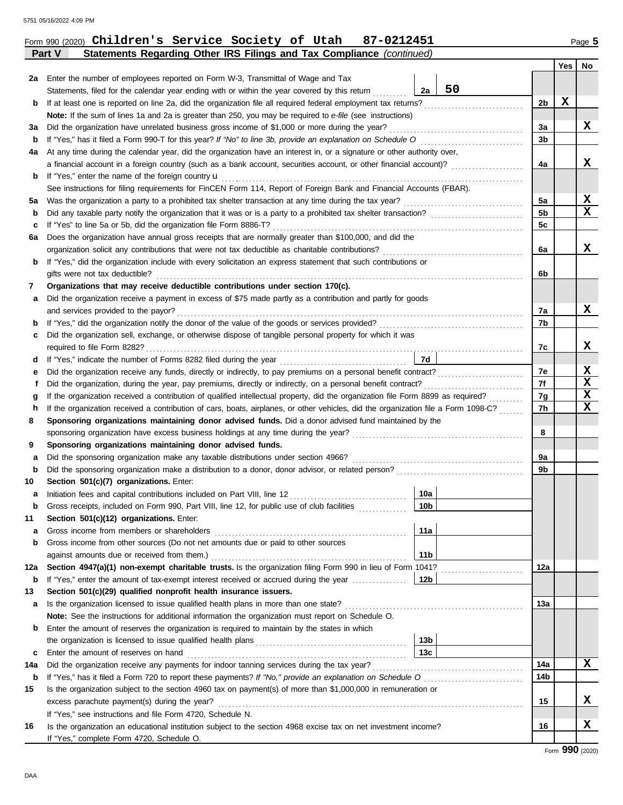|        |                                                                                                                                                                                 |                        |    |                | Yes         | No              |
|--------|---------------------------------------------------------------------------------------------------------------------------------------------------------------------------------|------------------------|----|----------------|-------------|-----------------|
| 2a     | Enter the number of employees reported on Form W-3, Transmittal of Wage and Tax                                                                                                 |                        |    |                |             |                 |
|        | Statements, filed for the calendar year ending with or within the year covered by this return                                                                                   | 2a                     | 50 |                |             |                 |
| b      |                                                                                                                                                                                 |                        |    | 2b             | $\mathbf x$ |                 |
|        | <b>Note:</b> If the sum of lines 1a and 2a is greater than 250, you may be required to e-file (see instructions)                                                                |                        |    |                |             |                 |
| За     | Did the organization have unrelated business gross income of \$1,000 or more during the year?                                                                                   |                        |    | За             |             | x               |
| b      |                                                                                                                                                                                 |                        |    | 3b             |             |                 |
| 4a     | At any time during the calendar year, did the organization have an interest in, or a signature or other authority over,                                                         |                        |    |                |             | X               |
|        |                                                                                                                                                                                 |                        |    | 4a             |             |                 |
| b      | If "Yes," enter the name of the foreign country <b>u</b><br>See instructions for filing requirements for FinCEN Form 114, Report of Foreign Bank and Financial Accounts (FBAR). |                        |    |                |             |                 |
| 5a     |                                                                                                                                                                                 |                        |    | 5a             |             | X               |
| b      |                                                                                                                                                                                 |                        |    | 5 <sub>b</sub> |             | $\mathbf x$     |
| c      | If "Yes" to line 5a or 5b, did the organization file Form 8886-T?                                                                                                               |                        |    | 5c             |             |                 |
| 6а     | Does the organization have annual gross receipts that are normally greater than \$100,000, and did the                                                                          |                        |    |                |             |                 |
|        | organization solicit any contributions that were not tax deductible as charitable contributions?                                                                                |                        |    | 6a             |             | x               |
| b      | If "Yes," did the organization include with every solicitation an express statement that such contributions or                                                                  |                        |    |                |             |                 |
|        | gifts were not tax deductible?                                                                                                                                                  |                        |    | 6b             |             |                 |
| 7      | Organizations that may receive deductible contributions under section 170(c).                                                                                                   |                        |    |                |             |                 |
| а      | Did the organization receive a payment in excess of \$75 made partly as a contribution and partly for goods                                                                     |                        |    |                |             |                 |
|        | and services provided to the payor?                                                                                                                                             |                        |    | 7a             |             | x               |
| b      |                                                                                                                                                                                 |                        |    | 7b             |             |                 |
| c      | Did the organization sell, exchange, or otherwise dispose of tangible personal property for which it was                                                                        |                        |    |                |             |                 |
|        |                                                                                                                                                                                 |                        |    | 7с             |             | x               |
| d      |                                                                                                                                                                                 | 7d                     |    |                |             |                 |
| е      |                                                                                                                                                                                 |                        |    | 7е             |             | X               |
| f      |                                                                                                                                                                                 |                        |    | 7f             |             | X               |
| g      | If the organization received a contribution of qualified intellectual property, did the organization file Form 8899 as required?                                                |                        |    | 7g             |             | $\mathbf X$     |
| h      | If the organization received a contribution of cars, boats, airplanes, or other vehicles, did the organization file a Form 1098-C?                                              |                        |    | 7h             |             | X               |
| 8      | Sponsoring organizations maintaining donor advised funds. Did a donor advised fund maintained by the                                                                            |                        |    |                |             |                 |
|        |                                                                                                                                                                                 |                        |    | 8              |             |                 |
| 9      | Sponsoring organizations maintaining donor advised funds.                                                                                                                       |                        |    |                |             |                 |
| а      | Did the sponsoring organization make any taxable distributions under section 4966?                                                                                              |                        |    | 9а             |             |                 |
| b      |                                                                                                                                                                                 |                        |    | 9b             |             |                 |
| 10     | Section 501(c)(7) organizations. Enter:                                                                                                                                         |                        |    |                |             |                 |
| а      | Initiation fees and capital contributions included on Part VIII, line 12<br>Gross receipts, included on Form 990, Part VIII, line 12, for public use of club facilities         | 10a<br>10 <sub>b</sub> |    |                |             |                 |
| b      |                                                                                                                                                                                 |                        |    |                |             |                 |
| 11     | Section 501(c)(12) organizations. Enter:<br>Gross income from members or shareholders                                                                                           | 11a                    |    |                |             |                 |
| а<br>b | Gross income from other sources (Do not net amounts due or paid to other sources                                                                                                |                        |    |                |             |                 |
|        |                                                                                                                                                                                 | 11 <sub>b</sub>        |    |                |             |                 |
| 12a    | Section 4947(a)(1) non-exempt charitable trusts. Is the organization filing Form 990 in lieu of Form 1041?                                                                      |                        |    | 12a            |             |                 |
| b      | If "Yes," enter the amount of tax-exempt interest received or accrued during the year                                                                                           | 12 <sub>b</sub>        |    |                |             |                 |
| 13     | Section 501(c)(29) qualified nonprofit health insurance issuers.                                                                                                                |                        |    |                |             |                 |
| а      | Is the organization licensed to issue qualified health plans in more than one state?                                                                                            |                        |    | 13а            |             |                 |
|        | Note: See the instructions for additional information the organization must report on Schedule O.                                                                               |                        |    |                |             |                 |
| b      | Enter the amount of reserves the organization is required to maintain by the states in which                                                                                    |                        |    |                |             |                 |
|        |                                                                                                                                                                                 | 13 <sub>b</sub>        |    |                |             |                 |
| c      | Enter the amount of reserves on hand                                                                                                                                            | 13 <sub>c</sub>        |    |                |             |                 |
| 14a    | Did the organization receive any payments for indoor tanning services during the tax year?                                                                                      |                        |    | 14a            |             | x               |
| b      |                                                                                                                                                                                 |                        |    | 14b            |             |                 |
| 15     | Is the organization subject to the section 4960 tax on payment(s) of more than \$1,000,000 in remuneration or                                                                   |                        |    |                |             |                 |
|        | excess parachute payment(s) during the year?                                                                                                                                    |                        |    | 15             |             | X.              |
|        | If "Yes," see instructions and file Form 4720, Schedule N.                                                                                                                      |                        |    |                |             |                 |
| 16     | Is the organization an educational institution subject to the section 4968 excise tax on net investment income?                                                                 |                        |    | 16             |             | X.              |
|        | If "Yes," complete Form 4720, Schedule O.                                                                                                                                       |                        |    |                |             |                 |
|        |                                                                                                                                                                                 |                        |    |                |             | Form 990 (2020) |

#### **Part V Statements Regarding Other IRS Filings and Tax Compliance** *(continued)* Form 990 (2020) Page **5 Children's Service Society of Utah 87-0212451**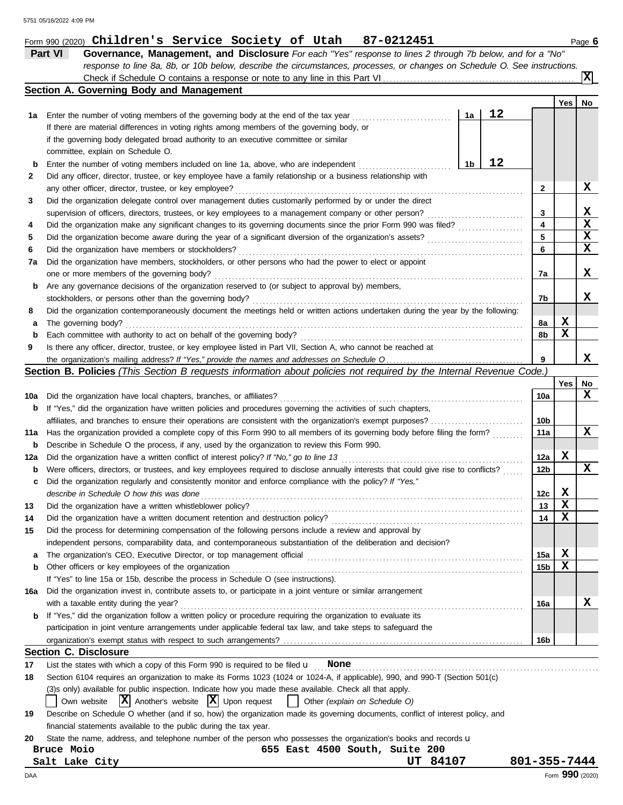|     |                                                                                                                                     |    |    |                 |  |             | x               |  |  |  |  |
|-----|-------------------------------------------------------------------------------------------------------------------------------------|----|----|-----------------|--|-------------|-----------------|--|--|--|--|
|     | Section A. Governing Body and Management                                                                                            |    |    |                 |  |             |                 |  |  |  |  |
|     |                                                                                                                                     |    |    |                 |  | Yes         | No              |  |  |  |  |
| 1a  | Enter the number of voting members of the governing body at the end of the tax year                                                 | 1a | 12 |                 |  |             |                 |  |  |  |  |
|     | If there are material differences in voting rights among members of the governing body, or                                          |    |    |                 |  |             |                 |  |  |  |  |
|     | if the governing body delegated broad authority to an executive committee or similar                                                |    |    |                 |  |             |                 |  |  |  |  |
|     | committee, explain on Schedule O.                                                                                                   |    |    |                 |  |             |                 |  |  |  |  |
| b   | Enter the number of voting members included on line 1a, above, who are independent                                                  | 1b | 12 |                 |  |             |                 |  |  |  |  |
| 2   | Did any officer, director, trustee, or key employee have a family relationship or a business relationship with                      |    |    |                 |  |             |                 |  |  |  |  |
|     | any other officer, director, trustee, or key employee?                                                                              |    |    | 2               |  |             | X               |  |  |  |  |
| 3   | Did the organization delegate control over management duties customarily performed by or under the direct                           |    |    |                 |  |             |                 |  |  |  |  |
|     | supervision of officers, directors, trustees, or key employees to a management company or other person?                             |    | .  | 3               |  |             | X               |  |  |  |  |
| 4   | Did the organization make any significant changes to its governing documents since the prior Form 990 was filed?                    |    |    | 4               |  |             | $\mathbf x$     |  |  |  |  |
| 5   | Did the organization become aware during the year of a significant diversion of the organization's assets?                          |    |    |                 |  |             |                 |  |  |  |  |
| 6   | Did the organization have members or stockholders?                                                                                  |    |    |                 |  |             |                 |  |  |  |  |
| 7а  | Did the organization have members, stockholders, or other persons who had the power to elect or appoint                             |    |    |                 |  |             |                 |  |  |  |  |
|     | one or more members of the governing body?                                                                                          |    |    | 7a              |  |             | X               |  |  |  |  |
| b   | Are any governance decisions of the organization reserved to (or subject to approval by) members,                                   |    |    |                 |  |             |                 |  |  |  |  |
|     | stockholders, or persons other than the governing body?                                                                             |    |    | 7b              |  |             | x               |  |  |  |  |
| 8   | Did the organization contemporaneously document the meetings held or written actions undertaken during the year by the following:   |    |    |                 |  |             |                 |  |  |  |  |
| а   | The governing body?                                                                                                                 |    |    | 8а              |  | X           |                 |  |  |  |  |
| b   |                                                                                                                                     |    |    | 8b              |  | X           |                 |  |  |  |  |
| 9   | Is there any officer, director, trustee, or key employee listed in Part VII, Section A, who cannot be reached at                    |    |    |                 |  |             |                 |  |  |  |  |
|     |                                                                                                                                     |    |    | 9               |  |             | x               |  |  |  |  |
|     | Section B. Policies (This Section B requests information about policies not required by the Internal Revenue Code.)                 |    |    |                 |  |             |                 |  |  |  |  |
|     |                                                                                                                                     |    |    |                 |  | Yes         | No              |  |  |  |  |
| 10a | Did the organization have local chapters, branches, or affiliates?                                                                  |    |    | 10a             |  |             | x               |  |  |  |  |
| b   | If "Yes," did the organization have written policies and procedures governing the activities of such chapters,                      |    |    |                 |  |             |                 |  |  |  |  |
|     | affiliates, and branches to ensure their operations are consistent with the organization's exempt purposes?                         |    |    | 10b             |  |             |                 |  |  |  |  |
| 11a | Has the organization provided a complete copy of this Form 990 to all members of its governing body before filing the form?         |    |    | 11a             |  |             | x               |  |  |  |  |
| b   | Describe in Schedule O the process, if any, used by the organization to review this Form 990.                                       |    |    |                 |  |             |                 |  |  |  |  |
| 12a | Did the organization have a written conflict of interest policy? If "No," go to line 13                                             |    |    | 12a             |  | х           |                 |  |  |  |  |
| b   | Were officers, directors, or trustees, and key employees required to disclose annually interests that could give rise to conflicts? |    |    | 12 <sub>b</sub> |  |             | x               |  |  |  |  |
| c   | Did the organization regularly and consistently monitor and enforce compliance with the policy? If "Yes,"                           |    |    |                 |  |             |                 |  |  |  |  |
|     | describe in Schedule O how this was done                                                                                            |    |    | 12c             |  | X           |                 |  |  |  |  |
| 13  |                                                                                                                                     |    |    | 13              |  | $\mathbf X$ |                 |  |  |  |  |
| 14  |                                                                                                                                     |    |    | 14              |  | $\mathbf x$ |                 |  |  |  |  |
| 15  | Did the process for determining compensation of the following persons include a review and approval by                              |    |    |                 |  |             |                 |  |  |  |  |
|     | independent persons, comparability data, and contemporaneous substantiation of the deliberation and decision?                       |    |    |                 |  |             |                 |  |  |  |  |
| а   |                                                                                                                                     |    |    | 15a             |  | X           |                 |  |  |  |  |
| b   | Other officers or key employees of the organization                                                                                 |    |    | 15b             |  | X           |                 |  |  |  |  |
|     | If "Yes" to line 15a or 15b, describe the process in Schedule O (see instructions).                                                 |    |    |                 |  |             |                 |  |  |  |  |
| 16a | Did the organization invest in, contribute assets to, or participate in a joint venture or similar arrangement                      |    |    |                 |  |             |                 |  |  |  |  |
|     | with a taxable entity during the year?                                                                                              |    |    | 16a             |  |             | x               |  |  |  |  |
| b   | If "Yes," did the organization follow a written policy or procedure requiring the organization to evaluate its                      |    |    |                 |  |             |                 |  |  |  |  |
|     | participation in joint venture arrangements under applicable federal tax law, and take steps to safeguard the                       |    |    |                 |  |             |                 |  |  |  |  |
|     |                                                                                                                                     |    |    | 16b             |  |             |                 |  |  |  |  |
|     | <b>Section C. Disclosure</b>                                                                                                        |    |    |                 |  |             |                 |  |  |  |  |
| 17  | List the states with which a copy of this Form 990 is required to be filed $\boldsymbol{\cup}$<br>None                              |    |    |                 |  |             |                 |  |  |  |  |
| 18  | Section 6104 requires an organization to make its Forms 1023 (1024 or 1024-A, if applicable), 990, and 990-T (Section 501(c)        |    |    |                 |  |             |                 |  |  |  |  |
|     | (3)s only) available for public inspection. Indicate how you made these available. Check all that apply.                            |    |    |                 |  |             |                 |  |  |  |  |
|     | $ \mathbf{X} $ Another's website $ \mathbf{X} $ Upon request<br>Own website<br>Other (explain on Schedule O)                        |    |    |                 |  |             |                 |  |  |  |  |
| 19  | Describe on Schedule O whether (and if so, how) the organization made its governing documents, conflict of interest policy, and     |    |    |                 |  |             |                 |  |  |  |  |
|     | financial statements available to the public during the tax year.                                                                   |    |    |                 |  |             |                 |  |  |  |  |
| 20  | State the name, address, and telephone number of the person who possesses the organization's books and records u                    |    |    |                 |  |             |                 |  |  |  |  |
|     | Bruce Moio<br>655 East 4500 South, Suite 200                                                                                        |    |    |                 |  |             |                 |  |  |  |  |
|     | 84107<br>UT<br>Salt Lake City                                                                                                       |    |    | 801-355-7444    |  |             |                 |  |  |  |  |
| DAA |                                                                                                                                     |    |    |                 |  |             | Form 990 (2020) |  |  |  |  |

Form 990 (2020) Page **6 Children's Service Society of Utah 87-0212451 Part VI Governance, Management, and Disclosure** *For each "Yes" response to lines 2 through 7b below, and for a "No"*

*response to line 8a, 8b, or 10b below, describe the circumstances, processes, or changes on Schedule O. See instructions.*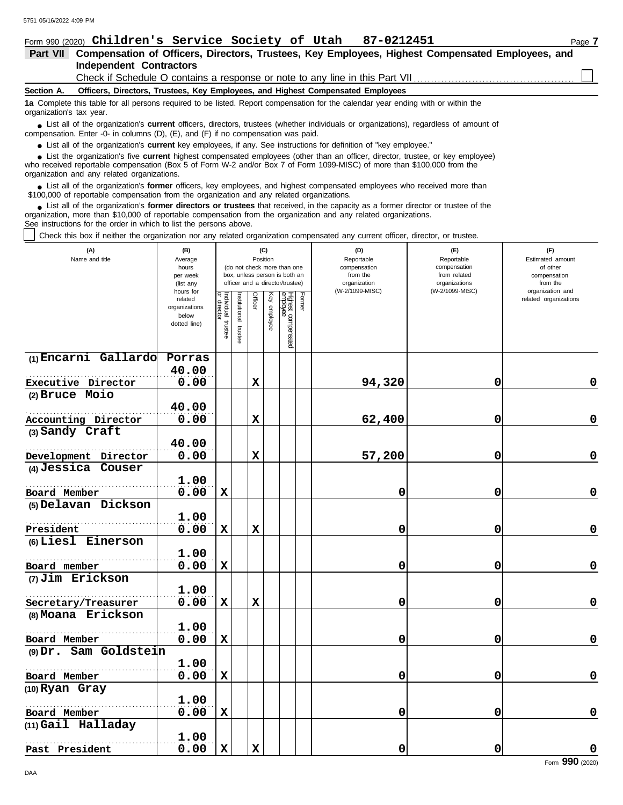|                          | Form 990 (2020) Children's Service Society of Utah<br>87-0212451                                                                                                                                                                                            | Page 7 |
|--------------------------|-------------------------------------------------------------------------------------------------------------------------------------------------------------------------------------------------------------------------------------------------------------|--------|
| <b>Part VII</b>          | Compensation of Officers, Directors, Trustees, Key Employees, Highest Compensated Employees, and                                                                                                                                                            |        |
|                          | <b>Independent Contractors</b>                                                                                                                                                                                                                              |        |
|                          |                                                                                                                                                                                                                                                             |        |
| Section A.               | Officers, Directors, Trustees, Key Employees, and Highest Compensated Employees                                                                                                                                                                             |        |
| organization's tax year. | 1a Complete this table for all persons required to be listed. Report compensation for the calendar year ending with or within the                                                                                                                           |        |
|                          | • List all of the organization's current officers, directors, trustees (whether individuals or organizations), regardless of amount of<br>compensation. Enter -0- in columns $(D)$ , $(E)$ , and $(F)$ if no compensation was paid.                         |        |
|                          | • List all of the organization's <b>current</b> key employees, if any. See instructions for definition of "key employee."                                                                                                                                   |        |
|                          | • List the organization's five current highest compensated employees (other than an officer, director, trustee, or key employee)<br>who received reportable compensation (Box 5 of Form W-2 and/or Box 7 of Form 1099-MISC) of more than \$100,000 from the |        |

organization and any related organizations. List all of the organization's **former** officers, key employees, and highest compensated employees who received more than • List all of the organization's **former** officers, key employees, and highest compensate \$100,000 of reportable compensation from the organization and any related organizations.

List all of the organization's **former directors or trustees** that received, in the capacity as a former director or trustee of the organization, more than \$10,000 of reportable compensation from the organization and any related organizations. See instructions for the order in which to list the persons above. **•**

Check this box if neither the organization nor any related organization compensated any current officer, director, or trustee.

|                       |                      |                    |               |             |          |                                 |        | If Hold or and original action from any Toldical original action componedical any canonic omoon, allocati, or tradico |                            |                                           |
|-----------------------|----------------------|--------------------|---------------|-------------|----------|---------------------------------|--------|-----------------------------------------------------------------------------------------------------------------------|----------------------------|-------------------------------------------|
| (A)                   | (B)                  |                    |               |             | (C)      |                                 |        | (D)                                                                                                                   | (E)                        | (F)                                       |
| Name and title        | Average<br>hours     |                    |               | Position    |          | (do not check more than one     |        | Reportable<br>compensation                                                                                            | Reportable<br>compensation | Estimated amount<br>of other              |
|                       | per week             |                    |               |             |          | box, unless person is both an   |        | from the                                                                                                              | from related               | compensation                              |
|                       | (list any            |                    |               |             |          | officer and a director/trustee) |        | organization                                                                                                          | organizations              | from the                                  |
|                       | hours for<br>related |                    |               |             | Key      |                                 |        | (W-2/1099-MISC)                                                                                                       | (W-2/1099-MISC)            | organization and<br>related organizations |
|                       | organizations        |                    |               | Officer     |          |                                 | Former |                                                                                                                       |                            |                                           |
|                       | below                |                    | Institutional |             |          |                                 |        |                                                                                                                       |                            |                                           |
|                       | dotted line)         |                    |               |             | employee |                                 |        |                                                                                                                       |                            |                                           |
|                       |                      | Individual trustee | trustee       |             |          | Highest compensated<br>empbyee  |        |                                                                                                                       |                            |                                           |
|                       |                      |                    |               |             |          |                                 |        |                                                                                                                       |                            |                                           |
| (1) Encarni Gallardo  | Porras               |                    |               |             |          |                                 |        |                                                                                                                       |                            |                                           |
|                       | 40.00                |                    |               |             |          |                                 |        |                                                                                                                       |                            |                                           |
| Executive Director    | 0.00                 |                    |               | $\mathbf x$ |          |                                 |        | 94,320                                                                                                                | 0                          | 0                                         |
| (2) Bruce Moio        |                      |                    |               |             |          |                                 |        |                                                                                                                       |                            |                                           |
|                       | 40.00                |                    |               |             |          |                                 |        |                                                                                                                       |                            |                                           |
| Accounting Director   | 0.00                 |                    |               | $\mathbf x$ |          |                                 |        | 62,400                                                                                                                | 0                          | 0                                         |
| (3) Sandy Craft       |                      |                    |               |             |          |                                 |        |                                                                                                                       |                            |                                           |
|                       | 40.00                |                    |               |             |          |                                 |        |                                                                                                                       |                            |                                           |
| Development Director  | 0.00                 |                    |               | $\mathbf x$ |          |                                 |        | 57,200                                                                                                                | $\mathbf 0$                | $\mathbf 0$                               |
| (4) Jessica Couser    |                      |                    |               |             |          |                                 |        |                                                                                                                       |                            |                                           |
|                       |                      |                    |               |             |          |                                 |        |                                                                                                                       |                            |                                           |
|                       | 1.00                 |                    |               |             |          |                                 |        |                                                                                                                       |                            |                                           |
| Board Member          | 0.00                 | $\mathbf x$        |               |             |          |                                 |        | 0                                                                                                                     | 0                          | 0                                         |
| (5) Delavan Dickson   |                      |                    |               |             |          |                                 |        |                                                                                                                       |                            |                                           |
|                       | 1.00                 |                    |               |             |          |                                 |        |                                                                                                                       |                            |                                           |
| President             | 0.00                 | $\mathbf x$        |               | $\mathbf x$ |          |                                 |        | 0                                                                                                                     | $\mathbf 0$                | $\mathbf 0$                               |
| (6) Liesl Einerson    |                      |                    |               |             |          |                                 |        |                                                                                                                       |                            |                                           |
|                       | 1.00                 |                    |               |             |          |                                 |        |                                                                                                                       |                            |                                           |
| Board member          | 0.00                 | $\mathbf x$        |               |             |          |                                 |        | 0                                                                                                                     | 0                          | 0                                         |
| (7) Jim Erickson      |                      |                    |               |             |          |                                 |        |                                                                                                                       |                            |                                           |
|                       | 1.00                 |                    |               |             |          |                                 |        |                                                                                                                       |                            |                                           |
|                       |                      |                    |               |             |          |                                 |        |                                                                                                                       |                            |                                           |
| Secretary/Treasurer   | 0.00                 | $\mathbf x$        |               | $\mathbf x$ |          |                                 |        | 0                                                                                                                     | $\mathbf 0$                | 0                                         |
| (8) Moana Erickson    |                      |                    |               |             |          |                                 |        |                                                                                                                       |                            |                                           |
|                       | 1.00                 |                    |               |             |          |                                 |        |                                                                                                                       |                            |                                           |
| Board Member          | 0.00                 | $\mathbf x$        |               |             |          |                                 |        | 0                                                                                                                     | 0                          | $\mathbf 0$                               |
| (9) Dr. Sam Goldstein |                      |                    |               |             |          |                                 |        |                                                                                                                       |                            |                                           |
|                       | 1.00                 |                    |               |             |          |                                 |        |                                                                                                                       |                            |                                           |
| Board Member          | 0.00                 | $\mathbf x$        |               |             |          |                                 |        | 0                                                                                                                     | 0                          | $\pmb{0}$                                 |
| (10) Ryan Gray        |                      |                    |               |             |          |                                 |        |                                                                                                                       |                            |                                           |
|                       | 1.00                 |                    |               |             |          |                                 |        |                                                                                                                       |                            |                                           |
| Board Member          | 0.00                 | $\mathbf x$        |               |             |          |                                 |        | 0                                                                                                                     | $\mathbf 0$                | 0                                         |
| (11) Gail Halladay    |                      |                    |               |             |          |                                 |        |                                                                                                                       |                            |                                           |
|                       | 1.00                 |                    |               |             |          |                                 |        |                                                                                                                       |                            |                                           |
| Past President        | 0.00                 | $\mathbf x$        |               | $\mathbf X$ |          |                                 |        | 0                                                                                                                     | 0                          | 0                                         |
|                       |                      |                    |               |             |          |                                 |        |                                                                                                                       |                            |                                           |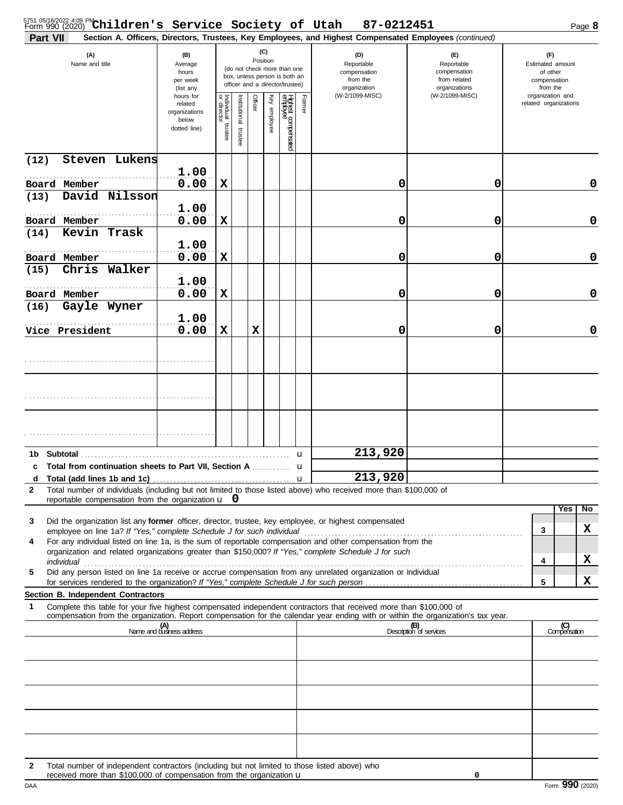| 5751 05/16/2022 4:09 PM<br>Form 990 (2020) Children's Service Society of Utah                                                                                                                                                                                                                                                                                                                                                                                                                                                                                                                                                                                                                                                                                                                                                                                                                                                                                                                                                                                                                                                                                                                                                                                                                                                                                                                                                                                                                                                                                                                                                                                                                                                                                                                                                                                                                                                                                                                                                                                             |                                                   |                                   |                       |              |                                 | 87-0212451                                                    |                                                                    |     | Page 8      |
|---------------------------------------------------------------------------------------------------------------------------------------------------------------------------------------------------------------------------------------------------------------------------------------------------------------------------------------------------------------------------------------------------------------------------------------------------------------------------------------------------------------------------------------------------------------------------------------------------------------------------------------------------------------------------------------------------------------------------------------------------------------------------------------------------------------------------------------------------------------------------------------------------------------------------------------------------------------------------------------------------------------------------------------------------------------------------------------------------------------------------------------------------------------------------------------------------------------------------------------------------------------------------------------------------------------------------------------------------------------------------------------------------------------------------------------------------------------------------------------------------------------------------------------------------------------------------------------------------------------------------------------------------------------------------------------------------------------------------------------------------------------------------------------------------------------------------------------------------------------------------------------------------------------------------------------------------------------------------------------------------------------------------------------------------------------------------|---------------------------------------------------|-----------------------------------|-----------------------|--------------|---------------------------------|---------------------------------------------------------------|--------------------------------------------------------------------|-----|-------------|
| <b>Part VII</b>                                                                                                                                                                                                                                                                                                                                                                                                                                                                                                                                                                                                                                                                                                                                                                                                                                                                                                                                                                                                                                                                                                                                                                                                                                                                                                                                                                                                                                                                                                                                                                                                                                                                                                                                                                                                                                                                                                                                                                                                                                                           |                                                   |                                   |                       |              |                                 |                                                               |                                                                    |     |             |
| (A)<br>Name and title                                                                                                                                                                                                                                                                                                                                                                                                                                                                                                                                                                                                                                                                                                                                                                                                                                                                                                                                                                                                                                                                                                                                                                                                                                                                                                                                                                                                                                                                                                                                                                                                                                                                                                                                                                                                                                                                                                                                                                                                                                                     | (B)<br>Average<br>hours<br>per week<br>(list any  |                                   |                       |              |                                 | (D)<br>Reportable<br>compensation<br>from the<br>organization | (E)<br>Reportable<br>compensation<br>from related<br>organizations | (F) |             |
|                                                                                                                                                                                                                                                                                                                                                                                                                                                                                                                                                                                                                                                                                                                                                                                                                                                                                                                                                                                                                                                                                                                                                                                                                                                                                                                                                                                                                                                                                                                                                                                                                                                                                                                                                                                                                                                                                                                                                                                                                                                                           | related<br>organizations<br>below<br>dotted line) | Individual trustee<br>or director | Institutional trustee | Key employee | Highest compensated<br>employee |                                                               |                                                                    |     |             |
| (12)                                                                                                                                                                                                                                                                                                                                                                                                                                                                                                                                                                                                                                                                                                                                                                                                                                                                                                                                                                                                                                                                                                                                                                                                                                                                                                                                                                                                                                                                                                                                                                                                                                                                                                                                                                                                                                                                                                                                                                                                                                                                      |                                                   |                                   |                       |              |                                 |                                                               |                                                                    |     |             |
| Board Member                                                                                                                                                                                                                                                                                                                                                                                                                                                                                                                                                                                                                                                                                                                                                                                                                                                                                                                                                                                                                                                                                                                                                                                                                                                                                                                                                                                                                                                                                                                                                                                                                                                                                                                                                                                                                                                                                                                                                                                                                                                              | 0.00                                              | X                                 |                       |              |                                 | 0                                                             | 0                                                                  |     | 0           |
| (13)                                                                                                                                                                                                                                                                                                                                                                                                                                                                                                                                                                                                                                                                                                                                                                                                                                                                                                                                                                                                                                                                                                                                                                                                                                                                                                                                                                                                                                                                                                                                                                                                                                                                                                                                                                                                                                                                                                                                                                                                                                                                      |                                                   |                                   |                       |              |                                 |                                                               |                                                                    |     |             |
|                                                                                                                                                                                                                                                                                                                                                                                                                                                                                                                                                                                                                                                                                                                                                                                                                                                                                                                                                                                                                                                                                                                                                                                                                                                                                                                                                                                                                                                                                                                                                                                                                                                                                                                                                                                                                                                                                                                                                                                                                                                                           |                                                   |                                   |                       |              |                                 |                                                               |                                                                    |     | $\mathbf 0$ |
| Kevin Trask<br>(14)                                                                                                                                                                                                                                                                                                                                                                                                                                                                                                                                                                                                                                                                                                                                                                                                                                                                                                                                                                                                                                                                                                                                                                                                                                                                                                                                                                                                                                                                                                                                                                                                                                                                                                                                                                                                                                                                                                                                                                                                                                                       |                                                   |                                   |                       |              |                                 |                                                               |                                                                    |     |             |
|                                                                                                                                                                                                                                                                                                                                                                                                                                                                                                                                                                                                                                                                                                                                                                                                                                                                                                                                                                                                                                                                                                                                                                                                                                                                                                                                                                                                                                                                                                                                                                                                                                                                                                                                                                                                                                                                                                                                                                                                                                                                           | 1.00                                              |                                   |                       |              |                                 |                                                               |                                                                    |     |             |
|                                                                                                                                                                                                                                                                                                                                                                                                                                                                                                                                                                                                                                                                                                                                                                                                                                                                                                                                                                                                                                                                                                                                                                                                                                                                                                                                                                                                                                                                                                                                                                                                                                                                                                                                                                                                                                                                                                                                                                                                                                                                           |                                                   |                                   |                       |              |                                 |                                                               |                                                                    |     | $\mathbf 0$ |
|                                                                                                                                                                                                                                                                                                                                                                                                                                                                                                                                                                                                                                                                                                                                                                                                                                                                                                                                                                                                                                                                                                                                                                                                                                                                                                                                                                                                                                                                                                                                                                                                                                                                                                                                                                                                                                                                                                                                                                                                                                                                           | 1.00                                              |                                   |                       |              |                                 |                                                               |                                                                    |     | 0           |
| (16)                                                                                                                                                                                                                                                                                                                                                                                                                                                                                                                                                                                                                                                                                                                                                                                                                                                                                                                                                                                                                                                                                                                                                                                                                                                                                                                                                                                                                                                                                                                                                                                                                                                                                                                                                                                                                                                                                                                                                                                                                                                                      |                                                   |                                   |                       |              |                                 |                                                               |                                                                    |     |             |
|                                                                                                                                                                                                                                                                                                                                                                                                                                                                                                                                                                                                                                                                                                                                                                                                                                                                                                                                                                                                                                                                                                                                                                                                                                                                                                                                                                                                                                                                                                                                                                                                                                                                                                                                                                                                                                                                                                                                                                                                                                                                           | 1.00                                              |                                   |                       |              |                                 | 0                                                             | 0                                                                  |     | $\mathbf 0$ |
|                                                                                                                                                                                                                                                                                                                                                                                                                                                                                                                                                                                                                                                                                                                                                                                                                                                                                                                                                                                                                                                                                                                                                                                                                                                                                                                                                                                                                                                                                                                                                                                                                                                                                                                                                                                                                                                                                                                                                                                                                                                                           |                                                   |                                   |                       |              |                                 |                                                               |                                                                    |     |             |
|                                                                                                                                                                                                                                                                                                                                                                                                                                                                                                                                                                                                                                                                                                                                                                                                                                                                                                                                                                                                                                                                                                                                                                                                                                                                                                                                                                                                                                                                                                                                                                                                                                                                                                                                                                                                                                                                                                                                                                                                                                                                           |                                                   |                                   |                       |              |                                 |                                                               |                                                                    |     |             |
| Section A. Officers, Directors, Trustees, Key Employees, and Highest Compensated Employees (continued)<br>(C)<br>Position<br>Estimated amount<br>(do not check more than one<br>of other<br>box, unless person is both an<br>compensation<br>officer and a director/trustee)<br>from the<br>(W-2/1099-MISC)<br>(W-2/1099-MISC)<br>organization and<br>hours for<br>Officer<br>Former<br>related organizations<br>Steven Lukens<br>1.00<br>David Nilsson<br>1.00<br>0.00<br>X<br>0<br>0<br>Board Member<br>0.00<br>X<br>0<br>0<br>Board Member<br>Chris Walker<br>(15)<br>0.00<br>X<br>0<br>0<br>Board Member<br>Gayle Wyner<br>0.00<br>X<br>X<br>Vice President<br>213,920<br>1b Subtotal<br>u<br>c Total from continuation sheets to Part VII, Section A<br>u<br>213,920<br>u<br>d<br>Total number of individuals (including but not limited to those listed above) who received more than \$100,000 of<br>$\mathbf{2}$<br>reportable compensation from the organization $\mathbf u$ 0<br>Yes<br>Did the organization list any former officer, director, trustee, key employee, or highest compensated<br>3<br>3<br>employee on line 1a? If "Yes," complete Schedule J for such individual<br>For any individual listed on line 1a, is the sum of reportable compensation and other compensation from the<br>4<br>organization and related organizations greater than \$150,000? If "Yes," complete Schedule J for such<br>4<br>individual<br>Did any person listed on line 1a receive or accrue compensation from any unrelated organization or individual<br>5<br>5<br>Section B. Independent Contractors<br>Complete this table for your five highest compensated independent contractors that received more than \$100,000 of<br>1<br>compensation from the organization. Report compensation for the calendar year ending with or within the organization's tax year.<br>(A)<br>Name and business address<br>(B)<br>Description of services<br>(C)<br>Compensation<br>Total number of independent contractors (including but not limited to those listed above) who |                                                   |                                   |                       |              |                                 |                                                               |                                                                    |     |             |
|                                                                                                                                                                                                                                                                                                                                                                                                                                                                                                                                                                                                                                                                                                                                                                                                                                                                                                                                                                                                                                                                                                                                                                                                                                                                                                                                                                                                                                                                                                                                                                                                                                                                                                                                                                                                                                                                                                                                                                                                                                                                           |                                                   |                                   |                       |              |                                 |                                                               |                                                                    |     |             |
|                                                                                                                                                                                                                                                                                                                                                                                                                                                                                                                                                                                                                                                                                                                                                                                                                                                                                                                                                                                                                                                                                                                                                                                                                                                                                                                                                                                                                                                                                                                                                                                                                                                                                                                                                                                                                                                                                                                                                                                                                                                                           |                                                   |                                   |                       |              |                                 |                                                               |                                                                    |     |             |
|                                                                                                                                                                                                                                                                                                                                                                                                                                                                                                                                                                                                                                                                                                                                                                                                                                                                                                                                                                                                                                                                                                                                                                                                                                                                                                                                                                                                                                                                                                                                                                                                                                                                                                                                                                                                                                                                                                                                                                                                                                                                           |                                                   |                                   |                       |              |                                 |                                                               |                                                                    |     |             |
|                                                                                                                                                                                                                                                                                                                                                                                                                                                                                                                                                                                                                                                                                                                                                                                                                                                                                                                                                                                                                                                                                                                                                                                                                                                                                                                                                                                                                                                                                                                                                                                                                                                                                                                                                                                                                                                                                                                                                                                                                                                                           |                                                   |                                   |                       |              |                                 |                                                               |                                                                    |     |             |
|                                                                                                                                                                                                                                                                                                                                                                                                                                                                                                                                                                                                                                                                                                                                                                                                                                                                                                                                                                                                                                                                                                                                                                                                                                                                                                                                                                                                                                                                                                                                                                                                                                                                                                                                                                                                                                                                                                                                                                                                                                                                           |                                                   |                                   |                       |              |                                 |                                                               |                                                                    |     |             |
|                                                                                                                                                                                                                                                                                                                                                                                                                                                                                                                                                                                                                                                                                                                                                                                                                                                                                                                                                                                                                                                                                                                                                                                                                                                                                                                                                                                                                                                                                                                                                                                                                                                                                                                                                                                                                                                                                                                                                                                                                                                                           |                                                   |                                   |                       |              |                                 |                                                               |                                                                    |     | No          |
|                                                                                                                                                                                                                                                                                                                                                                                                                                                                                                                                                                                                                                                                                                                                                                                                                                                                                                                                                                                                                                                                                                                                                                                                                                                                                                                                                                                                                                                                                                                                                                                                                                                                                                                                                                                                                                                                                                                                                                                                                                                                           |                                                   |                                   |                       |              |                                 |                                                               |                                                                    |     | X           |
|                                                                                                                                                                                                                                                                                                                                                                                                                                                                                                                                                                                                                                                                                                                                                                                                                                                                                                                                                                                                                                                                                                                                                                                                                                                                                                                                                                                                                                                                                                                                                                                                                                                                                                                                                                                                                                                                                                                                                                                                                                                                           |                                                   |                                   |                       |              |                                 |                                                               |                                                                    |     |             |
|                                                                                                                                                                                                                                                                                                                                                                                                                                                                                                                                                                                                                                                                                                                                                                                                                                                                                                                                                                                                                                                                                                                                                                                                                                                                                                                                                                                                                                                                                                                                                                                                                                                                                                                                                                                                                                                                                                                                                                                                                                                                           |                                                   |                                   |                       |              |                                 |                                                               |                                                                    |     | X           |
|                                                                                                                                                                                                                                                                                                                                                                                                                                                                                                                                                                                                                                                                                                                                                                                                                                                                                                                                                                                                                                                                                                                                                                                                                                                                                                                                                                                                                                                                                                                                                                                                                                                                                                                                                                                                                                                                                                                                                                                                                                                                           |                                                   |                                   |                       |              |                                 |                                                               |                                                                    |     | X           |
|                                                                                                                                                                                                                                                                                                                                                                                                                                                                                                                                                                                                                                                                                                                                                                                                                                                                                                                                                                                                                                                                                                                                                                                                                                                                                                                                                                                                                                                                                                                                                                                                                                                                                                                                                                                                                                                                                                                                                                                                                                                                           |                                                   |                                   |                       |              |                                 |                                                               |                                                                    |     |             |
|                                                                                                                                                                                                                                                                                                                                                                                                                                                                                                                                                                                                                                                                                                                                                                                                                                                                                                                                                                                                                                                                                                                                                                                                                                                                                                                                                                                                                                                                                                                                                                                                                                                                                                                                                                                                                                                                                                                                                                                                                                                                           |                                                   |                                   |                       |              |                                 |                                                               |                                                                    |     |             |
|                                                                                                                                                                                                                                                                                                                                                                                                                                                                                                                                                                                                                                                                                                                                                                                                                                                                                                                                                                                                                                                                                                                                                                                                                                                                                                                                                                                                                                                                                                                                                                                                                                                                                                                                                                                                                                                                                                                                                                                                                                                                           |                                                   |                                   |                       |              |                                 |                                                               |                                                                    |     |             |
|                                                                                                                                                                                                                                                                                                                                                                                                                                                                                                                                                                                                                                                                                                                                                                                                                                                                                                                                                                                                                                                                                                                                                                                                                                                                                                                                                                                                                                                                                                                                                                                                                                                                                                                                                                                                                                                                                                                                                                                                                                                                           |                                                   |                                   |                       |              |                                 |                                                               |                                                                    |     |             |
|                                                                                                                                                                                                                                                                                                                                                                                                                                                                                                                                                                                                                                                                                                                                                                                                                                                                                                                                                                                                                                                                                                                                                                                                                                                                                                                                                                                                                                                                                                                                                                                                                                                                                                                                                                                                                                                                                                                                                                                                                                                                           |                                                   |                                   |                       |              |                                 |                                                               |                                                                    |     |             |
|                                                                                                                                                                                                                                                                                                                                                                                                                                                                                                                                                                                                                                                                                                                                                                                                                                                                                                                                                                                                                                                                                                                                                                                                                                                                                                                                                                                                                                                                                                                                                                                                                                                                                                                                                                                                                                                                                                                                                                                                                                                                           |                                                   |                                   |                       |              |                                 |                                                               |                                                                    |     |             |
|                                                                                                                                                                                                                                                                                                                                                                                                                                                                                                                                                                                                                                                                                                                                                                                                                                                                                                                                                                                                                                                                                                                                                                                                                                                                                                                                                                                                                                                                                                                                                                                                                                                                                                                                                                                                                                                                                                                                                                                                                                                                           |                                                   |                                   |                       |              |                                 |                                                               |                                                                    |     |             |
|                                                                                                                                                                                                                                                                                                                                                                                                                                                                                                                                                                                                                                                                                                                                                                                                                                                                                                                                                                                                                                                                                                                                                                                                                                                                                                                                                                                                                                                                                                                                                                                                                                                                                                                                                                                                                                                                                                                                                                                                                                                                           |                                                   |                                   |                       |              |                                 |                                                               |                                                                    |     |             |
| 2<br>received more than \$100,000 of compensation from the organization u                                                                                                                                                                                                                                                                                                                                                                                                                                                                                                                                                                                                                                                                                                                                                                                                                                                                                                                                                                                                                                                                                                                                                                                                                                                                                                                                                                                                                                                                                                                                                                                                                                                                                                                                                                                                                                                                                                                                                                                                 |                                                   |                                   |                       |              |                                 |                                                               | 0                                                                  |     |             |

|  |  | received more than \$100,000 of compensation from the organization <b>U</b> |
|--|--|-----------------------------------------------------------------------------|
|  |  |                                                                             |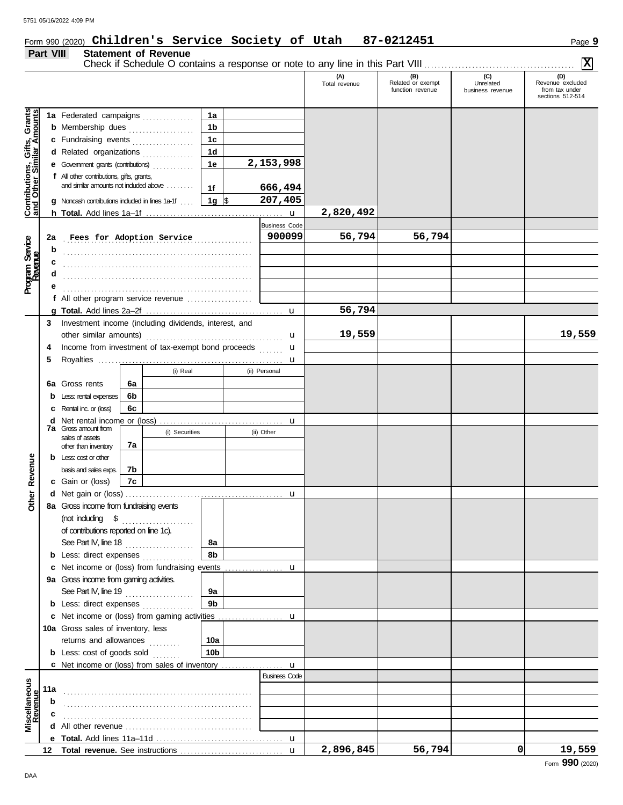## Form 990 (2020) Page **9 Children's Service Society of Utah 87-0212451**

### **Part VIII Statement of Revenue**

Check if Schedule O contains a response or note to any line in this Part VIII . . . . . . . . . . . . . . . . . . . . . . . . . . . . . . . . . . . . . . . . . . . .

**X**

|                                                                  |                                  |                                                       |    |                |                       |                      | (A)<br>Total revenue | (B)<br>Related or exempt<br>function revenue | (C)<br>Unrelated<br>business revenue | (D)<br>Revenue excluded<br>from tax under<br>sections 512-514 |
|------------------------------------------------------------------|----------------------------------|-------------------------------------------------------|----|----------------|-----------------------|----------------------|----------------------|----------------------------------------------|--------------------------------------|---------------------------------------------------------------|
|                                                                  |                                  | 1a Federated campaigns                                |    |                | 1a                    |                      |                      |                                              |                                      |                                                               |
|                                                                  |                                  | <b>b</b> Membership dues                              |    | .              | 1 <sub>b</sub>        |                      |                      |                                              |                                      |                                                               |
| <b>Contributions, Gifts, Grants</b><br>and Other Similar Amounts |                                  | c Fundraising events                                  |    |                | 1 <sub>c</sub>        |                      |                      |                                              |                                      |                                                               |
|                                                                  |                                  | d Related organizations                               |    |                | 1 <sub>d</sub>        |                      |                      |                                              |                                      |                                                               |
|                                                                  |                                  | Government grants (contributions)<br>                 |    |                | 1e                    | 2,153,998            |                      |                                              |                                      |                                                               |
|                                                                  |                                  | f All other contributions, gifts, grants,             |    |                |                       |                      |                      |                                              |                                      |                                                               |
|                                                                  |                                  | and similar amounts not induded above                 |    |                | 1f                    | 666,494              |                      |                                              |                                      |                                                               |
|                                                                  |                                  | g Noncash contributions included in lines 1a-1f       |    |                | $1g \,$ $\frac{1}{3}$ | 207,405              |                      |                                              |                                      |                                                               |
|                                                                  |                                  |                                                       |    |                |                       |                      | 2,820,492            |                                              |                                      |                                                               |
|                                                                  |                                  |                                                       |    |                |                       | <b>Business Code</b> |                      |                                              |                                      |                                                               |
|                                                                  | 2a                               | Fees for Adoption Service                             |    |                |                       | 900099               | 56,794               | 56,794                                       |                                      |                                                               |
| Program Service<br>Revenue                                       | b                                |                                                       |    |                |                       |                      |                      |                                              |                                      |                                                               |
|                                                                  |                                  |                                                       |    |                |                       |                      |                      |                                              |                                      |                                                               |
|                                                                  |                                  |                                                       |    |                |                       |                      |                      |                                              |                                      |                                                               |
|                                                                  |                                  |                                                       |    |                |                       |                      |                      |                                              |                                      |                                                               |
|                                                                  |                                  |                                                       |    |                |                       |                      |                      |                                              |                                      |                                                               |
|                                                                  |                                  |                                                       |    |                |                       |                      | 56,794               |                                              |                                      |                                                               |
|                                                                  | 3                                | Investment income (including dividends, interest, and |    |                |                       |                      |                      |                                              |                                      |                                                               |
|                                                                  |                                  | other similar amounts)                                |    |                |                       | u                    | 19,559               |                                              |                                      | 19,559                                                        |
|                                                                  | 4                                | Income from investment of tax-exempt bond proceeds    |    |                |                       | u<br>a a a a a a a   |                      |                                              |                                      |                                                               |
|                                                                  | 5                                |                                                       |    |                |                       | u                    |                      |                                              |                                      |                                                               |
|                                                                  |                                  |                                                       |    | (i) Real       |                       | (ii) Personal        |                      |                                              |                                      |                                                               |
|                                                                  | 6a                               | Gross rents                                           | 6a |                |                       |                      |                      |                                              |                                      |                                                               |
|                                                                  |                                  | Less: rental expenses                                 | 6b |                |                       |                      |                      |                                              |                                      |                                                               |
|                                                                  |                                  | Rental inc. or (loss)                                 | 6с |                |                       |                      |                      |                                              |                                      |                                                               |
|                                                                  | Net rental income or (loss)<br>d |                                                       |    |                | u                     |                      |                      |                                              |                                      |                                                               |
|                                                                  |                                  | <b>7a</b> Gross amount from<br>sales of assets        |    | (i) Securities |                       | (ii) Other           |                      |                                              |                                      |                                                               |
|                                                                  |                                  | other than inventory                                  | 7a |                |                       |                      |                      |                                              |                                      |                                                               |
|                                                                  |                                  | $b$ Less: $\cos$ or other                             |    |                |                       |                      |                      |                                              |                                      |                                                               |
|                                                                  |                                  | basis and sales exps.                                 | 7b |                |                       |                      |                      |                                              |                                      |                                                               |
| Revenue                                                          |                                  | c Gain or (loss)                                      | 7c |                |                       |                      |                      |                                              |                                      |                                                               |
| Other                                                            |                                  |                                                       |    |                |                       | u                    |                      |                                              |                                      |                                                               |
|                                                                  |                                  | 8a Gross income from fundraising events               |    |                |                       |                      |                      |                                              |                                      |                                                               |
|                                                                  |                                  | (not including \$                                     |    |                |                       |                      |                      |                                              |                                      |                                                               |
|                                                                  |                                  | of contributions reported on line 1c).                |    |                |                       |                      |                      |                                              |                                      |                                                               |
|                                                                  |                                  | See Part IV, line 18                                  |    |                | 8а                    |                      |                      |                                              |                                      |                                                               |
|                                                                  |                                  | <b>b</b> Less: direct expenses <i>minimum</i>         |    |                | 8b                    |                      |                      |                                              |                                      |                                                               |
|                                                                  |                                  | c Net income or (loss) from fundraising events        |    |                |                       | u                    |                      |                                              |                                      |                                                               |
|                                                                  |                                  | 9a Gross income from gaming activities.               |    |                |                       |                      |                      |                                              |                                      |                                                               |
|                                                                  |                                  | See Part IV, line 19                                  |    |                | 9а                    |                      |                      |                                              |                                      |                                                               |
|                                                                  |                                  | <b>b</b> Less: direct expenses                        |    |                | 9 <sub>b</sub>        |                      |                      |                                              |                                      |                                                               |
|                                                                  |                                  | c Net income or (loss) from gaming activities         |    |                |                       | u                    |                      |                                              |                                      |                                                               |
|                                                                  |                                  | 10a Gross sales of inventory, less                    |    |                |                       |                      |                      |                                              |                                      |                                                               |
|                                                                  |                                  | returns and allowances<br>.                           |    | 10a            |                       |                      |                      |                                              |                                      |                                                               |
|                                                                  |                                  | <b>b</b> Less: cost of goods sold $\ldots$            |    |                | 10 <sub>b</sub>       |                      |                      |                                              |                                      |                                                               |
|                                                                  |                                  |                                                       |    |                |                       |                      |                      |                                              |                                      |                                                               |
|                                                                  |                                  |                                                       |    |                |                       | <b>Business Code</b> |                      |                                              |                                      |                                                               |
|                                                                  | 11a                              |                                                       |    |                |                       |                      |                      |                                              |                                      |                                                               |
| Miscellaneous<br>Revenue                                         | b                                |                                                       |    |                |                       |                      |                      |                                              |                                      |                                                               |
|                                                                  |                                  |                                                       |    |                |                       |                      |                      |                                              |                                      |                                                               |
|                                                                  |                                  |                                                       |    |                |                       |                      |                      |                                              |                                      |                                                               |
|                                                                  |                                  |                                                       |    |                |                       |                      |                      |                                              |                                      |                                                               |
|                                                                  |                                  |                                                       |    |                |                       |                      | 2,896,845            | 56,794                                       | $\overline{0}$                       | 19,559                                                        |

**Total revenue.** See instructions . . . . . . . . . . . . . . . . . . . . . . . . . . . . . . **12**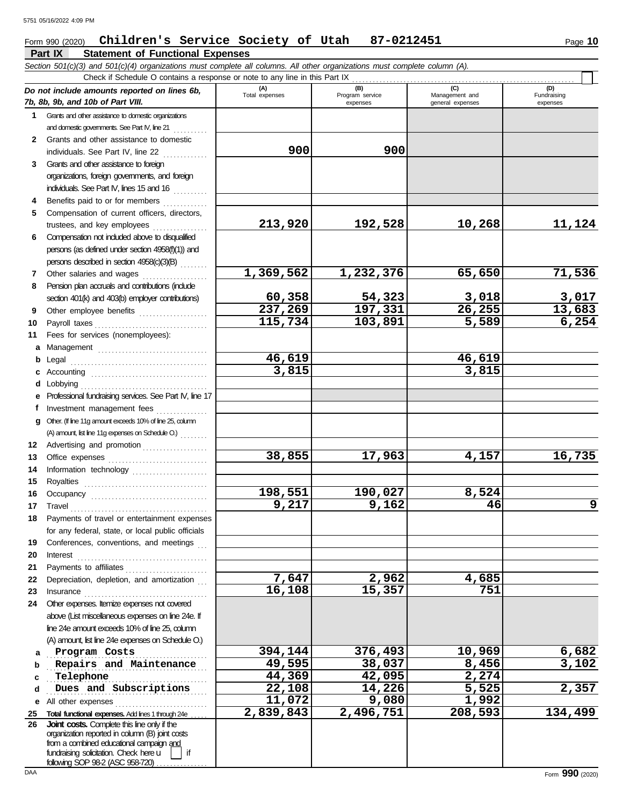### Form 990 (2020) Page **10 Children's Service Society of Utah 87-0212451**

**Part IX Statement of Functional Expenses** *Section 501(c)(3) and 501(c)(4) organizations must complete all columns. All other organizations must complete column (A). Do not include amounts reported on lines 6b,* **(A) (B) (C) (D)** Check if Schedule O contains a response or note to any line in this Part IX . . . . . . . . . . . . . . . . . . . . . . . . . . . . . . . . . . . . . . . . . . . . . . . . . . . . . . . . . . . . . . . . .

|    | DO HOL INCIDIDE ANNOUNTS LEPOLIED ON TIMES OD,<br>7b, 8b, 9b, and 10b of Part VIII. | Total expenses | Program service<br>expenses | Management and<br>general expenses | Fundraising<br>expenses |
|----|-------------------------------------------------------------------------------------|----------------|-----------------------------|------------------------------------|-------------------------|
|    | 1 Grants and other assistance to domestic organizations                             |                |                             |                                    |                         |
|    | and domestic governments. See Part IV, line 21                                      |                |                             |                                    |                         |
|    | 2 Grants and other assistance to domestic                                           |                |                             |                                    |                         |
|    |                                                                                     | 900            | 900                         |                                    |                         |
|    | individuals. See Part IV, line 22                                                   |                |                             |                                    |                         |
| 3  | Grants and other assistance to foreign                                              |                |                             |                                    |                         |
|    | organizations, foreign governments, and foreign                                     |                |                             |                                    |                         |
|    | individuals. See Part IV, lines 15 and 16                                           |                |                             |                                    |                         |
| 4  | Benefits paid to or for members                                                     |                |                             |                                    |                         |
| 5. | Compensation of current officers, directors,                                        |                |                             |                                    |                         |
|    | trustees, and key employees<br><u>.</u><br>1980 - Paul Barbara, president           | 213,920        | 192,528                     | 10,268                             | 11,124                  |
| 6. | Compensation not induded above to disqualified                                      |                |                             |                                    |                         |
|    | persons (as defined under section 4958(f)(1)) and                                   |                |                             |                                    |                         |
|    | persons described in section 4958(c)(3)(B)                                          |                |                             |                                    |                         |
| 7  | Other salaries and wages                                                            | 1,369,562      | 1,232,376                   | 65,650                             | 71,536                  |
| 8  | Pension plan accruals and contributions (indude                                     |                |                             |                                    |                         |
|    | section 401(k) and 403(b) employer contributions)                                   | 60,358         | 54,323                      | 3,018                              | 3,017                   |
| 9  | Other employee benefits                                                             | 237,269        | 197,331                     | 26,255                             | 13,683                  |
| 10 |                                                                                     | 115,734        | 103,891                     | 5,589                              | 6,254                   |
| 11 | Fees for services (nonemployees):                                                   |                |                             |                                    |                         |
| a  | Management                                                                          |                |                             |                                    |                         |
| b  |                                                                                     | 46,619         |                             | 46,619                             |                         |
| c  |                                                                                     | 3,815          |                             | 3,815                              |                         |
| d  | Lobbying                                                                            |                |                             |                                    |                         |
| е  | Professional fundraising services. See Part IV, line 17                             |                |                             |                                    |                         |
| f  | Investment management fees                                                          |                |                             |                                    |                         |
| a  | Other. (If line 11g amount exceeds 10% of line 25, column                           |                |                             |                                    |                         |
|    | (A) amount, list line 11g expenses on Schedule O.)                                  |                |                             |                                    |                         |
| 12 | Advertising and promotion                                                           |                |                             |                                    |                         |
| 13 |                                                                                     | 38,855         | 17,963                      | 4,157                              | 16,735                  |
| 14 | Information technology                                                              |                |                             |                                    |                         |
| 15 |                                                                                     |                |                             |                                    |                         |
| 16 |                                                                                     | 198,551        | 190,027                     | 8,524                              |                         |
| 17 | Travel                                                                              | 9,217          | 9,162                       | 46                                 | $\overline{9}$          |
| 18 | Payments of travel or entertainment expenses                                        |                |                             |                                    |                         |
|    | for any federal, state, or local public officials                                   |                |                             |                                    |                         |
|    | 19 Conferences, conventions, and meetings                                           |                |                             |                                    |                         |
| 20 | Interest                                                                            |                |                             |                                    |                         |
| 21 |                                                                                     |                |                             |                                    |                         |
| 22 | Depreciation, depletion, and amortization                                           | 7,647          | 2,962                       | 4,685                              |                         |
| 23 | Insurance                                                                           | 16,108         | 15,357                      | 751                                |                         |
| 24 | Other expenses. Itemize expenses not covered                                        |                |                             |                                    |                         |
|    | above (List miscellaneous expenses on line 24e. If                                  |                |                             |                                    |                         |
|    | line 24e amount exceeds 10% of line 25, column                                      |                |                             |                                    |                         |
|    | (A) amount, list line 24e expenses on Schedule O.)                                  |                |                             |                                    |                         |
| a  | Program Costs                                                                       | 394,144        | 376,493                     | $\overline{10,969}$                | 6,682                   |
| b  | Repairs and Maintenance                                                             | 49,595         | 38,037                      | 8,456                              | 3,102                   |
| c  | Telephone                                                                           | 44,369         | 42,095                      | 2,274                              |                         |
| d  | Dues and Subscriptions                                                              | 22,108         | 14,226                      | 5,525                              | 2,357                   |
| е  | All other expenses                                                                  | 11,072         | 9,080                       | 1,992                              |                         |
| 25 | Total functional expenses. Add lines 1 through 24e                                  | 2,839,843      | 2,496,751                   | 208,593                            | 134,499                 |
| 26 | Joint costs. Complete this line only if the                                         |                |                             |                                    |                         |
|    | organization reported in column (B) joint costs                                     |                |                             |                                    |                         |
|    | from a combined educational campaign and                                            |                |                             |                                    |                         |
|    | fundraising solicitation. Check here u<br>if<br>following SOP 98-2 (ASC 958-720)    |                |                             |                                    |                         |
|    |                                                                                     |                |                             |                                    |                         |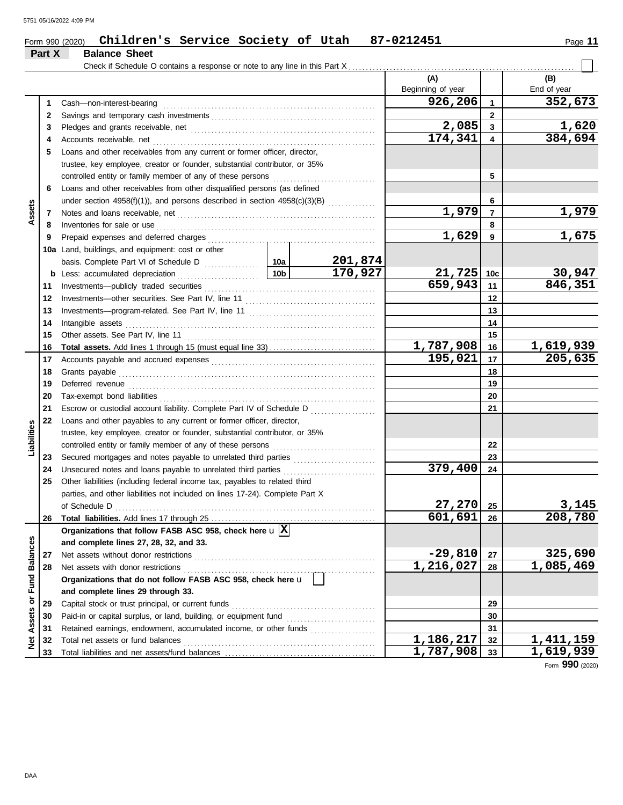|                             |          | Children's Service Society of Utah<br>Form 990 (2020)                                                                                |                 |              | 87-0212451                   |                                         | Page 11              |
|-----------------------------|----------|--------------------------------------------------------------------------------------------------------------------------------------|-----------------|--------------|------------------------------|-----------------------------------------|----------------------|
|                             | Part X   | <b>Balance Sheet</b>                                                                                                                 |                 |              |                              |                                         |                      |
|                             |          |                                                                                                                                      |                 |              |                              |                                         |                      |
|                             |          |                                                                                                                                      |                 |              | (A)                          |                                         | (B)                  |
|                             |          |                                                                                                                                      |                 |              | Beginning of year<br>926,206 |                                         | End of year          |
|                             | 1        | Cash-non-interest-bearing                                                                                                            |                 | $\mathbf{1}$ | 352,673                      |                                         |                      |
|                             | 2        |                                                                                                                                      |                 |              | 2,085                        | $\mathbf{2}$                            |                      |
|                             | 3        |                                                                                                                                      |                 |              | 174,341                      | $\mathbf{3}$<br>$\overline{\mathbf{4}}$ | 1,620<br>384,694     |
|                             | 4        |                                                                                                                                      |                 |              |                              |                                         |                      |
|                             | 5        | Loans and other receivables from any current or former officer, director,                                                            |                 |              |                              |                                         |                      |
|                             |          | trustee, key employee, creator or founder, substantial contributor, or 35%                                                           |                 | 5            |                              |                                         |                      |
|                             | 6        | Loans and other receivables from other disqualified persons (as defined                                                              |                 |              |                              |                                         |                      |
|                             |          | under section 4958(f)(1)), and persons described in section 4958(c)(3)(B)                                                            |                 |              |                              | 6                                       |                      |
| Assets                      |          |                                                                                                                                      |                 |              | 1,979                        | $\overline{7}$                          | 1,979                |
|                             | 7<br>8   | Inventories for sale or use                                                                                                          |                 |              |                              | 8                                       |                      |
|                             | 9        | Prepaid expenses and deferred charges                                                                                                |                 |              | 1,629                        | 9                                       | 1,675                |
|                             |          | 10a Land, buildings, and equipment: cost or other                                                                                    |                 |              |                              |                                         |                      |
|                             |          |                                                                                                                                      |                 | 201,874      |                              |                                         |                      |
|                             |          | <b>b</b> Less: accumulated depreciation                                                                                              | 10 <sub>b</sub> | 170,927      | $21,725$ 10c                 |                                         | 30,947               |
|                             | 11       |                                                                                                                                      |                 |              | 659,943                      | 11                                      | 846,351              |
|                             | 12       |                                                                                                                                      |                 |              |                              | 12                                      |                      |
|                             | 13       |                                                                                                                                      |                 |              |                              | 13                                      |                      |
|                             | 14       | Intangible assets                                                                                                                    |                 | 14           |                              |                                         |                      |
|                             | 15       |                                                                                                                                      |                 | 15           |                              |                                         |                      |
|                             | 16       |                                                                                                                                      |                 |              | 1,787,908                    | 16                                      | 1,619,939            |
|                             | 17       |                                                                                                                                      |                 |              | 195,021                      | 17                                      | 205, 635             |
|                             | 18       | Grants payable                                                                                                                       |                 | 18           |                              |                                         |                      |
|                             | 19       |                                                                                                                                      |                 |              |                              | 19                                      |                      |
|                             | 20       | Tax-exempt bond liabilities                                                                                                          |                 |              |                              | 20                                      |                      |
|                             | 21       | Escrow or custodial account liability. Complete Part IV of Schedule D                                                                |                 | .            |                              | 21                                      |                      |
|                             | 22       | Loans and other payables to any current or former officer, director,                                                                 |                 |              |                              |                                         |                      |
| Liabilities                 |          | trustee, key employee, creator or founder, substantial contributor, or 35%                                                           |                 |              |                              |                                         |                      |
|                             |          | controlled entity or family member of any of these persons                                                                           |                 |              |                              | 22                                      |                      |
|                             | 23       | Secured mortgages and notes payable to unrelated third parties [111] Secured mortgages and notes payable to unrelated third parties  |                 |              |                              | 23                                      |                      |
|                             | 24       | Unsecured notes and loans payable to unrelated third parties                                                                         |                 |              | 379,400                      | 24                                      |                      |
|                             | 25       | Other liabilities (including federal income tax, payables to related third                                                           |                 |              |                              |                                         |                      |
|                             |          | parties, and other liabilities not included on lines 17-24). Complete Part X                                                         |                 |              |                              |                                         |                      |
|                             |          | of Schedule D                                                                                                                        |                 |              | 27,270                       | 25                                      | 3,145                |
|                             | 26       |                                                                                                                                      |                 |              | 601,691                      | 26                                      | 208,780              |
|                             |          | Organizations that follow FASB ASC 958, check here $\mathbf{u}[\overline{\mathbf{X}}]$                                               |                 |              |                              |                                         |                      |
|                             |          | and complete lines 27, 28, 32, and 33.                                                                                               |                 |              |                              |                                         |                      |
|                             | 27       | Net assets without donor restrictions                                                                                                |                 |              | $-29,810$<br>1,216,027       | 27                                      | 325,690<br>1,085,469 |
|                             | 28       | Net assets with donor restrictions                                                                                                   |                 |              |                              | 28                                      |                      |
|                             |          | Organizations that do not follow FASB ASC 958, check here u                                                                          |                 |              |                              |                                         |                      |
|                             |          | and complete lines 29 through 33.                                                                                                    |                 |              |                              |                                         |                      |
|                             | 29       | Capital stock or trust principal, or current funds                                                                                   |                 |              |                              | 29                                      |                      |
|                             | 30       | Paid-in or capital surplus, or land, building, or equipment fund<br>Retained earnings, endowment, accumulated income, or other funds |                 |              |                              | 30<br>31                                |                      |
| Net Assets or Fund Balances | 31<br>32 | Total net assets or fund balances                                                                                                    |                 |              | 1,186,217                    | 32                                      | 1,411,159            |
|                             | 33       |                                                                                                                                      |                 |              | 1,787,908                    | 33                                      | 1,619,939            |
|                             |          |                                                                                                                                      |                 |              |                              |                                         |                      |

Form **990** (2020)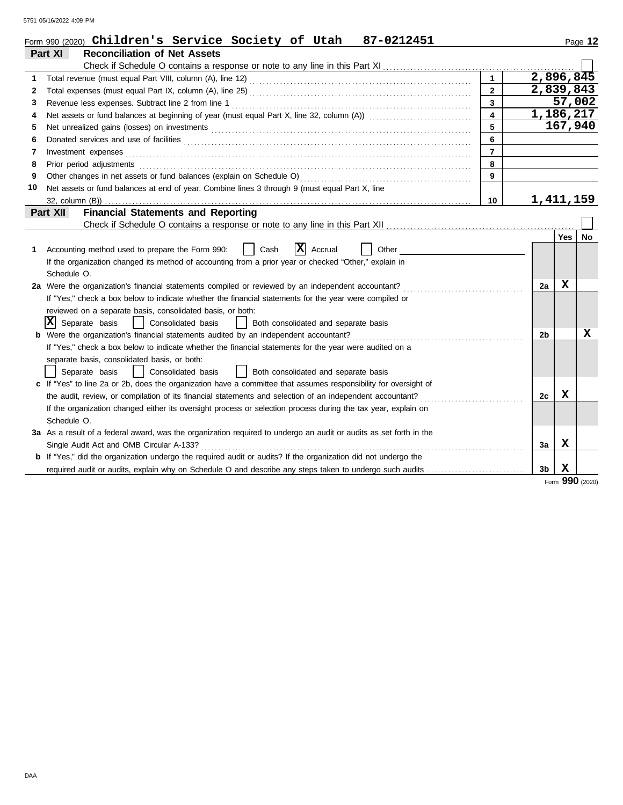|    | Form 990 (2020) Children's Service Society of Utah<br>87-0212451                                                                                                                                                               |                         |                        |            | Page 12         |
|----|--------------------------------------------------------------------------------------------------------------------------------------------------------------------------------------------------------------------------------|-------------------------|------------------------|------------|-----------------|
|    | <b>Reconciliation of Net Assets</b><br>Part XI                                                                                                                                                                                 |                         |                        |            |                 |
|    |                                                                                                                                                                                                                                |                         |                        |            |                 |
| 1  |                                                                                                                                                                                                                                |                         | $\overline{2,896,845}$ |            |                 |
| 2  |                                                                                                                                                                                                                                | $\overline{2}$          | 2,839,843              |            |                 |
| 3  |                                                                                                                                                                                                                                | $\mathbf{3}$            |                        | 57,002     |                 |
| 4  |                                                                                                                                                                                                                                | $\overline{\mathbf{4}}$ | 1,186,217              |            |                 |
| 5  |                                                                                                                                                                                                                                | 5                       |                        | 167,940    |                 |
| 6  | Donated services and use of facilities [[11] matter contracts and the service of facilities [11] matter contracts and use of facilities [11] matter contracts and use of facilities [11] matter contracts and the service of f | 6                       |                        |            |                 |
| 7  | Investment expenses                                                                                                                                                                                                            | $\overline{7}$          |                        |            |                 |
| 8  | Prior period adjustments                                                                                                                                                                                                       | 8                       |                        |            |                 |
| 9  | Other changes in net assets or fund balances (explain on Schedule O)                                                                                                                                                           | 9                       |                        |            |                 |
| 10 | Net assets or fund balances at end of year. Combine lines 3 through 9 (must equal Part X, line                                                                                                                                 |                         |                        |            |                 |
|    |                                                                                                                                                                                                                                | 10                      | 1,411,159              |            |                 |
|    | <b>Financial Statements and Reporting</b><br>Part XII                                                                                                                                                                          |                         |                        |            |                 |
|    |                                                                                                                                                                                                                                |                         |                        |            |                 |
|    |                                                                                                                                                                                                                                |                         |                        | <b>Yes</b> | No              |
| 1  | X <br>Accounting method used to prepare the Form 990:<br>Cash<br>Accrual<br>Other                                                                                                                                              |                         |                        |            |                 |
|    | If the organization changed its method of accounting from a prior year or checked "Other," explain in                                                                                                                          |                         |                        |            |                 |
|    | Schedule O.                                                                                                                                                                                                                    |                         |                        |            |                 |
|    | 2a Were the organization's financial statements compiled or reviewed by an independent accountant?                                                                                                                             |                         | 2a                     | X          |                 |
|    | If "Yes," check a box below to indicate whether the financial statements for the year were compiled or                                                                                                                         |                         |                        |            |                 |
|    | reviewed on a separate basis, consolidated basis, or both:                                                                                                                                                                     |                         |                        |            |                 |
|    | $ \mathbf{X} $ Separate basis<br>Consolidated basis<br>Both consolidated and separate basis                                                                                                                                    |                         |                        |            |                 |
|    | <b>b</b> Were the organization's financial statements audited by an independent accountant?                                                                                                                                    |                         | 2b                     |            | x               |
|    | If "Yes," check a box below to indicate whether the financial statements for the year were audited on a                                                                                                                        |                         |                        |            |                 |
|    | separate basis, consolidated basis, or both:                                                                                                                                                                                   |                         |                        |            |                 |
|    | Both consolidated and separate basis<br>Separate basis<br>Consolidated basis                                                                                                                                                   |                         |                        |            |                 |
|    | c If "Yes" to line 2a or 2b, does the organization have a committee that assumes responsibility for oversight of                                                                                                               |                         |                        |            |                 |
|    | the audit, review, or compilation of its financial statements and selection of an independent accountant?                                                                                                                      |                         | 2c                     | x          |                 |
|    | If the organization changed either its oversight process or selection process during the tax year, explain on                                                                                                                  |                         |                        |            |                 |
|    | Schedule O.                                                                                                                                                                                                                    |                         |                        |            |                 |
|    | 3a As a result of a federal award, was the organization required to undergo an audit or audits as set forth in the                                                                                                             |                         |                        |            |                 |
|    | Single Audit Act and OMB Circular A-133?                                                                                                                                                                                       |                         | 3a                     | x          |                 |
|    | <b>b</b> If "Yes," did the organization undergo the required audit or audits? If the organization did not undergo the                                                                                                          |                         |                        |            |                 |
|    | required audit or audits, explain why on Schedule O and describe any steps taken to undergo such audits                                                                                                                        |                         | 3b                     | x          |                 |
|    |                                                                                                                                                                                                                                |                         |                        |            | Form 990 (2020) |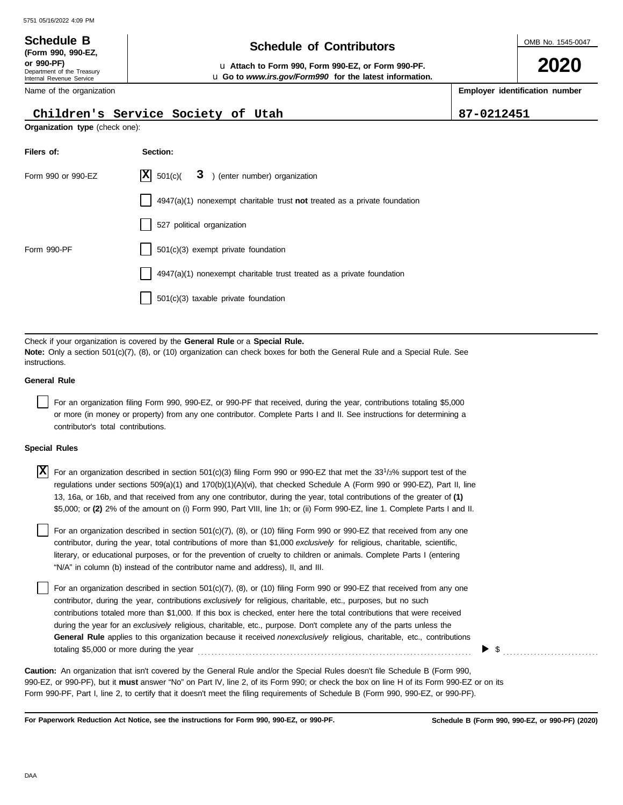#### OMB No. 1545-0047 Department of the Treasury Internal Revenue Service Name of the organization **2020 Schedule of Contributors Schedule B (Form 990, 990-EZ, or 990-PF)** u **Attach to Form 990, Form 990-EZ, or Form 990-PF. Employer identification number** u **Go to** *www.irs.gov/Form990* **for the latest information.**

## **Children's Service Society of Utah 87-0212451**

 $|\mathbf{X}|$  501(c)(

**Organization type** (check one):

Form 990 or 990-EZ

**Filers of: Section:**

| $3$ ) (enter number) organization |  |  |
|-----------------------------------|--|--|

|             | $4947(a)(1)$ nonexempt charitable trust not treated as a private foundation |
|-------------|-----------------------------------------------------------------------------|
|             | 527 political organization                                                  |
| Form 990-PF | 501(c)(3) exempt private foundation                                         |
|             | 4947(a)(1) nonexempt charitable trust treated as a private foundation       |
|             | 501(c)(3) taxable private foundation                                        |

Check if your organization is covered by the **General Rule** or a **Special Rule. Note:** Only a section 501(c)(7), (8), or (10) organization can check boxes for both the General Rule and a Special Rule. See instructions.

#### **General Rule**

For an organization filing Form 990, 990-EZ, or 990-PF that received, during the year, contributions totaling \$5,000 or more (in money or property) from any one contributor. Complete Parts I and II. See instructions for determining a contributor's total contributions.

#### **Special Rules**

| $\boxed{\mathrm{X}}$ For an organization described in section 501(c)(3) filing Form 990 or 990-EZ that met the 331/3% support test of the |
|-------------------------------------------------------------------------------------------------------------------------------------------|
| regulations under sections $509(a)(1)$ and $170(b)(1)(A)(vi)$ , that checked Schedule A (Form 990 or 990-EZ), Part II, line               |
| 13, 16a, or 16b, and that received from any one contributor, during the year, total contributions of the greater of (1)                   |
| \$5,000; or (2) 2% of the amount on (i) Form 990, Part VIII, line 1h; or (ii) Form 990-EZ, line 1. Complete Parts I and II.               |
|                                                                                                                                           |

literary, or educational purposes, or for the prevention of cruelty to children or animals. Complete Parts I (entering For an organization described in section 501(c)(7), (8), or (10) filing Form 990 or 990-EZ that received from any one contributor, during the year, total contributions of more than \$1,000 *exclusively* for religious, charitable, scientific, "N/A" in column (b) instead of the contributor name and address), II, and III.

For an organization described in section 501(c)(7), (8), or (10) filing Form 990 or 990-EZ that received from any one contributor, during the year, contributions *exclusively* for religious, charitable, etc., purposes, but no such contributions totaled more than \$1,000. If this box is checked, enter here the total contributions that were received during the year for an *exclusively* religious, charitable, etc., purpose. Don't complete any of the parts unless the **General Rule** applies to this organization because it received *nonexclusively* religious, charitable, etc., contributions totaling \$5,000 or more during the year . . . . . . . . . . . . . . . . . . . . . . . . . . . . . . . . . . . . . . . . . . . . . . . . . . . . . . . . . . . . . . . . . . . . . . . . . . . . . . . .

990-EZ, or 990-PF), but it **must** answer "No" on Part IV, line 2, of its Form 990; or check the box on line H of its Form 990-EZ or on its Form 990-PF, Part I, line 2, to certify that it doesn't meet the filing requirements of Schedule B (Form 990, 990-EZ, or 990-PF). **Caution:** An organization that isn't covered by the General Rule and/or the Special Rules doesn't file Schedule B (Form 990,

**For Paperwork Reduction Act Notice, see the instructions for Form 990, 990-EZ, or 990-PF.**

 $\blacktriangleright$  \$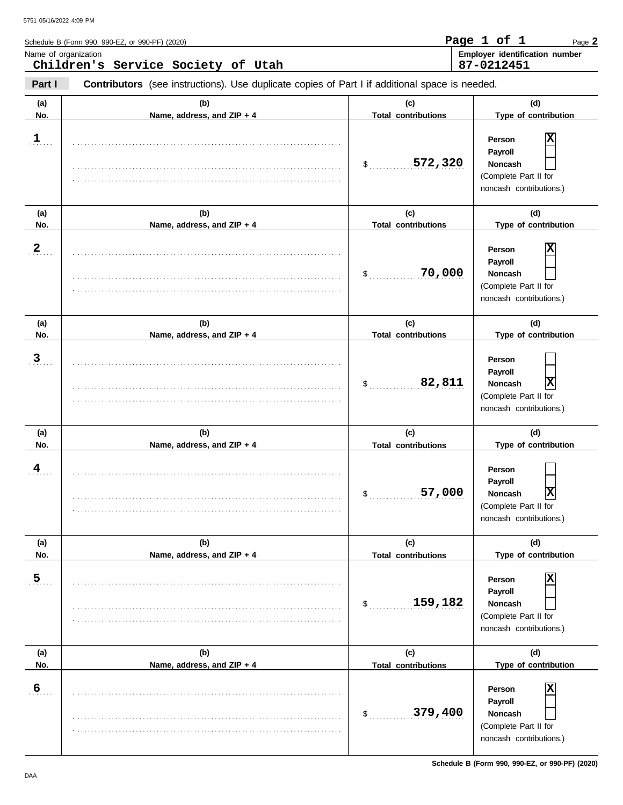|                         | Schedule B (Form 990, 990-EZ, or 990-PF) (2020)                                                |                                   | <u>Page 1 of 1</u><br>Page 2                                                                                       |
|-------------------------|------------------------------------------------------------------------------------------------|-----------------------------------|--------------------------------------------------------------------------------------------------------------------|
| Name of organization    | Children's Service Society of Utah                                                             |                                   | Employer identification number<br>87-0212451                                                                       |
| Part I                  | Contributors (see instructions). Use duplicate copies of Part I if additional space is needed. |                                   |                                                                                                                    |
| (a)<br>No.              | (b)<br>Name, address, and ZIP + 4                                                              | (c)<br><b>Total contributions</b> | (d)<br>Type of contribution                                                                                        |
| $\mathbf{1}$            |                                                                                                | 572,320<br>\$                     | X<br>Person<br>Payroll<br>Noncash<br>(Complete Part II for<br>noncash contributions.)                              |
| (a)                     | (b)                                                                                            | (c)                               | (d)                                                                                                                |
| No.                     | Name, address, and ZIP + 4                                                                     | <b>Total contributions</b>        | Type of contribution                                                                                               |
| $\overline{2}$          |                                                                                                | 70,000<br>\$                      | X<br>Person<br>Payroll<br>Noncash<br>(Complete Part II for<br>noncash contributions.)                              |
| (a)                     | (b)                                                                                            | (c)                               | (d)                                                                                                                |
| No.                     | Name, address, and ZIP + 4                                                                     | <b>Total contributions</b>        | Type of contribution                                                                                               |
| $\mathbf{3}$            |                                                                                                | 82,811<br>\$                      | Person<br>Payroll<br>x<br>Noncash<br>(Complete Part II for<br>noncash contributions.)                              |
| (a)                     | (b)                                                                                            | (c)                               | (d)                                                                                                                |
| No.                     | Name, address, and ZIP + 4                                                                     | <b>Total contributions</b>        | Type of contribution                                                                                               |
| $\overline{\mathbf{4}}$ |                                                                                                | 57,000                            | Person<br>Payroll<br>$\overline{\mathbf{x}}$<br><b>Noncash</b><br>(Complete Part II for<br>noncash contributions.) |
| (a)                     | (b)                                                                                            | (c)                               | (d)                                                                                                                |
| No.                     | Name, address, and ZIP + 4                                                                     | <b>Total contributions</b>        | Type of contribution                                                                                               |
| $\overline{5}$          |                                                                                                | 159,182<br>\$                     | х<br>Person<br>Payroll<br>Noncash<br>(Complete Part II for<br>noncash contributions.)                              |
| (a)                     | (b)                                                                                            | (c)                               | (d)                                                                                                                |
| No.                     | Name, address, and ZIP + 4                                                                     | <b>Total contributions</b>        | Type of contribution                                                                                               |
| $\overline{6}$          |                                                                                                | 379,400<br>\$                     | Person<br>Payroll<br>Noncash<br>(Complete Part II for<br>noncash contributions.)                                   |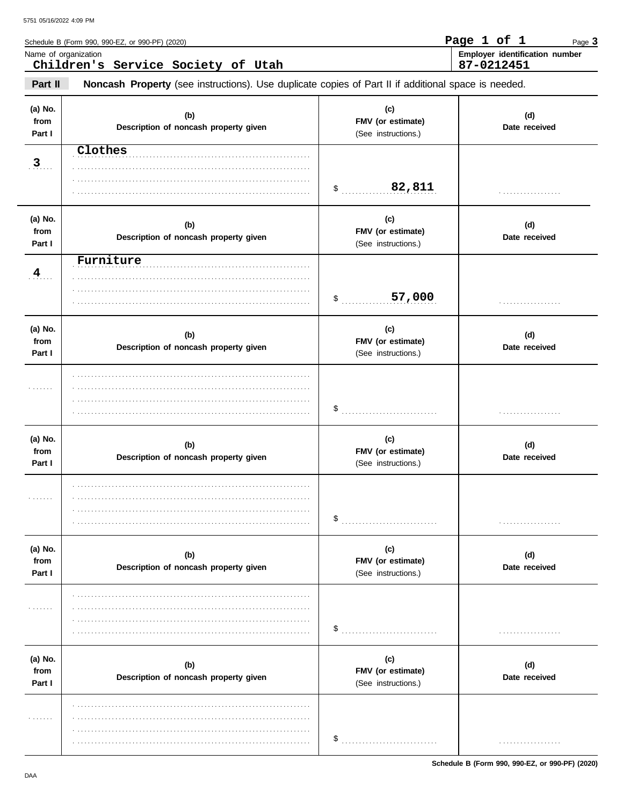| Schedule B (Form 990, 990-EZ, or 990-PF) (2020) |                                                                                                     |                                                 | Page 1 of 1<br>Page 3                        |  |  |  |
|-------------------------------------------------|-----------------------------------------------------------------------------------------------------|-------------------------------------------------|----------------------------------------------|--|--|--|
|                                                 | Name of organization<br>Children's Service Society of Utah                                          |                                                 | Employer identification number<br>87-0212451 |  |  |  |
| Part II                                         | Noncash Property (see instructions). Use duplicate copies of Part II if additional space is needed. |                                                 |                                              |  |  |  |
| (a) No.<br>from<br>Part I                       | (b)<br>Description of noncash property given                                                        | (c)<br>FMV (or estimate)<br>(See instructions.) | (d)<br>Date received                         |  |  |  |
| $\frac{3}{2}$                                   | Clothes                                                                                             |                                                 |                                              |  |  |  |
|                                                 |                                                                                                     | \$30,811                                        | .                                            |  |  |  |
| (a) No.<br>from<br>Part I                       | (b)<br>Description of noncash property given                                                        | (c)<br>FMV (or estimate)<br>(See instructions.) | (d)<br>Date received                         |  |  |  |
| $\frac{4}{1}$                                   | Furniture                                                                                           | $$3$ 57,000                                     | .                                            |  |  |  |
| (a) No.<br>from<br>Part I                       | (b)<br>Description of noncash property given                                                        | (c)<br>FMV (or estimate)<br>(See instructions.) | (d)<br>Date received                         |  |  |  |
|                                                 |                                                                                                     | \$                                              |                                              |  |  |  |
| (a) No.<br>from<br>Part I                       | (b)<br>Description of noncash property given                                                        | (c)<br>FMV (or estimate)<br>(See instructions.) | (d)<br>Date received                         |  |  |  |
|                                                 |                                                                                                     | \$                                              |                                              |  |  |  |
| (a) No.<br>from<br>Part I                       | (b)<br>Description of noncash property given                                                        | (c)<br>FMV (or estimate)<br>(See instructions.) | (d)<br>Date received                         |  |  |  |
| .                                               |                                                                                                     | \$                                              |                                              |  |  |  |
| (a) No.<br>from<br>Part I                       | (b)<br>Description of noncash property given                                                        | (c)<br>FMV (or estimate)<br>(See instructions.) | (d)<br>Date received                         |  |  |  |
| .                                               |                                                                                                     |                                                 | .                                            |  |  |  |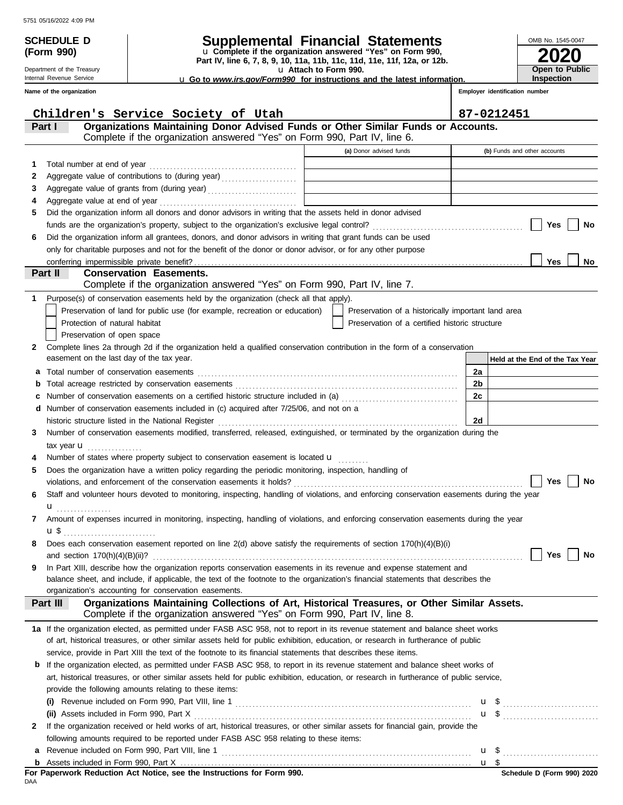**(Form 990)**

| Schedule d | <b>Supplemental Financial Statements</b> |
|------------|------------------------------------------|
|            |                                          |

**Part IV, line 6, 7, 8, 9, 10, 11a, 11b, 11c, 11d, 11e, 11f, 12a, or 12b.** u **Complete if the organization answered "Yes" on Form 990,**

u **Attach to Form 990.** 

u **Go to** *www.irs.gov/Form990* **for instructions and the latest information.**

Internal Revenue Service **Name of the organization**

Department of the Treasury

|              | lame of the organization                                                                                                                                                              |                                                    |    | Employer identification number                               |
|--------------|---------------------------------------------------------------------------------------------------------------------------------------------------------------------------------------|----------------------------------------------------|----|--------------------------------------------------------------|
|              | Children's Service Society of Utah                                                                                                                                                    |                                                    |    | 87-0212451                                                   |
|              | Organizations Maintaining Donor Advised Funds or Other Similar Funds or Accounts.<br>Part I<br>Complete if the organization answered "Yes" on Form 990, Part IV, line 6.              |                                                    |    |                                                              |
|              |                                                                                                                                                                                       | (a) Donor advised funds                            |    | (b) Funds and other accounts                                 |
| 1            | Total number at end of year                                                                                                                                                           |                                                    |    |                                                              |
| 2            | Aggregate value of contributions to (during year) [11] [11] Aggregate value of contributions to (during year)                                                                         |                                                    |    |                                                              |
| 3            |                                                                                                                                                                                       |                                                    |    |                                                              |
| 4            |                                                                                                                                                                                       |                                                    |    |                                                              |
| 5            | Did the organization inform all donors and donor advisors in writing that the assets held in donor advised                                                                            |                                                    |    |                                                              |
|              |                                                                                                                                                                                       |                                                    |    | Yes<br>No                                                    |
| 6            | Did the organization inform all grantees, donors, and donor advisors in writing that grant funds can be used                                                                          |                                                    |    |                                                              |
|              | only for charitable purposes and not for the benefit of the donor or donor advisor, or for any other purpose                                                                          |                                                    |    |                                                              |
|              |                                                                                                                                                                                       |                                                    |    | Yes<br>No                                                    |
|              | Part II<br><b>Conservation Easements.</b><br>Complete if the organization answered "Yes" on Form 990, Part IV, line 7.                                                                |                                                    |    |                                                              |
| 1            | Purpose(s) of conservation easements held by the organization (check all that apply).                                                                                                 |                                                    |    |                                                              |
|              | Preservation of land for public use (for example, recreation or education)                                                                                                            | Preservation of a historically important land area |    |                                                              |
|              | Protection of natural habitat                                                                                                                                                         | Preservation of a certified historic structure     |    |                                                              |
|              | Preservation of open space                                                                                                                                                            |                                                    |    |                                                              |
| $\mathbf{2}$ | Complete lines 2a through 2d if the organization held a qualified conservation contribution in the form of a conservation                                                             |                                                    |    |                                                              |
|              | easement on the last day of the tax year.                                                                                                                                             |                                                    |    | Held at the End of the Tax Year                              |
|              |                                                                                                                                                                                       |                                                    | 2a |                                                              |
|              |                                                                                                                                                                                       |                                                    | 2b |                                                              |
|              | Number of conservation easements on a certified historic structure included in (a) <i>[1] Number</i> of conservation ease                                                             |                                                    | 2c |                                                              |
|              | <b>d</b> Number of conservation easements included in (c) acquired after $7/25/06$ , and not on a                                                                                     |                                                    |    |                                                              |
|              | historic structure listed in the National Register                                                                                                                                    |                                                    | 2d |                                                              |
| 3            | Number of conservation easements modified, transferred, released, extinguished, or terminated by the organization during the                                                          |                                                    |    |                                                              |
|              | tax year $\blacksquare$                                                                                                                                                               |                                                    |    |                                                              |
| 4            | Number of states where property subject to conservation easement is located u                                                                                                         |                                                    |    |                                                              |
| 5            | Does the organization have a written policy regarding the periodic monitoring, inspection, handling of                                                                                |                                                    |    |                                                              |
|              |                                                                                                                                                                                       |                                                    |    | Yes<br>No                                                    |
| 6            | Staff and volunteer hours devoted to monitoring, inspecting, handling of violations, and enforcing conservation easements during the year                                             |                                                    |    |                                                              |
|              | <b>u</b><br>Amount of expenses incurred in monitoring, inspecting, handling of violations, and enforcing conservation easements during the year                                       |                                                    |    |                                                              |
| 7            | $u$ \$                                                                                                                                                                                |                                                    |    |                                                              |
|              | Does each conservation easement reported on line $2(d)$ above satisfy the requirements of section $170(h)(4)(B)(i)$                                                                   |                                                    |    |                                                              |
|              |                                                                                                                                                                                       |                                                    |    | Yes<br>No                                                    |
| 9            | In Part XIII, describe how the organization reports conservation easements in its revenue and expense statement and                                                                   |                                                    |    |                                                              |
|              | balance sheet, and include, if applicable, the text of the footnote to the organization's financial statements that describes the                                                     |                                                    |    |                                                              |
|              | organization's accounting for conservation easements.                                                                                                                                 |                                                    |    |                                                              |
|              | Organizations Maintaining Collections of Art, Historical Treasures, or Other Similar Assets.<br>Part III<br>Complete if the organization answered "Yes" on Form 990, Part IV, line 8. |                                                    |    |                                                              |
|              | 1a If the organization elected, as permitted under FASB ASC 958, not to report in its revenue statement and balance sheet works                                                       |                                                    |    |                                                              |
|              | of art, historical treasures, or other similar assets held for public exhibition, education, or research in furtherance of public                                                     |                                                    |    |                                                              |
|              | service, provide in Part XIII the text of the footnote to its financial statements that describes these items.                                                                        |                                                    |    |                                                              |
|              | <b>b</b> If the organization elected, as permitted under FASB ASC 958, to report in its revenue statement and balance sheet works of                                                  |                                                    |    |                                                              |
|              | art, historical treasures, or other similar assets held for public exhibition, education, or research in furtherance of public service,                                               |                                                    |    |                                                              |
|              | provide the following amounts relating to these items:                                                                                                                                |                                                    |    |                                                              |
|              |                                                                                                                                                                                       |                                                    |    |                                                              |
|              |                                                                                                                                                                                       |                                                    |    | $\mathsf{u}$ \$ $\ldots$ $\ldots$ $\ldots$ $\ldots$ $\ldots$ |
| 2            | If the organization received or held works of art, historical treasures, or other similar assets for financial gain, provide the                                                      |                                                    |    |                                                              |
|              | following amounts required to be reported under FASB ASC 958 relating to these items:                                                                                                 |                                                    |    |                                                              |
| a            |                                                                                                                                                                                       |                                                    |    |                                                              |
|              |                                                                                                                                                                                       |                                                    |    | u \$                                                         |

DAA **For Paperwork Reduction Act Notice, see the Instructions for Form 990.** **2020**

**Open to Public Inspection**

 $\mathbf{I}$ 

OMB No. 1545-0047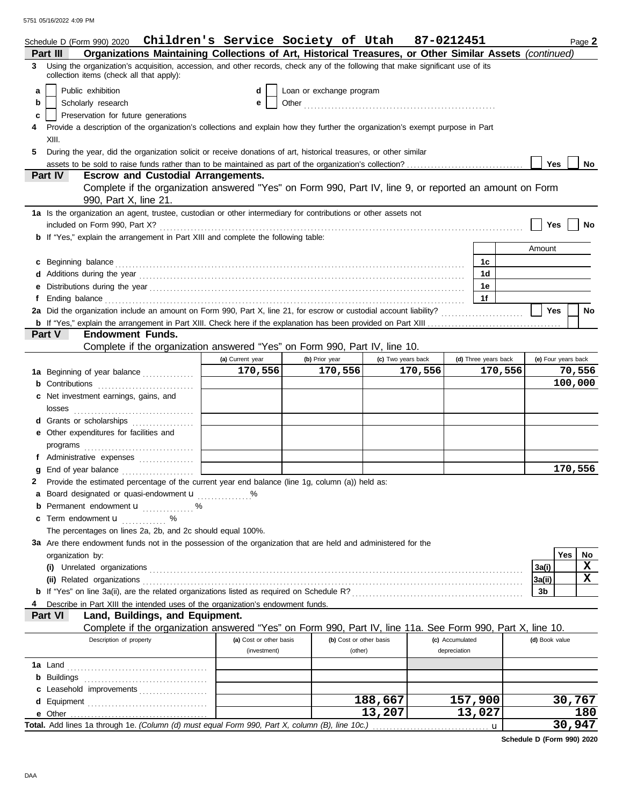|   | Schedule D (Form 990) 2020 Children's Service Society of Utah 87-0212451                                                                                                                                                             |                         |                          |                         |                 |                      |                | Page 2              |
|---|--------------------------------------------------------------------------------------------------------------------------------------------------------------------------------------------------------------------------------------|-------------------------|--------------------------|-------------------------|-----------------|----------------------|----------------|---------------------|
|   | Organizations Maintaining Collections of Art, Historical Treasures, or Other Similar Assets (continued)<br>Part III                                                                                                                  |                         |                          |                         |                 |                      |                |                     |
|   | 3 Using the organization's acquisition, accession, and other records, check any of the following that make significant use of its<br>collection items (check all that apply):                                                        |                         |                          |                         |                 |                      |                |                     |
| a | Public exhibition                                                                                                                                                                                                                    | d                       | Loan or exchange program |                         |                 |                      |                |                     |
| b | Scholarly research                                                                                                                                                                                                                   | e                       |                          |                         |                 |                      |                |                     |
| с | Preservation for future generations                                                                                                                                                                                                  |                         |                          |                         |                 |                      |                |                     |
|   | Provide a description of the organization's collections and explain how they further the organization's exempt purpose in Part                                                                                                       |                         |                          |                         |                 |                      |                |                     |
|   | XIII.                                                                                                                                                                                                                                |                         |                          |                         |                 |                      |                |                     |
| 5 | During the year, did the organization solicit or receive donations of art, historical treasures, or other similar                                                                                                                    |                         |                          |                         |                 |                      |                |                     |
|   |                                                                                                                                                                                                                                      |                         |                          |                         |                 |                      | <b>Yes</b>     | No                  |
|   | Part IV<br><b>Escrow and Custodial Arrangements.</b>                                                                                                                                                                                 |                         |                          |                         |                 |                      |                |                     |
|   | Complete if the organization answered "Yes" on Form 990, Part IV, line 9, or reported an amount on Form<br>990, Part X, line 21.                                                                                                     |                         |                          |                         |                 |                      |                |                     |
|   |                                                                                                                                                                                                                                      |                         |                          |                         |                 |                      |                |                     |
|   | 1a Is the organization an agent, trustee, custodian or other intermediary for contributions or other assets not                                                                                                                      |                         |                          |                         |                 |                      | Yes            | No                  |
|   | <b>b</b> If "Yes," explain the arrangement in Part XIII and complete the following table:                                                                                                                                            |                         |                          |                         |                 |                      |                |                     |
|   |                                                                                                                                                                                                                                      |                         |                          |                         |                 |                      | Amount         |                     |
|   |                                                                                                                                                                                                                                      |                         |                          |                         |                 | 1c                   |                |                     |
|   | c Beginning balance <b>contract to the contract of the set of the contract of the contract of the contract of the contract of the contract of the contract of the contract of the contract of the contract of the contract of th</b> |                         |                          |                         |                 | 1d                   |                |                     |
|   |                                                                                                                                                                                                                                      |                         |                          |                         |                 |                      |                |                     |
|   |                                                                                                                                                                                                                                      |                         |                          |                         |                 | 1е<br>1f             |                |                     |
|   | Ending balance <b>constructs</b> and constructs and constructs and constructs and constructs and constructs and constructs and constructs and constructs and constructs and constructs and constructs and constructs and constructs  |                         |                          |                         |                 |                      | Yes            |                     |
|   |                                                                                                                                                                                                                                      |                         |                          |                         |                 |                      |                | No                  |
|   | <b>Endowment Funds.</b><br><b>Part V</b>                                                                                                                                                                                             |                         |                          |                         |                 |                      |                |                     |
|   | Complete if the organization answered "Yes" on Form 990, Part IV, line 10.                                                                                                                                                           |                         |                          |                         |                 |                      |                |                     |
|   |                                                                                                                                                                                                                                      | (a) Current year        | (b) Prior year           | (c) Two years back      |                 | (d) Three years back |                | (e) Four years back |
|   |                                                                                                                                                                                                                                      | 170,556                 | 170,556                  |                         | 170,556         | 170,556              |                | 70,556              |
|   | 1a Beginning of year balance                                                                                                                                                                                                         |                         |                          |                         |                 |                      |                | 100,000             |
|   | Contributions <b>Contributions</b><br>Net investment earnings, gains, and                                                                                                                                                            |                         |                          |                         |                 |                      |                |                     |
| c | losses                                                                                                                                                                                                                               |                         |                          |                         |                 |                      |                |                     |
|   | d Grants or scholarships                                                                                                                                                                                                             |                         |                          |                         |                 |                      |                |                     |
|   | e Other expenditures for facilities and                                                                                                                                                                                              |                         |                          |                         |                 |                      |                |                     |
|   |                                                                                                                                                                                                                                      |                         |                          |                         |                 |                      |                |                     |
|   | f Administrative expenses                                                                                                                                                                                                            |                         |                          |                         |                 |                      |                |                     |
|   | End of year balance                                                                                                                                                                                                                  |                         |                          |                         |                 |                      |                | 170,556             |
|   | 2 Provide the estimated percentage of the current year end balance (line 1g, column (a)) held as:                                                                                                                                    |                         |                          |                         |                 |                      |                |                     |
|   | a Board designated or quasi-endowment <b>u</b>                                                                                                                                                                                       |                         |                          |                         |                 |                      |                |                     |
|   | <b>b</b> Permanent endowment <b>u</b> %                                                                                                                                                                                              |                         |                          |                         |                 |                      |                |                     |
|   | c Term endowment <b>u</b> %                                                                                                                                                                                                          |                         |                          |                         |                 |                      |                |                     |
|   | The percentages on lines 2a, 2b, and 2c should equal 100%.                                                                                                                                                                           |                         |                          |                         |                 |                      |                |                     |
|   | 3a Are there endowment funds not in the possession of the organization that are held and administered for the                                                                                                                        |                         |                          |                         |                 |                      |                |                     |
|   | organization by:                                                                                                                                                                                                                     |                         |                          |                         |                 |                      |                | Yes<br>No           |
|   |                                                                                                                                                                                                                                      |                         |                          |                         |                 |                      | 3a(i)          | X                   |
|   |                                                                                                                                                                                                                                      |                         |                          |                         |                 |                      | 3a(ii)         | X                   |
|   | (ii) Related organizations <b>constructs</b> and a construction of the construction of the construction of the construction of the construction of the construction of the construction of the construction of the construction of   |                         |                          |                         |                 |                      | 3b             |                     |
|   | Describe in Part XIII the intended uses of the organization's endowment funds.                                                                                                                                                       |                         |                          |                         |                 |                      |                |                     |
|   | Land, Buildings, and Equipment.<br><b>Part VI</b>                                                                                                                                                                                    |                         |                          |                         |                 |                      |                |                     |
|   | Complete if the organization answered "Yes" on Form 990, Part IV, line 11a. See Form 990, Part X, line 10.                                                                                                                           |                         |                          |                         |                 |                      |                |                     |
|   | Description of property                                                                                                                                                                                                              | (a) Cost or other basis |                          | (b) Cost or other basis | (c) Accumulated |                      | (d) Book value |                     |
|   |                                                                                                                                                                                                                                      | (investment)            |                          | (other)                 | depreciation    |                      |                |                     |
|   |                                                                                                                                                                                                                                      |                         |                          |                         |                 |                      |                |                     |
| b |                                                                                                                                                                                                                                      |                         |                          |                         |                 |                      |                |                     |
|   | Leasehold improvements                                                                                                                                                                                                               |                         |                          |                         |                 |                      |                |                     |
| d |                                                                                                                                                                                                                                      |                         |                          | 188,667                 |                 | 157,900              |                | 30,767              |
|   |                                                                                                                                                                                                                                      |                         |                          | 13,207                  |                 | 13,027               |                | 180                 |
|   | Total. Add lines 1a through 1e. (Column (d) must equal Form 990, Part X, column (B), line 10c.)                                                                                                                                      |                         |                          |                         |                 | u                    |                | 30,947              |
|   |                                                                                                                                                                                                                                      |                         |                          |                         |                 |                      |                |                     |

**Schedule D (Form 990) 2020**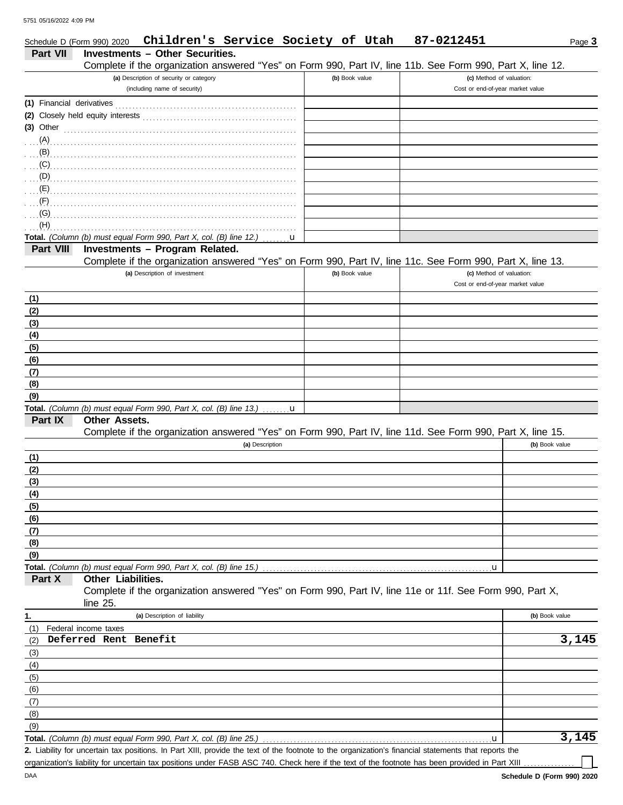| <b>Part VII</b><br>Complete if the organization answered "Yes" on Form 990, Part IV, line 11b. See Form 990, Part X, line 12.<br>(a) Description of security or category<br>(b) Book value<br>(c) Method of valuation:<br>(including name of security)<br>Cost or end-of-year market value<br>(1) Financial derivatives<br>$(3)$ Other<br>(A)<br>(B)<br>(C)<br>(D)<br>$\overline{E}$ (E) and the contract of the contract of the contract of the contract of the contract of the contract of the contract of the contract of the contract of the contract of the contract of the contract of the contract<br>(F)<br>(G)<br>(H)<br>Total. (Column (b) must equal Form 990, Part X, col. (B) line 12.)<br>u<br><b>Investments - Program Related.</b><br>Part VIII<br>Complete if the organization answered "Yes" on Form 990, Part IV, line 11c. See Form 990, Part X, line 13.<br>(a) Description of investment<br>(b) Book value<br>(c) Method of valuation:<br>Cost or end-of-year market value<br>(1)<br>(2)<br>(3)<br>(4)<br>(5)<br>(6)<br>(7)<br>(8)<br>(9)<br>Total. (Column (b) must equal Form 990, Part X, col. (B) line 13.)<br>u<br>Part IX<br>Other Assets.<br>Complete if the organization answered "Yes" on Form 990, Part IV, line 11d. See Form 990, Part X, line 15.<br>(a) Description<br>(b) Book value<br>(1)<br>(2)<br>(3)<br>(4)<br>(5)<br>(6)<br>(7)<br>(8)<br>(9)<br>Total. (Column (b) must equal Form 990, Part X, col. (B) line 15.)<br>u<br>Other Liabilities.<br>Part X<br>Complete if the organization answered "Yes" on Form 990, Part IV, line 11e or 11f. See Form 990, Part X,<br>line $25$ .<br>(a) Description of liability<br>(b) Book value<br>1.<br>(1)<br>Federal income taxes<br>3,145<br>Deferred Rent Benefit<br>(2)<br>(3)<br>(4)<br>(5)<br>(6)<br>(7)<br>(8)<br>(9)<br>3,145<br>Total. (Column (b) must equal Form 990, Part X, col. (B) line 25.)<br>u<br>2. Liability for uncertain tax positions. In Part XIII, provide the text of the footnote to the organization's financial statements that reports the | Schedule D (Form 990) 2020 | Children's Service Society of Utah     | 87-0212451 | Page 3 |
|-------------------------------------------------------------------------------------------------------------------------------------------------------------------------------------------------------------------------------------------------------------------------------------------------------------------------------------------------------------------------------------------------------------------------------------------------------------------------------------------------------------------------------------------------------------------------------------------------------------------------------------------------------------------------------------------------------------------------------------------------------------------------------------------------------------------------------------------------------------------------------------------------------------------------------------------------------------------------------------------------------------------------------------------------------------------------------------------------------------------------------------------------------------------------------------------------------------------------------------------------------------------------------------------------------------------------------------------------------------------------------------------------------------------------------------------------------------------------------------------------------------------------------------------------------------------------------------------------------------------------------------------------------------------------------------------------------------------------------------------------------------------------------------------------------------------------------------------------------------------------------------------------------------------------------------------------------------------------------------------------------------------------------------------------------------|----------------------------|----------------------------------------|------------|--------|
|                                                                                                                                                                                                                                                                                                                                                                                                                                                                                                                                                                                                                                                                                                                                                                                                                                                                                                                                                                                                                                                                                                                                                                                                                                                                                                                                                                                                                                                                                                                                                                                                                                                                                                                                                                                                                                                                                                                                                                                                                                                             |                            | <b>Investments - Other Securities.</b> |            |        |
|                                                                                                                                                                                                                                                                                                                                                                                                                                                                                                                                                                                                                                                                                                                                                                                                                                                                                                                                                                                                                                                                                                                                                                                                                                                                                                                                                                                                                                                                                                                                                                                                                                                                                                                                                                                                                                                                                                                                                                                                                                                             |                            |                                        |            |        |
|                                                                                                                                                                                                                                                                                                                                                                                                                                                                                                                                                                                                                                                                                                                                                                                                                                                                                                                                                                                                                                                                                                                                                                                                                                                                                                                                                                                                                                                                                                                                                                                                                                                                                                                                                                                                                                                                                                                                                                                                                                                             |                            |                                        |            |        |
|                                                                                                                                                                                                                                                                                                                                                                                                                                                                                                                                                                                                                                                                                                                                                                                                                                                                                                                                                                                                                                                                                                                                                                                                                                                                                                                                                                                                                                                                                                                                                                                                                                                                                                                                                                                                                                                                                                                                                                                                                                                             |                            |                                        |            |        |
|                                                                                                                                                                                                                                                                                                                                                                                                                                                                                                                                                                                                                                                                                                                                                                                                                                                                                                                                                                                                                                                                                                                                                                                                                                                                                                                                                                                                                                                                                                                                                                                                                                                                                                                                                                                                                                                                                                                                                                                                                                                             |                            |                                        |            |        |
|                                                                                                                                                                                                                                                                                                                                                                                                                                                                                                                                                                                                                                                                                                                                                                                                                                                                                                                                                                                                                                                                                                                                                                                                                                                                                                                                                                                                                                                                                                                                                                                                                                                                                                                                                                                                                                                                                                                                                                                                                                                             |                            |                                        |            |        |
|                                                                                                                                                                                                                                                                                                                                                                                                                                                                                                                                                                                                                                                                                                                                                                                                                                                                                                                                                                                                                                                                                                                                                                                                                                                                                                                                                                                                                                                                                                                                                                                                                                                                                                                                                                                                                                                                                                                                                                                                                                                             |                            |                                        |            |        |
|                                                                                                                                                                                                                                                                                                                                                                                                                                                                                                                                                                                                                                                                                                                                                                                                                                                                                                                                                                                                                                                                                                                                                                                                                                                                                                                                                                                                                                                                                                                                                                                                                                                                                                                                                                                                                                                                                                                                                                                                                                                             |                            |                                        |            |        |
|                                                                                                                                                                                                                                                                                                                                                                                                                                                                                                                                                                                                                                                                                                                                                                                                                                                                                                                                                                                                                                                                                                                                                                                                                                                                                                                                                                                                                                                                                                                                                                                                                                                                                                                                                                                                                                                                                                                                                                                                                                                             |                            |                                        |            |        |
|                                                                                                                                                                                                                                                                                                                                                                                                                                                                                                                                                                                                                                                                                                                                                                                                                                                                                                                                                                                                                                                                                                                                                                                                                                                                                                                                                                                                                                                                                                                                                                                                                                                                                                                                                                                                                                                                                                                                                                                                                                                             |                            |                                        |            |        |
|                                                                                                                                                                                                                                                                                                                                                                                                                                                                                                                                                                                                                                                                                                                                                                                                                                                                                                                                                                                                                                                                                                                                                                                                                                                                                                                                                                                                                                                                                                                                                                                                                                                                                                                                                                                                                                                                                                                                                                                                                                                             |                            |                                        |            |        |
|                                                                                                                                                                                                                                                                                                                                                                                                                                                                                                                                                                                                                                                                                                                                                                                                                                                                                                                                                                                                                                                                                                                                                                                                                                                                                                                                                                                                                                                                                                                                                                                                                                                                                                                                                                                                                                                                                                                                                                                                                                                             |                            |                                        |            |        |
|                                                                                                                                                                                                                                                                                                                                                                                                                                                                                                                                                                                                                                                                                                                                                                                                                                                                                                                                                                                                                                                                                                                                                                                                                                                                                                                                                                                                                                                                                                                                                                                                                                                                                                                                                                                                                                                                                                                                                                                                                                                             |                            |                                        |            |        |
|                                                                                                                                                                                                                                                                                                                                                                                                                                                                                                                                                                                                                                                                                                                                                                                                                                                                                                                                                                                                                                                                                                                                                                                                                                                                                                                                                                                                                                                                                                                                                                                                                                                                                                                                                                                                                                                                                                                                                                                                                                                             |                            |                                        |            |        |
|                                                                                                                                                                                                                                                                                                                                                                                                                                                                                                                                                                                                                                                                                                                                                                                                                                                                                                                                                                                                                                                                                                                                                                                                                                                                                                                                                                                                                                                                                                                                                                                                                                                                                                                                                                                                                                                                                                                                                                                                                                                             |                            |                                        |            |        |
|                                                                                                                                                                                                                                                                                                                                                                                                                                                                                                                                                                                                                                                                                                                                                                                                                                                                                                                                                                                                                                                                                                                                                                                                                                                                                                                                                                                                                                                                                                                                                                                                                                                                                                                                                                                                                                                                                                                                                                                                                                                             |                            |                                        |            |        |
|                                                                                                                                                                                                                                                                                                                                                                                                                                                                                                                                                                                                                                                                                                                                                                                                                                                                                                                                                                                                                                                                                                                                                                                                                                                                                                                                                                                                                                                                                                                                                                                                                                                                                                                                                                                                                                                                                                                                                                                                                                                             |                            |                                        |            |        |
|                                                                                                                                                                                                                                                                                                                                                                                                                                                                                                                                                                                                                                                                                                                                                                                                                                                                                                                                                                                                                                                                                                                                                                                                                                                                                                                                                                                                                                                                                                                                                                                                                                                                                                                                                                                                                                                                                                                                                                                                                                                             |                            |                                        |            |        |
|                                                                                                                                                                                                                                                                                                                                                                                                                                                                                                                                                                                                                                                                                                                                                                                                                                                                                                                                                                                                                                                                                                                                                                                                                                                                                                                                                                                                                                                                                                                                                                                                                                                                                                                                                                                                                                                                                                                                                                                                                                                             |                            |                                        |            |        |
|                                                                                                                                                                                                                                                                                                                                                                                                                                                                                                                                                                                                                                                                                                                                                                                                                                                                                                                                                                                                                                                                                                                                                                                                                                                                                                                                                                                                                                                                                                                                                                                                                                                                                                                                                                                                                                                                                                                                                                                                                                                             |                            |                                        |            |        |
|                                                                                                                                                                                                                                                                                                                                                                                                                                                                                                                                                                                                                                                                                                                                                                                                                                                                                                                                                                                                                                                                                                                                                                                                                                                                                                                                                                                                                                                                                                                                                                                                                                                                                                                                                                                                                                                                                                                                                                                                                                                             |                            |                                        |            |        |
|                                                                                                                                                                                                                                                                                                                                                                                                                                                                                                                                                                                                                                                                                                                                                                                                                                                                                                                                                                                                                                                                                                                                                                                                                                                                                                                                                                                                                                                                                                                                                                                                                                                                                                                                                                                                                                                                                                                                                                                                                                                             |                            |                                        |            |        |
|                                                                                                                                                                                                                                                                                                                                                                                                                                                                                                                                                                                                                                                                                                                                                                                                                                                                                                                                                                                                                                                                                                                                                                                                                                                                                                                                                                                                                                                                                                                                                                                                                                                                                                                                                                                                                                                                                                                                                                                                                                                             |                            |                                        |            |        |
|                                                                                                                                                                                                                                                                                                                                                                                                                                                                                                                                                                                                                                                                                                                                                                                                                                                                                                                                                                                                                                                                                                                                                                                                                                                                                                                                                                                                                                                                                                                                                                                                                                                                                                                                                                                                                                                                                                                                                                                                                                                             |                            |                                        |            |        |
|                                                                                                                                                                                                                                                                                                                                                                                                                                                                                                                                                                                                                                                                                                                                                                                                                                                                                                                                                                                                                                                                                                                                                                                                                                                                                                                                                                                                                                                                                                                                                                                                                                                                                                                                                                                                                                                                                                                                                                                                                                                             |                            |                                        |            |        |
|                                                                                                                                                                                                                                                                                                                                                                                                                                                                                                                                                                                                                                                                                                                                                                                                                                                                                                                                                                                                                                                                                                                                                                                                                                                                                                                                                                                                                                                                                                                                                                                                                                                                                                                                                                                                                                                                                                                                                                                                                                                             |                            |                                        |            |        |
|                                                                                                                                                                                                                                                                                                                                                                                                                                                                                                                                                                                                                                                                                                                                                                                                                                                                                                                                                                                                                                                                                                                                                                                                                                                                                                                                                                                                                                                                                                                                                                                                                                                                                                                                                                                                                                                                                                                                                                                                                                                             |                            |                                        |            |        |
|                                                                                                                                                                                                                                                                                                                                                                                                                                                                                                                                                                                                                                                                                                                                                                                                                                                                                                                                                                                                                                                                                                                                                                                                                                                                                                                                                                                                                                                                                                                                                                                                                                                                                                                                                                                                                                                                                                                                                                                                                                                             |                            |                                        |            |        |
|                                                                                                                                                                                                                                                                                                                                                                                                                                                                                                                                                                                                                                                                                                                                                                                                                                                                                                                                                                                                                                                                                                                                                                                                                                                                                                                                                                                                                                                                                                                                                                                                                                                                                                                                                                                                                                                                                                                                                                                                                                                             |                            |                                        |            |        |
|                                                                                                                                                                                                                                                                                                                                                                                                                                                                                                                                                                                                                                                                                                                                                                                                                                                                                                                                                                                                                                                                                                                                                                                                                                                                                                                                                                                                                                                                                                                                                                                                                                                                                                                                                                                                                                                                                                                                                                                                                                                             |                            |                                        |            |        |
|                                                                                                                                                                                                                                                                                                                                                                                                                                                                                                                                                                                                                                                                                                                                                                                                                                                                                                                                                                                                                                                                                                                                                                                                                                                                                                                                                                                                                                                                                                                                                                                                                                                                                                                                                                                                                                                                                                                                                                                                                                                             |                            |                                        |            |        |
|                                                                                                                                                                                                                                                                                                                                                                                                                                                                                                                                                                                                                                                                                                                                                                                                                                                                                                                                                                                                                                                                                                                                                                                                                                                                                                                                                                                                                                                                                                                                                                                                                                                                                                                                                                                                                                                                                                                                                                                                                                                             |                            |                                        |            |        |
|                                                                                                                                                                                                                                                                                                                                                                                                                                                                                                                                                                                                                                                                                                                                                                                                                                                                                                                                                                                                                                                                                                                                                                                                                                                                                                                                                                                                                                                                                                                                                                                                                                                                                                                                                                                                                                                                                                                                                                                                                                                             |                            |                                        |            |        |
|                                                                                                                                                                                                                                                                                                                                                                                                                                                                                                                                                                                                                                                                                                                                                                                                                                                                                                                                                                                                                                                                                                                                                                                                                                                                                                                                                                                                                                                                                                                                                                                                                                                                                                                                                                                                                                                                                                                                                                                                                                                             |                            |                                        |            |        |
|                                                                                                                                                                                                                                                                                                                                                                                                                                                                                                                                                                                                                                                                                                                                                                                                                                                                                                                                                                                                                                                                                                                                                                                                                                                                                                                                                                                                                                                                                                                                                                                                                                                                                                                                                                                                                                                                                                                                                                                                                                                             |                            |                                        |            |        |
|                                                                                                                                                                                                                                                                                                                                                                                                                                                                                                                                                                                                                                                                                                                                                                                                                                                                                                                                                                                                                                                                                                                                                                                                                                                                                                                                                                                                                                                                                                                                                                                                                                                                                                                                                                                                                                                                                                                                                                                                                                                             |                            |                                        |            |        |
|                                                                                                                                                                                                                                                                                                                                                                                                                                                                                                                                                                                                                                                                                                                                                                                                                                                                                                                                                                                                                                                                                                                                                                                                                                                                                                                                                                                                                                                                                                                                                                                                                                                                                                                                                                                                                                                                                                                                                                                                                                                             |                            |                                        |            |        |
|                                                                                                                                                                                                                                                                                                                                                                                                                                                                                                                                                                                                                                                                                                                                                                                                                                                                                                                                                                                                                                                                                                                                                                                                                                                                                                                                                                                                                                                                                                                                                                                                                                                                                                                                                                                                                                                                                                                                                                                                                                                             |                            |                                        |            |        |
|                                                                                                                                                                                                                                                                                                                                                                                                                                                                                                                                                                                                                                                                                                                                                                                                                                                                                                                                                                                                                                                                                                                                                                                                                                                                                                                                                                                                                                                                                                                                                                                                                                                                                                                                                                                                                                                                                                                                                                                                                                                             |                            |                                        |            |        |
|                                                                                                                                                                                                                                                                                                                                                                                                                                                                                                                                                                                                                                                                                                                                                                                                                                                                                                                                                                                                                                                                                                                                                                                                                                                                                                                                                                                                                                                                                                                                                                                                                                                                                                                                                                                                                                                                                                                                                                                                                                                             |                            |                                        |            |        |
|                                                                                                                                                                                                                                                                                                                                                                                                                                                                                                                                                                                                                                                                                                                                                                                                                                                                                                                                                                                                                                                                                                                                                                                                                                                                                                                                                                                                                                                                                                                                                                                                                                                                                                                                                                                                                                                                                                                                                                                                                                                             |                            |                                        |            |        |
|                                                                                                                                                                                                                                                                                                                                                                                                                                                                                                                                                                                                                                                                                                                                                                                                                                                                                                                                                                                                                                                                                                                                                                                                                                                                                                                                                                                                                                                                                                                                                                                                                                                                                                                                                                                                                                                                                                                                                                                                                                                             |                            |                                        |            |        |
|                                                                                                                                                                                                                                                                                                                                                                                                                                                                                                                                                                                                                                                                                                                                                                                                                                                                                                                                                                                                                                                                                                                                                                                                                                                                                                                                                                                                                                                                                                                                                                                                                                                                                                                                                                                                                                                                                                                                                                                                                                                             |                            |                                        |            |        |
|                                                                                                                                                                                                                                                                                                                                                                                                                                                                                                                                                                                                                                                                                                                                                                                                                                                                                                                                                                                                                                                                                                                                                                                                                                                                                                                                                                                                                                                                                                                                                                                                                                                                                                                                                                                                                                                                                                                                                                                                                                                             |                            |                                        |            |        |
|                                                                                                                                                                                                                                                                                                                                                                                                                                                                                                                                                                                                                                                                                                                                                                                                                                                                                                                                                                                                                                                                                                                                                                                                                                                                                                                                                                                                                                                                                                                                                                                                                                                                                                                                                                                                                                                                                                                                                                                                                                                             |                            |                                        |            |        |
|                                                                                                                                                                                                                                                                                                                                                                                                                                                                                                                                                                                                                                                                                                                                                                                                                                                                                                                                                                                                                                                                                                                                                                                                                                                                                                                                                                                                                                                                                                                                                                                                                                                                                                                                                                                                                                                                                                                                                                                                                                                             |                            |                                        |            |        |
|                                                                                                                                                                                                                                                                                                                                                                                                                                                                                                                                                                                                                                                                                                                                                                                                                                                                                                                                                                                                                                                                                                                                                                                                                                                                                                                                                                                                                                                                                                                                                                                                                                                                                                                                                                                                                                                                                                                                                                                                                                                             |                            |                                        |            |        |
|                                                                                                                                                                                                                                                                                                                                                                                                                                                                                                                                                                                                                                                                                                                                                                                                                                                                                                                                                                                                                                                                                                                                                                                                                                                                                                                                                                                                                                                                                                                                                                                                                                                                                                                                                                                                                                                                                                                                                                                                                                                             |                            |                                        |            |        |
|                                                                                                                                                                                                                                                                                                                                                                                                                                                                                                                                                                                                                                                                                                                                                                                                                                                                                                                                                                                                                                                                                                                                                                                                                                                                                                                                                                                                                                                                                                                                                                                                                                                                                                                                                                                                                                                                                                                                                                                                                                                             |                            |                                        |            |        |
|                                                                                                                                                                                                                                                                                                                                                                                                                                                                                                                                                                                                                                                                                                                                                                                                                                                                                                                                                                                                                                                                                                                                                                                                                                                                                                                                                                                                                                                                                                                                                                                                                                                                                                                                                                                                                                                                                                                                                                                                                                                             |                            |                                        |            |        |
|                                                                                                                                                                                                                                                                                                                                                                                                                                                                                                                                                                                                                                                                                                                                                                                                                                                                                                                                                                                                                                                                                                                                                                                                                                                                                                                                                                                                                                                                                                                                                                                                                                                                                                                                                                                                                                                                                                                                                                                                                                                             |                            |                                        |            |        |
|                                                                                                                                                                                                                                                                                                                                                                                                                                                                                                                                                                                                                                                                                                                                                                                                                                                                                                                                                                                                                                                                                                                                                                                                                                                                                                                                                                                                                                                                                                                                                                                                                                                                                                                                                                                                                                                                                                                                                                                                                                                             |                            |                                        |            |        |
|                                                                                                                                                                                                                                                                                                                                                                                                                                                                                                                                                                                                                                                                                                                                                                                                                                                                                                                                                                                                                                                                                                                                                                                                                                                                                                                                                                                                                                                                                                                                                                                                                                                                                                                                                                                                                                                                                                                                                                                                                                                             |                            |                                        |            |        |
|                                                                                                                                                                                                                                                                                                                                                                                                                                                                                                                                                                                                                                                                                                                                                                                                                                                                                                                                                                                                                                                                                                                                                                                                                                                                                                                                                                                                                                                                                                                                                                                                                                                                                                                                                                                                                                                                                                                                                                                                                                                             |                            |                                        |            |        |
|                                                                                                                                                                                                                                                                                                                                                                                                                                                                                                                                                                                                                                                                                                                                                                                                                                                                                                                                                                                                                                                                                                                                                                                                                                                                                                                                                                                                                                                                                                                                                                                                                                                                                                                                                                                                                                                                                                                                                                                                                                                             |                            |                                        |            |        |

organization's liability for uncertain tax positions under FASB ASC 740. Check here if the text of the footnote has been provided in Part XIII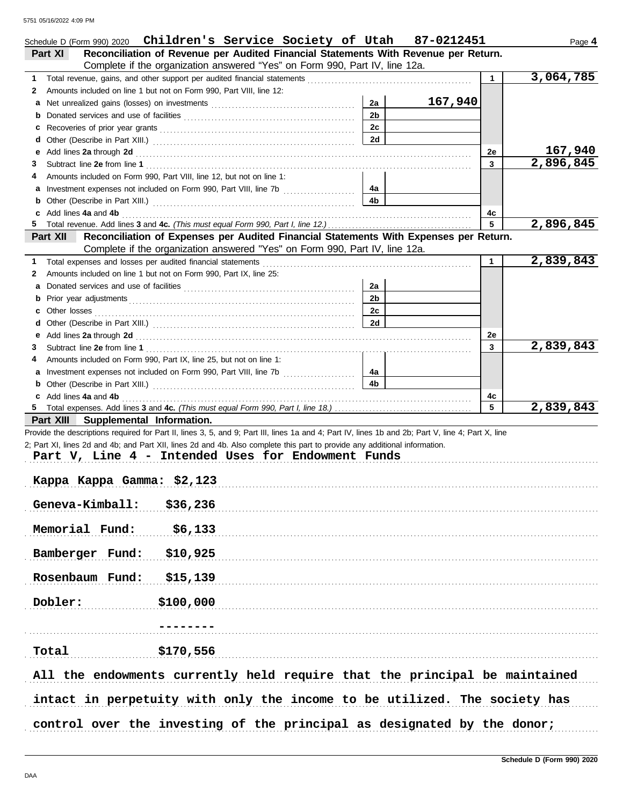| Schedule D (Form 990) 2020 Children's Service Society of Utah 87-0212451                                                                                                                                                            |                |         |              | Page 4    |
|-------------------------------------------------------------------------------------------------------------------------------------------------------------------------------------------------------------------------------------|----------------|---------|--------------|-----------|
| Reconciliation of Revenue per Audited Financial Statements With Revenue per Return.<br>Part XI                                                                                                                                      |                |         |              |           |
| Complete if the organization answered "Yes" on Form 990, Part IV, line 12a.                                                                                                                                                         |                |         |              |           |
| 1.                                                                                                                                                                                                                                  |                |         | $\mathbf{1}$ | 3,064,785 |
| Amounts included on line 1 but not on Form 990, Part VIII, line 12:<br>2                                                                                                                                                            |                |         |              |           |
| a                                                                                                                                                                                                                                   | 2a             | 167,940 |              |           |
| b                                                                                                                                                                                                                                   | 2 <sub>b</sub> |         |              |           |
| c                                                                                                                                                                                                                                   | 2c             |         |              |           |
| d                                                                                                                                                                                                                                   | <b>2d</b>      |         |              |           |
| е                                                                                                                                                                                                                                   |                |         | 2e           | 167,940   |
| 3                                                                                                                                                                                                                                   |                |         | $\mathbf{3}$ | 2,896,845 |
| Amounts included on Form 990, Part VIII, line 12, but not on line 1:<br>4                                                                                                                                                           |                |         |              |           |
| а                                                                                                                                                                                                                                   | 4а             |         |              |           |
| b                                                                                                                                                                                                                                   | 4b             |         |              |           |
| Add lines 4a and 4b<br>c                                                                                                                                                                                                            |                |         | 4с           |           |
| 5.                                                                                                                                                                                                                                  |                |         | 5            | 2,896,845 |
| Reconciliation of Expenses per Audited Financial Statements With Expenses per Return.<br>Part XII                                                                                                                                   |                |         |              |           |
| Complete if the organization answered "Yes" on Form 990, Part IV, line 12a.                                                                                                                                                         |                |         |              |           |
| Total expenses and losses per audited financial statements<br>1                                                                                                                                                                     |                |         | $\mathbf{1}$ | 2,839,843 |
| Amounts included on line 1 but not on Form 990, Part IX, line 25:<br>2                                                                                                                                                              |                |         |              |           |
| a                                                                                                                                                                                                                                   | 2a             |         |              |           |
| b                                                                                                                                                                                                                                   | 2 <sub>b</sub> |         |              |           |
| c                                                                                                                                                                                                                                   | 2c             |         |              |           |
| d                                                                                                                                                                                                                                   | 2d             |         |              |           |
| Add lines 2a through 2d [11] March 2014 [12] March 2014 [12] March 2014 [12] March 2014 [12] March 2014 [12] March 2015 [12] March 2014 [12] March 2014 [12] March 2014 [12] March 2014 [12] March 2014 [12] March 2014 [12] M<br>е |                |         | 2e           |           |
| 3                                                                                                                                                                                                                                   |                |         | $\mathbf{3}$ | 2,839,843 |
| Amounts included on Form 990, Part IX, line 25, but not on line 1:<br>4                                                                                                                                                             |                |         |              |           |
| a                                                                                                                                                                                                                                   | 4а             |         |              |           |
| b                                                                                                                                                                                                                                   | 4b             |         |              |           |
| Add lines 4a and 4b<br>c                                                                                                                                                                                                            |                |         | 4c           |           |
|                                                                                                                                                                                                                                     |                |         | 5            | 2,839,843 |
| Part XIII Supplemental Information.                                                                                                                                                                                                 |                |         |              |           |
| Provide the descriptions required for Part II, lines 3, 5, and 9; Part III, lines 1a and 4; Part IV, lines 1b and 2b; Part V, line 4; Part X, line                                                                                  |                |         |              |           |
| 2; Part XI, lines 2d and 4b; and Part XII, lines 2d and 4b. Also complete this part to provide any additional information.                                                                                                          |                |         |              |           |
| Part V, Line 4 - Intended Uses for Endowment Funds                                                                                                                                                                                  |                |         |              |           |
|                                                                                                                                                                                                                                     |                |         |              |           |
| Kappa Kappa Gamma: \$2,123                                                                                                                                                                                                          |                |         |              |           |
|                                                                                                                                                                                                                                     |                |         |              |           |
| Geneva-Kimball:<br>\$36,236                                                                                                                                                                                                         |                |         |              |           |
|                                                                                                                                                                                                                                     |                |         |              |           |
| Memorial Fund:<br>\$6,133                                                                                                                                                                                                           |                |         |              |           |
|                                                                                                                                                                                                                                     |                |         |              |           |
| Bamberger Fund:<br>\$10,925                                                                                                                                                                                                         |                |         |              |           |
|                                                                                                                                                                                                                                     |                |         |              |           |
| Rosenbaum Fund:<br>\$15,139                                                                                                                                                                                                         |                |         |              |           |
|                                                                                                                                                                                                                                     |                |         |              |           |
| Dobler:<br>\$100,000                                                                                                                                                                                                                |                |         |              |           |
|                                                                                                                                                                                                                                     |                |         |              |           |
|                                                                                                                                                                                                                                     |                |         |              |           |
|                                                                                                                                                                                                                                     |                |         |              |           |
| \$170,556<br>Total                                                                                                                                                                                                                  |                |         |              |           |
|                                                                                                                                                                                                                                     |                |         |              |           |
| All the endowments currently held require that the principal be maintained                                                                                                                                                          |                |         |              |           |
|                                                                                                                                                                                                                                     |                |         |              |           |
| intact in perpetuity with only the income to be utilized. The society has                                                                                                                                                           |                |         |              |           |
| control over the investing of the principal as designated by the donor;                                                                                                                                                             |                |         |              |           |
|                                                                                                                                                                                                                                     |                |         |              |           |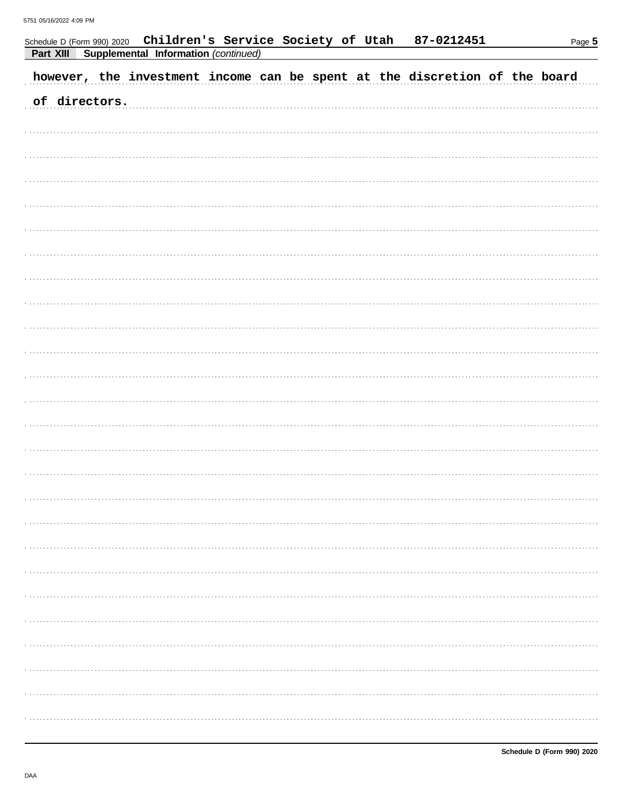| Part XIII | Schedule D (Form 990) 2020 Children's Service Society of Utah<br>Supplemental Information (continued) |  |  |  |  |  |  | 87-0212451 |  |  |                                                                            | Page 5 |
|-----------|-------------------------------------------------------------------------------------------------------|--|--|--|--|--|--|------------|--|--|----------------------------------------------------------------------------|--------|
|           |                                                                                                       |  |  |  |  |  |  |            |  |  | however, the investment income can be spent at the discretion of the board |        |
|           | of directors.                                                                                         |  |  |  |  |  |  |            |  |  |                                                                            |        |
|           |                                                                                                       |  |  |  |  |  |  |            |  |  |                                                                            |        |
|           |                                                                                                       |  |  |  |  |  |  |            |  |  |                                                                            |        |
|           |                                                                                                       |  |  |  |  |  |  |            |  |  |                                                                            |        |
|           |                                                                                                       |  |  |  |  |  |  |            |  |  |                                                                            |        |
|           |                                                                                                       |  |  |  |  |  |  |            |  |  |                                                                            |        |
|           |                                                                                                       |  |  |  |  |  |  |            |  |  |                                                                            |        |
|           |                                                                                                       |  |  |  |  |  |  |            |  |  |                                                                            |        |
|           |                                                                                                       |  |  |  |  |  |  |            |  |  |                                                                            |        |
|           |                                                                                                       |  |  |  |  |  |  |            |  |  |                                                                            |        |
|           |                                                                                                       |  |  |  |  |  |  |            |  |  |                                                                            |        |
|           |                                                                                                       |  |  |  |  |  |  |            |  |  |                                                                            |        |
|           |                                                                                                       |  |  |  |  |  |  |            |  |  |                                                                            |        |
|           |                                                                                                       |  |  |  |  |  |  |            |  |  |                                                                            |        |
|           |                                                                                                       |  |  |  |  |  |  |            |  |  |                                                                            |        |
|           |                                                                                                       |  |  |  |  |  |  |            |  |  |                                                                            |        |
|           |                                                                                                       |  |  |  |  |  |  |            |  |  |                                                                            |        |
|           |                                                                                                       |  |  |  |  |  |  |            |  |  |                                                                            | .      |
|           |                                                                                                       |  |  |  |  |  |  |            |  |  |                                                                            |        |
|           |                                                                                                       |  |  |  |  |  |  |            |  |  |                                                                            | .      |
|           |                                                                                                       |  |  |  |  |  |  |            |  |  |                                                                            | .      |
|           |                                                                                                       |  |  |  |  |  |  |            |  |  |                                                                            | .      |
|           |                                                                                                       |  |  |  |  |  |  |            |  |  |                                                                            |        |
|           |                                                                                                       |  |  |  |  |  |  |            |  |  |                                                                            |        |
|           |                                                                                                       |  |  |  |  |  |  |            |  |  |                                                                            |        |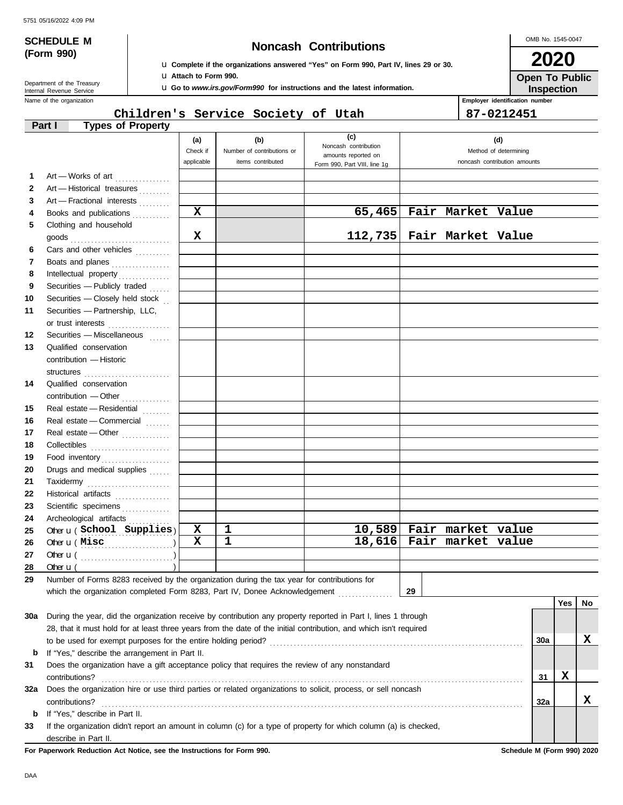# **(Form 990)**

Department of the Treasury<br>Internal Revenue Service

## **SCHEDULE M Noncash Contributions**

u **Complete if the organizations answered "Yes" on Form 990, Part IV, lines 29 or 30.** u **Attach to Form 990.**

u **Go to** *www.irs.gov/Form990* **for instructions and the latest information.**

Name of the organization **Employer identification number Employer identification number Inspection**

OMB No. 1545-0047

**2020**

**Open To Public**

| $97 - 0212451$ |  |  |  |
|----------------|--|--|--|

|          |                                                                                                                    |                               | Children's Service Society of Utah                     |                                                                                    |    |                          | 87-0212451                                                   |     |     |    |
|----------|--------------------------------------------------------------------------------------------------------------------|-------------------------------|--------------------------------------------------------|------------------------------------------------------------------------------------|----|--------------------------|--------------------------------------------------------------|-----|-----|----|
|          | <b>Types of Property</b><br>Part I                                                                                 |                               |                                                        |                                                                                    |    |                          |                                                              |     |     |    |
|          |                                                                                                                    | (a)<br>Check if<br>applicable | (b)<br>Number of contributions or<br>items contributed | (c)<br>Noncash contribution<br>amounts reported on<br>Form 990, Part VIII, line 1g |    |                          | (d)<br>Method of determining<br>noncash contribution amounts |     |     |    |
| 1        | Art - Works of art                                                                                                 |                               |                                                        |                                                                                    |    |                          |                                                              |     |     |    |
| 2        | Art - Historical treasures                                                                                         |                               |                                                        |                                                                                    |    |                          |                                                              |     |     |    |
| 3        | Art - Fractional interests                                                                                         |                               |                                                        |                                                                                    |    |                          |                                                              |     |     |    |
| 4        | Books and publications                                                                                             | $\mathbf x$                   |                                                        |                                                                                    |    | 65,465 Fair Market Value |                                                              |     |     |    |
| 5        | Clothing and household                                                                                             |                               |                                                        |                                                                                    |    |                          |                                                              |     |     |    |
|          |                                                                                                                    | X                             |                                                        | 112,735 Fair Market Value                                                          |    |                          |                                                              |     |     |    |
| 6        | Cars and other vehicles                                                                                            |                               |                                                        |                                                                                    |    |                          |                                                              |     |     |    |
| 7        | Boats and planes                                                                                                   |                               |                                                        |                                                                                    |    |                          |                                                              |     |     |    |
| 8        | Intellectual property                                                                                              |                               |                                                        |                                                                                    |    |                          |                                                              |     |     |    |
| 9        | Securities - Publicly traded                                                                                       |                               |                                                        |                                                                                    |    |                          |                                                              |     |     |    |
| 10       | Securities - Closely held stock                                                                                    |                               |                                                        |                                                                                    |    |                          |                                                              |     |     |    |
| 11       | Securities - Partnership, LLC,                                                                                     |                               |                                                        |                                                                                    |    |                          |                                                              |     |     |    |
|          | or trust interests                                                                                                 |                               |                                                        |                                                                                    |    |                          |                                                              |     |     |    |
| 12       | Securities - Miscellaneous [11111]                                                                                 |                               |                                                        |                                                                                    |    |                          |                                                              |     |     |    |
| 13       | Qualified conservation                                                                                             |                               |                                                        |                                                                                    |    |                          |                                                              |     |     |    |
|          | contribution - Historic                                                                                            |                               |                                                        |                                                                                    |    |                          |                                                              |     |     |    |
|          | structures                                                                                                         |                               |                                                        |                                                                                    |    |                          |                                                              |     |     |    |
| 14       | Qualified conservation                                                                                             |                               |                                                        |                                                                                    |    |                          |                                                              |     |     |    |
|          |                                                                                                                    |                               |                                                        |                                                                                    |    |                          |                                                              |     |     |    |
| 15       | Real estate - Residential                                                                                          |                               |                                                        |                                                                                    |    |                          |                                                              |     |     |    |
| 16       | Real estate - Commercial                                                                                           |                               |                                                        |                                                                                    |    |                          |                                                              |     |     |    |
| 17       | Real estate - Other                                                                                                |                               |                                                        |                                                                                    |    |                          |                                                              |     |     |    |
| 18       | Collectibles                                                                                                       |                               |                                                        |                                                                                    |    |                          |                                                              |     |     |    |
| 19       | Food inventory                                                                                                     |                               |                                                        |                                                                                    |    |                          |                                                              |     |     |    |
| 20       | Drugs and medical supplies                                                                                         |                               |                                                        |                                                                                    |    |                          |                                                              |     |     |    |
| 21       | Taxidermy                                                                                                          |                               |                                                        |                                                                                    |    |                          |                                                              |     |     |    |
| 22       | Historical artifacts                                                                                               |                               |                                                        |                                                                                    |    |                          |                                                              |     |     |    |
| 23       | Scientific specimens                                                                                               |                               |                                                        |                                                                                    |    |                          |                                                              |     |     |    |
| 24<br>25 | Archeological artifacts<br>Other u(School Supplies)                                                                | X                             | 1                                                      |                                                                                    |    | 10,589 Fair market value |                                                              |     |     |    |
| 26       |                                                                                                                    | X                             | 1                                                      | 18,616                                                                             |    | Fair market value        |                                                              |     |     |    |
| 27       |                                                                                                                    |                               |                                                        |                                                                                    |    |                          |                                                              |     |     |    |
| 28       | Other $\mathsf{u}$                                                                                                 |                               |                                                        |                                                                                    |    |                          |                                                              |     |     |    |
| 29       | Number of Forms 8283 received by the organization during the tax year for contributions for                        |                               |                                                        |                                                                                    |    |                          |                                                              |     |     |    |
|          | which the organization completed Form 8283, Part IV, Donee Acknowledgement [ [ [ [ [ ] ] ] ]                       |                               |                                                        |                                                                                    | 29 |                          |                                                              |     |     |    |
|          |                                                                                                                    |                               |                                                        |                                                                                    |    |                          |                                                              |     | Yes | No |
| 30a      | During the year, did the organization receive by contribution any property reported in Part I, lines 1 through     |                               |                                                        |                                                                                    |    |                          |                                                              |     |     |    |
|          | 28, that it must hold for at least three years from the date of the initial contribution, and which isn't required |                               |                                                        |                                                                                    |    |                          |                                                              |     |     |    |
|          |                                                                                                                    |                               |                                                        |                                                                                    |    |                          |                                                              | 30a |     | X  |
| b        | If "Yes," describe the arrangement in Part II.                                                                     |                               |                                                        |                                                                                    |    |                          |                                                              |     |     |    |
| 31       | Does the organization have a gift acceptance policy that requires the review of any nonstandard                    |                               |                                                        |                                                                                    |    |                          |                                                              |     |     |    |
|          | contributions?                                                                                                     |                               |                                                        |                                                                                    |    |                          |                                                              | 31  | X   |    |
| 32a      | Does the organization hire or use third parties or related organizations to solicit, process, or sell noncash      |                               |                                                        |                                                                                    |    |                          |                                                              |     |     |    |
|          | contributions?                                                                                                     |                               |                                                        |                                                                                    |    |                          |                                                              | 32a |     | X  |
| b        | If "Yes," describe in Part II.                                                                                     |                               |                                                        |                                                                                    |    |                          |                                                              |     |     |    |
| 33       | If the organization didn't report an amount in column (c) for a type of property for which column (a) is checked,  |                               |                                                        |                                                                                    |    |                          |                                                              |     |     |    |
|          | describe in Part II.                                                                                               |                               |                                                        |                                                                                    |    |                          |                                                              |     |     |    |
|          | For Paperwork Reduction Act Notice, see the Instructions for Form 990.                                             |                               |                                                        |                                                                                    |    |                          | Schedule M (Form 990) 2020                                   |     |     |    |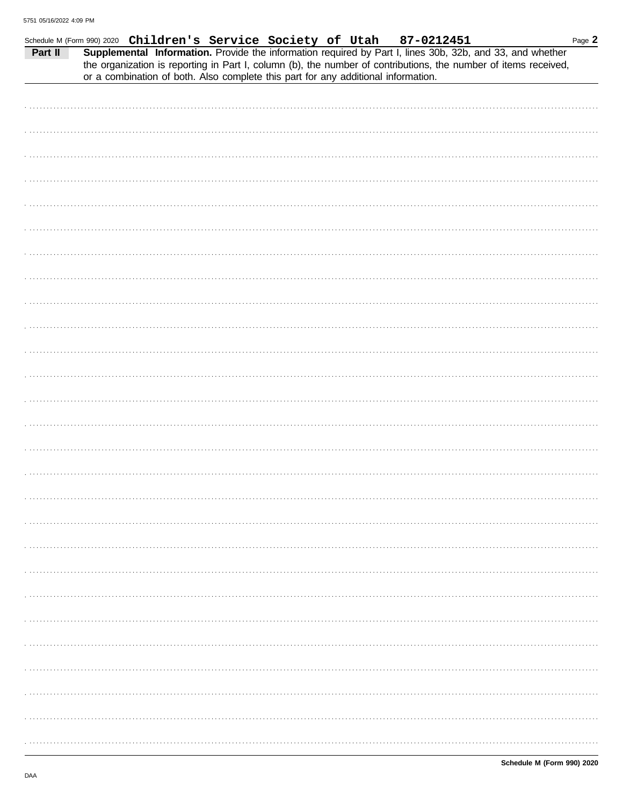|         |  |  | Schedule M (Form 990) 2020 Children's Service Society of Utah                     |  | 87-0212451 |                                                                                                                                                                                                                              | Page 2 |
|---------|--|--|-----------------------------------------------------------------------------------|--|------------|------------------------------------------------------------------------------------------------------------------------------------------------------------------------------------------------------------------------------|--------|
| Part II |  |  | or a combination of both. Also complete this part for any additional information. |  |            | Supplemental Information. Provide the information required by Part I, lines 30b, 32b, and 33, and whether<br>the organization is reporting in Part I, column (b), the number of contributions, the number of items received, |        |
|         |  |  |                                                                                   |  |            |                                                                                                                                                                                                                              |        |
|         |  |  |                                                                                   |  |            |                                                                                                                                                                                                                              |        |
|         |  |  |                                                                                   |  |            |                                                                                                                                                                                                                              |        |
|         |  |  |                                                                                   |  |            |                                                                                                                                                                                                                              |        |
|         |  |  |                                                                                   |  |            |                                                                                                                                                                                                                              |        |
|         |  |  |                                                                                   |  |            |                                                                                                                                                                                                                              |        |
|         |  |  |                                                                                   |  |            |                                                                                                                                                                                                                              |        |
|         |  |  |                                                                                   |  |            |                                                                                                                                                                                                                              |        |
|         |  |  |                                                                                   |  |            |                                                                                                                                                                                                                              |        |
|         |  |  |                                                                                   |  |            |                                                                                                                                                                                                                              |        |
|         |  |  |                                                                                   |  |            |                                                                                                                                                                                                                              |        |
|         |  |  |                                                                                   |  |            |                                                                                                                                                                                                                              |        |
|         |  |  |                                                                                   |  |            |                                                                                                                                                                                                                              |        |
|         |  |  |                                                                                   |  |            |                                                                                                                                                                                                                              |        |
|         |  |  |                                                                                   |  |            |                                                                                                                                                                                                                              |        |
|         |  |  |                                                                                   |  |            |                                                                                                                                                                                                                              |        |
|         |  |  |                                                                                   |  |            |                                                                                                                                                                                                                              |        |
|         |  |  |                                                                                   |  |            |                                                                                                                                                                                                                              |        |
|         |  |  |                                                                                   |  |            |                                                                                                                                                                                                                              |        |
|         |  |  |                                                                                   |  |            |                                                                                                                                                                                                                              |        |
|         |  |  |                                                                                   |  |            |                                                                                                                                                                                                                              |        |
|         |  |  |                                                                                   |  |            |                                                                                                                                                                                                                              |        |
|         |  |  |                                                                                   |  |            |                                                                                                                                                                                                                              |        |
|         |  |  |                                                                                   |  |            |                                                                                                                                                                                                                              |        |
|         |  |  |                                                                                   |  |            |                                                                                                                                                                                                                              |        |
|         |  |  |                                                                                   |  |            |                                                                                                                                                                                                                              |        |
|         |  |  |                                                                                   |  |            |                                                                                                                                                                                                                              |        |
|         |  |  |                                                                                   |  |            |                                                                                                                                                                                                                              |        |
|         |  |  |                                                                                   |  |            |                                                                                                                                                                                                                              |        |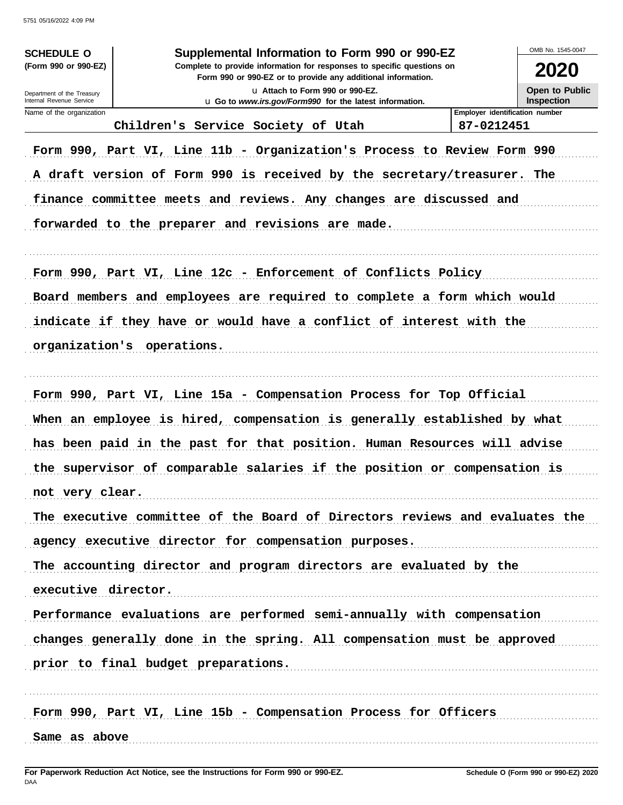| <b>SCHEDULE O</b><br>(Form 990 or 990-EZ)<br>Department of the Treasury<br>Internal Revenue Service | Supplemental Information to Form 990 or 990-EZ<br>Complete to provide information for responses to specific questions on<br>Form 990 or 990-EZ or to provide any additional information.<br>U Attach to Form 990 or 990-EZ.<br>u Go to www.irs.gov/Form990 for the latest information. |                                              |  |  |  |  |  |  |  |  |
|-----------------------------------------------------------------------------------------------------|----------------------------------------------------------------------------------------------------------------------------------------------------------------------------------------------------------------------------------------------------------------------------------------|----------------------------------------------|--|--|--|--|--|--|--|--|
| Name of the organization                                                                            | Children's Service Society of Utah                                                                                                                                                                                                                                                     | Employer identification number<br>87-0212451 |  |  |  |  |  |  |  |  |
|                                                                                                     | Form 990, Part VI, Line 11b - Organization's Process to Review Form 990                                                                                                                                                                                                                |                                              |  |  |  |  |  |  |  |  |
|                                                                                                     | A draft version of Form 990 is received by the secretary/treasurer. The                                                                                                                                                                                                                |                                              |  |  |  |  |  |  |  |  |
| finance committee meets and reviews. Any changes are discussed and                                  |                                                                                                                                                                                                                                                                                        |                                              |  |  |  |  |  |  |  |  |
|                                                                                                     | forwarded to the preparer and revisions are made.                                                                                                                                                                                                                                      |                                              |  |  |  |  |  |  |  |  |
|                                                                                                     |                                                                                                                                                                                                                                                                                        |                                              |  |  |  |  |  |  |  |  |
|                                                                                                     | Form 990, Part VI, Line 12c - Enforcement of Conflicts Policy                                                                                                                                                                                                                          |                                              |  |  |  |  |  |  |  |  |
|                                                                                                     | Board members and employees are required to complete a form which would                                                                                                                                                                                                                |                                              |  |  |  |  |  |  |  |  |
|                                                                                                     | indicate if they have or would have a conflict of interest with the                                                                                                                                                                                                                    |                                              |  |  |  |  |  |  |  |  |
| organization's operations.                                                                          |                                                                                                                                                                                                                                                                                        |                                              |  |  |  |  |  |  |  |  |
|                                                                                                     |                                                                                                                                                                                                                                                                                        |                                              |  |  |  |  |  |  |  |  |
|                                                                                                     | Form 990, Part VI, Line 15a - Compensation Process for Top Official                                                                                                                                                                                                                    |                                              |  |  |  |  |  |  |  |  |
|                                                                                                     | When an employee is hired, compensation is generally established by what                                                                                                                                                                                                               |                                              |  |  |  |  |  |  |  |  |
|                                                                                                     | has been paid in the past for that position. Human Resources will advise                                                                                                                                                                                                               |                                              |  |  |  |  |  |  |  |  |
|                                                                                                     | the supervisor of comparable salaries if the position or compensation is                                                                                                                                                                                                               |                                              |  |  |  |  |  |  |  |  |
| not very clear.                                                                                     |                                                                                                                                                                                                                                                                                        |                                              |  |  |  |  |  |  |  |  |
|                                                                                                     | The executive committee of the Board of Directors reviews and evaluates the                                                                                                                                                                                                            |                                              |  |  |  |  |  |  |  |  |
|                                                                                                     | agency executive director for compensation purposes.                                                                                                                                                                                                                                   |                                              |  |  |  |  |  |  |  |  |
|                                                                                                     | The accounting director and program directors are evaluated by the                                                                                                                                                                                                                     |                                              |  |  |  |  |  |  |  |  |
| executive director.                                                                                 |                                                                                                                                                                                                                                                                                        |                                              |  |  |  |  |  |  |  |  |
|                                                                                                     | Performance evaluations are performed semi-annually with compensation                                                                                                                                                                                                                  |                                              |  |  |  |  |  |  |  |  |
|                                                                                                     | changes generally done in the spring. All compensation must be approved                                                                                                                                                                                                                |                                              |  |  |  |  |  |  |  |  |
|                                                                                                     | prior to final budget preparations.                                                                                                                                                                                                                                                    |                                              |  |  |  |  |  |  |  |  |
|                                                                                                     |                                                                                                                                                                                                                                                                                        |                                              |  |  |  |  |  |  |  |  |
|                                                                                                     | Form 990, Part VI, Line 15b - Compensation Process for Officers                                                                                                                                                                                                                        |                                              |  |  |  |  |  |  |  |  |
| Same as above                                                                                       |                                                                                                                                                                                                                                                                                        |                                              |  |  |  |  |  |  |  |  |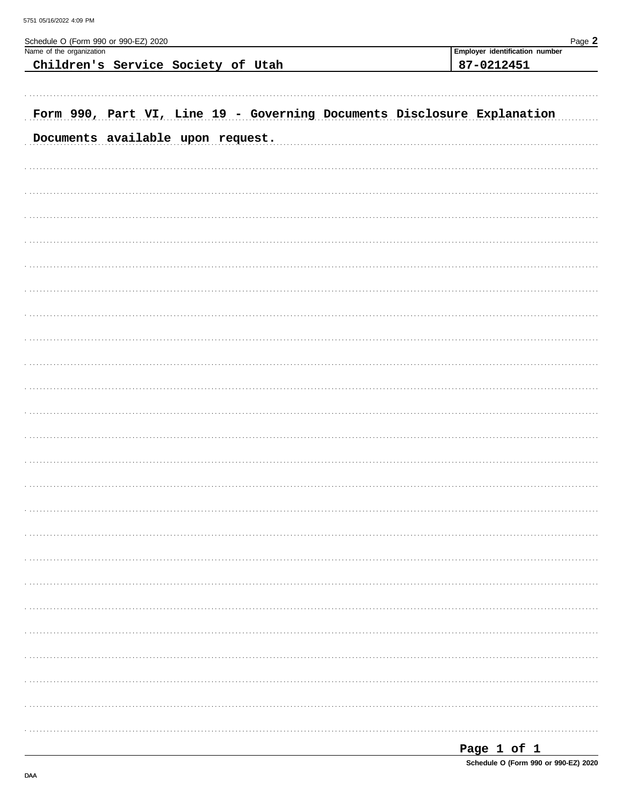| Schedule O (Form 990 or 990-EZ) 2020<br>Name of the organization        | Page 2                                       |
|-------------------------------------------------------------------------|----------------------------------------------|
| Children's Service Society of Utah                                      | Employer identification number<br>87-0212451 |
|                                                                         |                                              |
|                                                                         |                                              |
|                                                                         |                                              |
| Form 990, Part VI, Line 19 - Governing Documents Disclosure Explanation |                                              |
| Documents available upon request.                                       |                                              |
|                                                                         |                                              |
|                                                                         |                                              |
|                                                                         |                                              |
|                                                                         |                                              |
|                                                                         |                                              |
|                                                                         |                                              |
|                                                                         |                                              |
|                                                                         |                                              |
|                                                                         |                                              |
|                                                                         |                                              |
|                                                                         |                                              |
|                                                                         |                                              |
|                                                                         |                                              |
|                                                                         |                                              |
|                                                                         |                                              |
|                                                                         |                                              |
|                                                                         |                                              |
|                                                                         |                                              |
|                                                                         |                                              |
|                                                                         |                                              |
|                                                                         |                                              |
|                                                                         |                                              |
|                                                                         |                                              |
|                                                                         |                                              |
|                                                                         |                                              |
|                                                                         |                                              |
|                                                                         |                                              |
|                                                                         |                                              |
|                                                                         |                                              |
|                                                                         |                                              |
|                                                                         |                                              |
|                                                                         |                                              |
|                                                                         |                                              |
|                                                                         |                                              |
|                                                                         |                                              |
|                                                                         |                                              |
|                                                                         |                                              |
|                                                                         |                                              |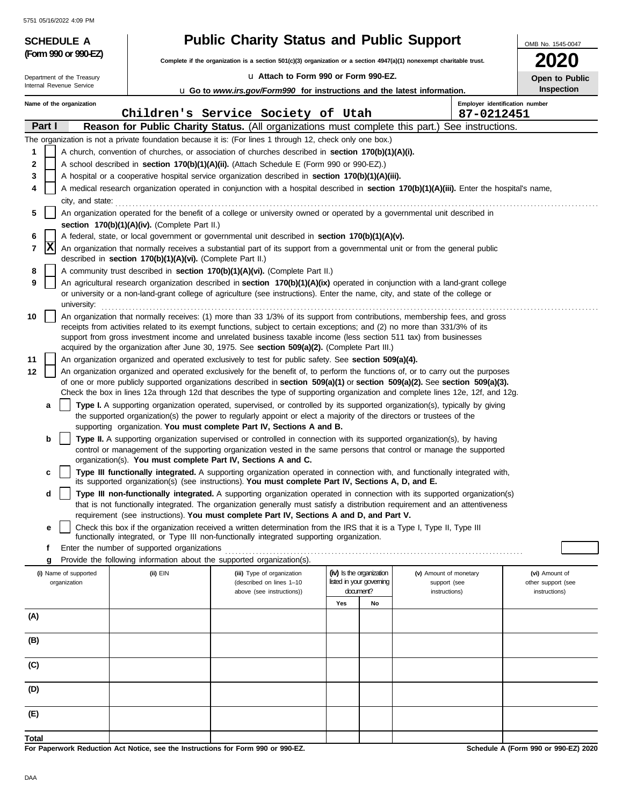Internal Revenue Service Department of the Treasury

**(Form 990 or 990-EZ)**

## **SCHEDULE A Public Charity Status and Public Support**

**Complete if the organization is a section 501(c)(3) organization or a section 4947(a)(1) nonexempt charitable trust.**

u **Attach to Form 990 or Form 990-EZ.**

u **Go to** *www.irs.gov/Form990* **for instructions and the latest information.**

| OMB No. 1545-0047 |
|-------------------|
| Y٨                |

|  | <b>Open to Public</b> |
|--|-----------------------|
|  | <b>Inspection</b>     |

|        | Name of the organization                                                                                                       |                                                                        |                                                                                                                                                                                                                                                        |     |                          |                        | Employer identification number |  |  |  |
|--------|--------------------------------------------------------------------------------------------------------------------------------|------------------------------------------------------------------------|--------------------------------------------------------------------------------------------------------------------------------------------------------------------------------------------------------------------------------------------------------|-----|--------------------------|------------------------|--------------------------------|--|--|--|
|        |                                                                                                                                |                                                                        | Children's Service Society of Utah                                                                                                                                                                                                                     |     |                          |                        | 87-0212451                     |  |  |  |
| Part I |                                                                                                                                |                                                                        | Reason for Public Charity Status. (All organizations must complete this part.) See instructions.                                                                                                                                                       |     |                          |                        |                                |  |  |  |
|        |                                                                                                                                |                                                                        | The organization is not a private foundation because it is: (For lines 1 through 12, check only one box.)                                                                                                                                              |     |                          |                        |                                |  |  |  |
| 1      |                                                                                                                                |                                                                        | A church, convention of churches, or association of churches described in section 170(b)(1)(A)(i).                                                                                                                                                     |     |                          |                        |                                |  |  |  |
| 2      |                                                                                                                                |                                                                        | A school described in section 170(b)(1)(A)(ii). (Attach Schedule E (Form 990 or 990-EZ).)                                                                                                                                                              |     |                          |                        |                                |  |  |  |
| 3      | A hospital or a cooperative hospital service organization described in section 170(b)(1)(A)(iii).                              |                                                                        |                                                                                                                                                                                                                                                        |     |                          |                        |                                |  |  |  |
| 4      |                                                                                                                                |                                                                        | A medical research organization operated in conjunction with a hospital described in section 170(b)(1)(A)(iii). Enter the hospital's name,                                                                                                             |     |                          |                        |                                |  |  |  |
|        | city, and state:                                                                                                               |                                                                        |                                                                                                                                                                                                                                                        |     |                          |                        |                                |  |  |  |
|        | 5<br>An organization operated for the benefit of a college or university owned or operated by a governmental unit described in |                                                                        |                                                                                                                                                                                                                                                        |     |                          |                        |                                |  |  |  |
|        | section 170(b)(1)(A)(iv). (Complete Part II.)                                                                                  |                                                                        |                                                                                                                                                                                                                                                        |     |                          |                        |                                |  |  |  |
| 6      | A federal, state, or local government or governmental unit described in section 170(b)(1)(A)(v).                               |                                                                        |                                                                                                                                                                                                                                                        |     |                          |                        |                                |  |  |  |
| X<br>7 |                                                                                                                                |                                                                        | An organization that normally receives a substantial part of its support from a governmental unit or from the general public                                                                                                                           |     |                          |                        |                                |  |  |  |
|        |                                                                                                                                | described in section 170(b)(1)(A)(vi). (Complete Part II.)             |                                                                                                                                                                                                                                                        |     |                          |                        |                                |  |  |  |
| 8      |                                                                                                                                |                                                                        | A community trust described in section 170(b)(1)(A)(vi). (Complete Part II.)                                                                                                                                                                           |     |                          |                        |                                |  |  |  |
| 9      |                                                                                                                                |                                                                        | An agricultural research organization described in section 170(b)(1)(A)(ix) operated in conjunction with a land-grant college                                                                                                                          |     |                          |                        |                                |  |  |  |
|        |                                                                                                                                |                                                                        | or university or a non-land-grant college of agriculture (see instructions). Enter the name, city, and state of the college or                                                                                                                         |     |                          |                        |                                |  |  |  |
|        | university:                                                                                                                    |                                                                        |                                                                                                                                                                                                                                                        |     |                          |                        |                                |  |  |  |
| 10     |                                                                                                                                |                                                                        | An organization that normally receives: (1) more than 33 1/3% of its support from contributions, membership fees, and gross                                                                                                                            |     |                          |                        |                                |  |  |  |
|        |                                                                                                                                |                                                                        | receipts from activities related to its exempt functions, subject to certain exceptions; and (2) no more than 331/3% of its<br>support from gross investment income and unrelated business taxable income (less section 511 tax) from businesses       |     |                          |                        |                                |  |  |  |
|        |                                                                                                                                |                                                                        | acquired by the organization after June 30, 1975. See section 509(a)(2). (Complete Part III.)                                                                                                                                                          |     |                          |                        |                                |  |  |  |
| 11     |                                                                                                                                |                                                                        | An organization organized and operated exclusively to test for public safety. See section 509(a)(4).                                                                                                                                                   |     |                          |                        |                                |  |  |  |
| 12     |                                                                                                                                |                                                                        | An organization organized and operated exclusively for the benefit of, to perform the functions of, or to carry out the purposes                                                                                                                       |     |                          |                        |                                |  |  |  |
|        |                                                                                                                                |                                                                        | of one or more publicly supported organizations described in section 509(a)(1) or section 509(a)(2). See section 509(a)(3).                                                                                                                            |     |                          |                        |                                |  |  |  |
|        |                                                                                                                                |                                                                        | Check the box in lines 12a through 12d that describes the type of supporting organization and complete lines 12e, 12f, and 12g.                                                                                                                        |     |                          |                        |                                |  |  |  |
| а      |                                                                                                                                |                                                                        | Type I. A supporting organization operated, supervised, or controlled by its supported organization(s), typically by giving                                                                                                                            |     |                          |                        |                                |  |  |  |
|        |                                                                                                                                |                                                                        | the supported organization(s) the power to regularly appoint or elect a majority of the directors or trustees of the                                                                                                                                   |     |                          |                        |                                |  |  |  |
|        |                                                                                                                                |                                                                        | supporting organization. You must complete Part IV, Sections A and B.                                                                                                                                                                                  |     |                          |                        |                                |  |  |  |
| b      |                                                                                                                                |                                                                        | <b>Type II.</b> A supporting organization supervised or controlled in connection with its supported organization(s), by having<br>control or management of the supporting organization vested in the same persons that control or manage the supported |     |                          |                        |                                |  |  |  |
|        |                                                                                                                                | organization(s). You must complete Part IV, Sections A and C.          |                                                                                                                                                                                                                                                        |     |                          |                        |                                |  |  |  |
| с      |                                                                                                                                |                                                                        | Type III functionally integrated. A supporting organization operated in connection with, and functionally integrated with,                                                                                                                             |     |                          |                        |                                |  |  |  |
|        |                                                                                                                                |                                                                        | its supported organization(s) (see instructions). You must complete Part IV, Sections A, D, and E.                                                                                                                                                     |     |                          |                        |                                |  |  |  |
| d      |                                                                                                                                |                                                                        | Type III non-functionally integrated. A supporting organization operated in connection with its supported organization(s)                                                                                                                              |     |                          |                        |                                |  |  |  |
|        |                                                                                                                                |                                                                        | that is not functionally integrated. The organization generally must satisfy a distribution requirement and an attentiveness                                                                                                                           |     |                          |                        |                                |  |  |  |
|        |                                                                                                                                |                                                                        | requirement (see instructions). You must complete Part IV, Sections A and D, and Part V.                                                                                                                                                               |     |                          |                        |                                |  |  |  |
| е      |                                                                                                                                |                                                                        | Check this box if the organization received a written determination from the IRS that it is a Type I, Type II, Type III<br>functionally integrated, or Type III non-functionally integrated supporting organization.                                   |     |                          |                        |                                |  |  |  |
|        |                                                                                                                                | Enter the number of supported organizations                            |                                                                                                                                                                                                                                                        |     |                          |                        |                                |  |  |  |
| g      |                                                                                                                                | Provide the following information about the supported organization(s). |                                                                                                                                                                                                                                                        |     |                          |                        |                                |  |  |  |
|        | (i) Name of supported                                                                                                          | (ii) EIN                                                               | (iii) Type of organization                                                                                                                                                                                                                             |     | (iv) Is the organization | (v) Amount of monetary | (vi) Amount of                 |  |  |  |
|        | organization                                                                                                                   |                                                                        | (described on lines 1-10                                                                                                                                                                                                                               |     | listed in your governing | support (see           | other support (see             |  |  |  |
|        |                                                                                                                                |                                                                        | above (see instructions))                                                                                                                                                                                                                              |     | document?                | instructions)          | instructions)                  |  |  |  |
|        |                                                                                                                                |                                                                        |                                                                                                                                                                                                                                                        | Yes | No                       |                        |                                |  |  |  |
| (A)    |                                                                                                                                |                                                                        |                                                                                                                                                                                                                                                        |     |                          |                        |                                |  |  |  |
|        |                                                                                                                                |                                                                        |                                                                                                                                                                                                                                                        |     |                          |                        |                                |  |  |  |
| (B)    |                                                                                                                                |                                                                        |                                                                                                                                                                                                                                                        |     |                          |                        |                                |  |  |  |
|        |                                                                                                                                |                                                                        |                                                                                                                                                                                                                                                        |     |                          |                        |                                |  |  |  |
| (C)    |                                                                                                                                |                                                                        |                                                                                                                                                                                                                                                        |     |                          |                        |                                |  |  |  |
|        |                                                                                                                                |                                                                        |                                                                                                                                                                                                                                                        |     |                          |                        |                                |  |  |  |
| (D)    |                                                                                                                                |                                                                        |                                                                                                                                                                                                                                                        |     |                          |                        |                                |  |  |  |
|        |                                                                                                                                |                                                                        |                                                                                                                                                                                                                                                        |     |                          |                        |                                |  |  |  |
| (E)    |                                                                                                                                |                                                                        |                                                                                                                                                                                                                                                        |     |                          |                        |                                |  |  |  |

**For Paperwork Reduction Act Notice, see the Instructions for Form 990 or 990-EZ.**

**Schedule A (Form 990 or 990-EZ) 2020**

**Total**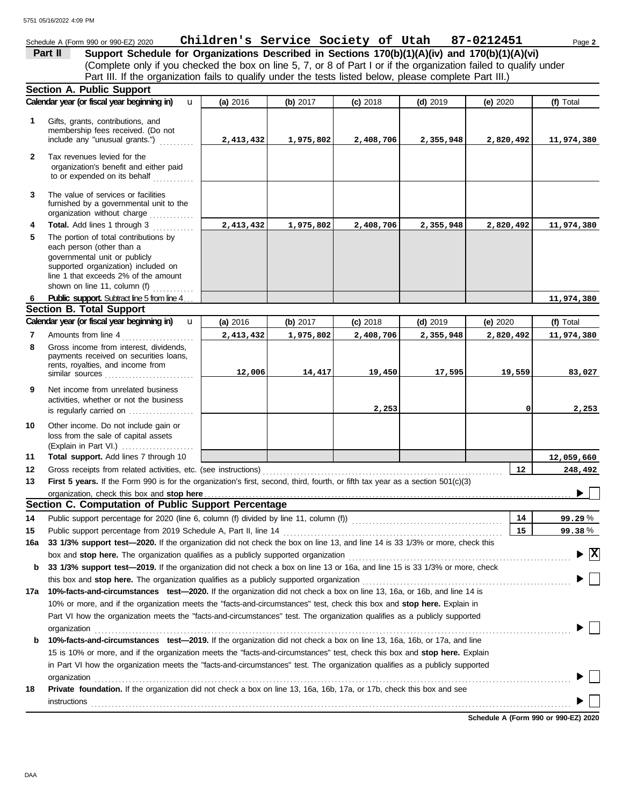## **Section A. Public Support** Schedule A (Form 990 or 990-EZ) 2020 Page **2 Children's Service Society of Utah 87-0212451** (Complete only if you checked the box on line 5, 7, or 8 of Part I or if the organization failed to qualify under Part II Support Schedule for Organizations Described in Sections 170(b)(1)(A)(iv) and 170(b)(1)(A)(vi) Part III. If the organization fails to qualify under the tests listed below, please complete Part III.)

|              | Calendar year (or fiscal year beginning in)<br>u                                                                                                                                                                                                                     | (a) 2016  | (b) 2017   | $(c)$ 2018 | $(d)$ 2019 | (e) 2020                             | (f) Total                       |
|--------------|----------------------------------------------------------------------------------------------------------------------------------------------------------------------------------------------------------------------------------------------------------------------|-----------|------------|------------|------------|--------------------------------------|---------------------------------|
| 1            | Gifts, grants, contributions, and<br>membership fees received. (Do not<br>include any "unusual grants.")                                                                                                                                                             | 2,413,432 | 1,975,802  | 2,408,706  | 2,355,948  | 2,820,492                            | 11,974,380                      |
| $\mathbf{2}$ | Tax revenues levied for the<br>organization's benefit and either paid<br>to or expended on its behalf                                                                                                                                                                |           |            |            |            |                                      |                                 |
| 3            | The value of services or facilities<br>furnished by a governmental unit to the<br>organization without charge                                                                                                                                                        |           |            |            |            |                                      |                                 |
| 4            | Total. Add lines 1 through 3<br><u>.</u><br>.                                                                                                                                                                                                                        | 2,413,432 | 1,975,802  | 2,408,706  | 2,355,948  | 2,820,492                            | 11,974,380                      |
| 5            | The portion of total contributions by<br>each person (other than a<br>governmental unit or publicly<br>supported organization) included on<br>line 1 that exceeds 2% of the amount<br>shown on line 11, column (f) $\ldots$                                          |           |            |            |            |                                      |                                 |
| 6            | <b>Public support.</b> Subtract line 5 from line 4                                                                                                                                                                                                                   |           |            |            |            |                                      | 11,974,380                      |
|              | <b>Section B. Total Support</b>                                                                                                                                                                                                                                      |           |            |            |            |                                      |                                 |
|              | Calendar year (or fiscal year beginning in)<br>$\mathbf{u}$                                                                                                                                                                                                          | (a) 2016  | (b) $2017$ | $(c)$ 2018 | $(d)$ 2019 | (e) 2020                             | (f) Total                       |
| 7            | Amounts from line 4                                                                                                                                                                                                                                                  | 2,413,432 | 1,975,802  | 2,408,706  | 2,355,948  | 2,820,492                            | 11,974,380                      |
| 8            | Gross income from interest, dividends,<br>payments received on securities loans,<br>rents, royalties, and income from<br>similar sources                                                                                                                             | 12,006    | 14,417     | 19,450     | 17,595     | 19,559                               | 83,027                          |
| 9            | Net income from unrelated business<br>activities, whether or not the business<br>is regularly carried on $\ldots$ , $\ldots$ , $\ldots$                                                                                                                              |           |            | 2,253      |            | $\mathbf{0}$                         | 2,253                           |
| 10           | Other income. Do not include gain or<br>loss from the sale of capital assets<br>(Explain in Part VI.)                                                                                                                                                                |           |            |            |            |                                      |                                 |
| 11           | Total support. Add lines 7 through 10                                                                                                                                                                                                                                |           |            |            |            |                                      | 12,059,660                      |
| 12           | Gross receipts from related activities, etc. (see instructions)                                                                                                                                                                                                      |           |            |            |            | 12                                   | 248,492                         |
| 13           | First 5 years. If the Form 990 is for the organization's first, second, third, fourth, or fifth tax year as a section 501(c)(3)                                                                                                                                      |           |            |            |            |                                      |                                 |
|              | organization, check this box and stop here <b>construction</b> and construction of the construction of the box and stop here construction and construction of the construction of the construction of the construction of the const                                  |           |            |            |            |                                      |                                 |
|              | Section C. Computation of Public Support Percentage                                                                                                                                                                                                                  |           |            |            |            |                                      |                                 |
| 14           | Public support percentage for 2020 (line 6, column (f) divided by line 11, column (f)) [[[[[[[[[[[[[[[[[[[[[[                                                                                                                                                        |           |            |            |            | 14                                   | 99.29%                          |
| 15           |                                                                                                                                                                                                                                                                      |           |            |            |            | 15                                   | 99.38%                          |
| 16a          | 33 1/3% support test-2020. If the organization did not check the box on line 13, and line 14 is 33 1/3% or more, check this                                                                                                                                          |           |            |            |            |                                      |                                 |
|              | box and stop here. The organization qualifies as a publicly supported organization                                                                                                                                                                                   |           |            |            |            |                                      | $\blacktriangleright \boxed{X}$ |
| b            | 33 1/3% support test—2019. If the organization did not check a box on line 13 or 16a, and line 15 is 33 1/3% or more, check                                                                                                                                          |           |            |            |            |                                      |                                 |
|              | this box and stop here. The organization qualifies as a publicly supported organization                                                                                                                                                                              |           |            |            |            |                                      |                                 |
| 17а          | 10%-facts-and-circumstances test-2020. If the organization did not check a box on line 13, 16a, or 16b, and line 14 is                                                                                                                                               |           |            |            |            |                                      |                                 |
|              | 10% or more, and if the organization meets the "facts-and-circumstances" test, check this box and stop here. Explain in<br>Part VI how the organization meets the "facts-and-circumstances" test. The organization qualifies as a publicly supported<br>organization |           |            |            |            |                                      |                                 |
| b            | 10%-facts-and-circumstances test-2019. If the organization did not check a box on line 13, 16a, 16b, or 17a, and line                                                                                                                                                |           |            |            |            |                                      |                                 |
|              | 15 is 10% or more, and if the organization meets the "facts-and-circumstances" test, check this box and stop here. Explain                                                                                                                                           |           |            |            |            |                                      |                                 |
|              | in Part VI how the organization meets the "facts-and-circumstances" test. The organization qualifies as a publicly supported                                                                                                                                         |           |            |            |            |                                      |                                 |
|              | organization                                                                                                                                                                                                                                                         |           |            |            |            |                                      |                                 |
| 18           | Private foundation. If the organization did not check a box on line 13, 16a, 16b, 17a, or 17b, check this box and see<br>instructions                                                                                                                                |           |            |            |            |                                      |                                 |
|              |                                                                                                                                                                                                                                                                      |           |            |            |            | Schedule A (Form 990 or 990-EZ) 2020 |                                 |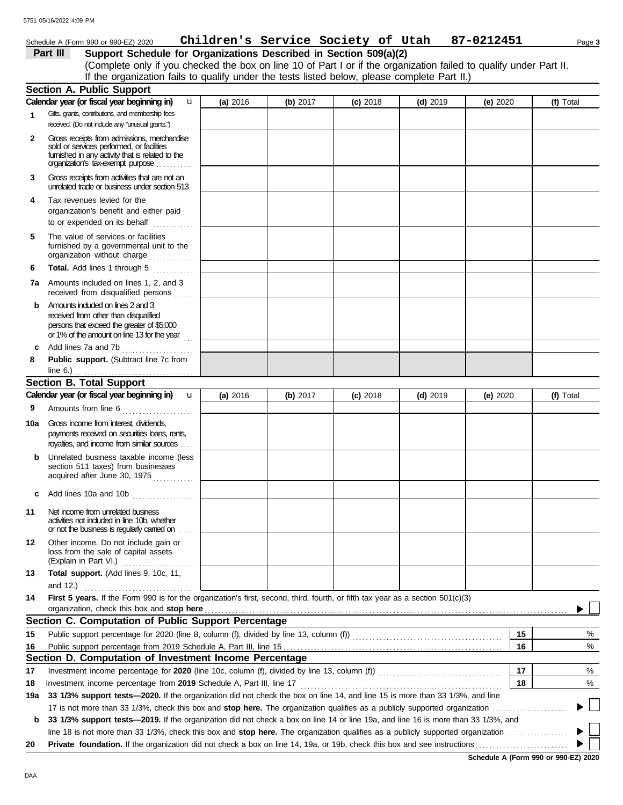|              | Schedule A (Form 990 or 990-EZ) 2020                                                                                                                                                                                                                                                    |          |          | Children's Service Society of Utah |            | 87-0212451 | Page 3    |
|--------------|-----------------------------------------------------------------------------------------------------------------------------------------------------------------------------------------------------------------------------------------------------------------------------------------|----------|----------|------------------------------------|------------|------------|-----------|
| Part III     | Support Schedule for Organizations Described in Section 509(a)(2)<br>(Complete only if you checked the box on line 10 of Part I or if the organization failed to qualify under Part II.<br>If the organization fails to qualify under the tests listed below, please complete Part II.) |          |          |                                    |            |            |           |
|              | <b>Section A. Public Support</b><br>Calendar year (or fiscal year beginning in)                                                                                                                                                                                                         |          |          |                                    |            |            |           |
|              | u<br>Gifts, grants, contributions, and membership fees                                                                                                                                                                                                                                  | (a) 2016 | (b) 2017 | $(c)$ 2018                         | $(d)$ 2019 | (e) $2020$ | (f) Total |
| 1            | received. (Do not include any "unusual grants.")                                                                                                                                                                                                                                        |          |          |                                    |            |            |           |
| $\mathbf{2}$ | Gross receipts from admissions, merchandise<br>sold or services performed, or facilities<br>furnished in any activity that is related to the<br>organization's tax-exempt purpose                                                                                                       |          |          |                                    |            |            |           |
| 3            | Gross receipts from activities that are not an<br>unrelated trade or business under section 513                                                                                                                                                                                         |          |          |                                    |            |            |           |
| 4            | Tax revenues levied for the<br>organization's benefit and either paid<br>to or expended on its behalf                                                                                                                                                                                   |          |          |                                    |            |            |           |
| 5            | The value of services or facilities<br>furnished by a governmental unit to the<br>organization without charge                                                                                                                                                                           |          |          |                                    |            |            |           |
| 6            | Total. Add lines 1 through 5                                                                                                                                                                                                                                                            |          |          |                                    |            |            |           |
| 7a           | Amounts included on lines 1, 2, and 3<br>received from disqualified persons                                                                                                                                                                                                             |          |          |                                    |            |            |           |
| b            | Amounts induded on lines 2 and 3<br>received from other than disqualified<br>persons that exceed the greater of \$5,000<br>or 1% of the amount on line 13 for the year                                                                                                                  |          |          |                                    |            |            |           |
| c            | Add lines 7a and 7b                                                                                                                                                                                                                                                                     |          |          |                                    |            |            |           |
| 8            | Public support. (Subtract line 7c from                                                                                                                                                                                                                                                  |          |          |                                    |            |            |           |
|              | Section B. Total Support                                                                                                                                                                                                                                                                |          |          |                                    |            |            |           |
|              | Calendar year (or fiscal year beginning in)<br>u                                                                                                                                                                                                                                        | (a) 2016 | (b) 2017 | $(c)$ 2018                         | $(d)$ 2019 | (e) 2020   | (f) Total |
| 9            | Amounts from line 6                                                                                                                                                                                                                                                                     |          |          |                                    |            |            |           |
| 10a          | Gross income from interest, dividends,<br>payments received on securities loans, rents,<br>royalties, and income from similar sources                                                                                                                                                   |          |          |                                    |            |            |           |
| b            | Unrelated business taxable income (less<br>section 511 taxes) from businesses<br>acquired after June 30, 1975                                                                                                                                                                           |          |          |                                    |            |            |           |
| c            | Add lines 10a and 10b $\ldots$ , $\ldots$                                                                                                                                                                                                                                               |          |          |                                    |            |            |           |
| 11           | Net income from unrelated business<br>activities not included in line 10b, whether<br>or not the business is regularly carried on                                                                                                                                                       |          |          |                                    |            |            |           |
| 12           | Other income. Do not include gain or<br>loss from the sale of capital assets<br>(Explain in Part VI.)                                                                                                                                                                                   |          |          |                                    |            |            |           |
| 13           | Total support. (Add lines 9, 10c, 11,                                                                                                                                                                                                                                                   |          |          |                                    |            |            |           |
| 14           | First 5 years. If the Form 990 is for the organization's first, second, third, fourth, or fifth tax year as a section 501(c)(3)                                                                                                                                                         |          |          |                                    |            |            |           |
|              | Section C. Computation of Public Support Percentage                                                                                                                                                                                                                                     |          |          |                                    |            |            |           |
|              |                                                                                                                                                                                                                                                                                         |          |          |                                    |            | 15         |           |
| 15           | Public support percentage for 2020 (line 8, column (f), divided by line 13, column (f)) [[[[[[[[[[[[[[[[[[[[[                                                                                                                                                                           |          |          |                                    |            |            | %<br>$\%$ |
| 16           |                                                                                                                                                                                                                                                                                         |          |          |                                    |            | 16         |           |

## **Section D. Computation of Investment Income Percentage**

**17 17** % Investment income percentage for **2020** (line 10c, column (f), divided by line 13, column (f)) . . . . . . . . . . . . . . . . . . . . . . . . . . . . . . . . . . . . Investment income percentage from **2019** Schedule A, Part III, line 17 . . . . . . . . . . . . . . . . . . . . . . . . . . . . . . . . . . . . . . . . . . . . . . . . . . . . . . . . . . . **18** % **18 19a 33 1/3% support tests—2020.** If the organization did not check the box on line 14, and line 15 is more than 33 1/3%, and line  $\Box$ 17 is not more than 33 1/3%, check this box and **stop here.** The organization qualifies as a publicly supported organization . . . . . . . . . . . . . . . . . . . . . . ▶ **b 33 1/3% support tests—2019.** If the organization did not check a box on line 14 or line 19a, and line 16 is more than 33 1/3%, and line 18 is not more than 33 1/3%, check this box and stop here. The organization qualifies as a publicly supported organization ................... ×

**20 Private foundation.** If the organization did not check a box on line 14, 19a, or 19b, check this box and see instructions . . . . . . . . . . . . . . . . . . . . . . . . . . .

 $\blacktriangleright$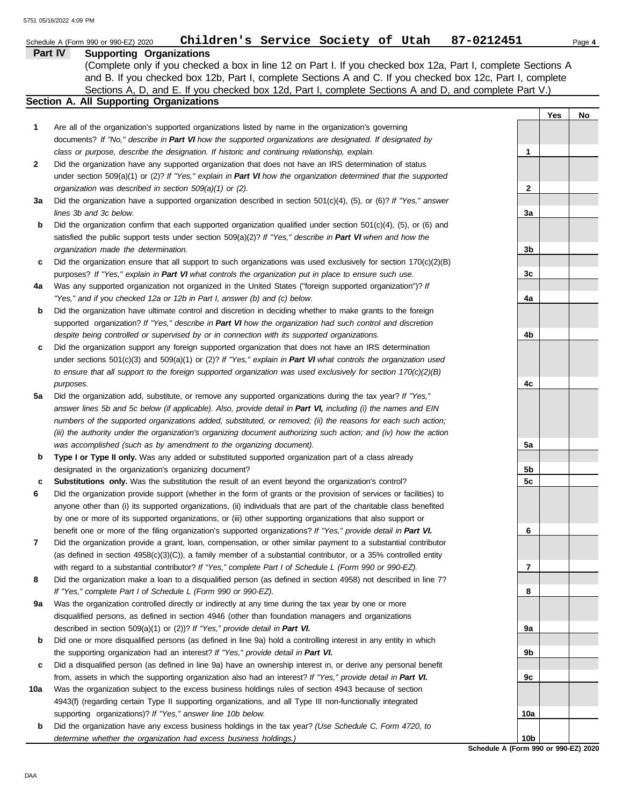|    | Children's Service Society of Utah<br>87-0212451<br>Schedule A (Form 990 or 990-EZ) 2020                                  |              | Page 4    |
|----|---------------------------------------------------------------------------------------------------------------------------|--------------|-----------|
|    | Part IV<br><b>Supporting Organizations</b>                                                                                |              |           |
|    | (Complete only if you checked a box in line 12 on Part I. If you checked box 12a, Part I, complete Sections A             |              |           |
|    | and B. If you checked box 12b, Part I, complete Sections A and C. If you checked box 12c, Part I, complete                |              |           |
|    | Sections A, D, and E. If you checked box 12d, Part I, complete Sections A and D, and complete Part V.)                    |              |           |
|    | <b>Section A. All Supporting Organizations</b>                                                                            |              |           |
|    |                                                                                                                           |              | Yes<br>No |
| 1  | Are all of the organization's supported organizations listed by name in the organization's governing                      |              |           |
|    | documents? If "No," describe in Part VI how the supported organizations are designated. If designated by                  |              |           |
|    | class or purpose, describe the designation. If historic and continuing relationship, explain.                             | $\mathbf{1}$ |           |
| 2  | Did the organization have any supported organization that does not have an IRS determination of status                    |              |           |
|    | under section 509(a)(1) or (2)? If "Yes," explain in Part VI how the organization determined that the supported           |              |           |
|    | organization was described in section 509(a)(1) or (2).                                                                   | $\mathbf{2}$ |           |
| За | Did the organization have a supported organization described in section $501(c)(4)$ , $(5)$ , or $(6)$ ? If "Yes," answer |              |           |
|    | lines 3b and 3c below.                                                                                                    | За           |           |
| b  | Did the organization confirm that each supported organization qualified under section $501(c)(4)$ , $(5)$ , or $(6)$ and  |              |           |
|    | satisfied the public support tests under section 509(a)(2)? If "Yes," describe in Part VI when and how the                |              |           |
|    | organization made the determination.                                                                                      | 3b           |           |
| c  | Did the organization ensure that all support to such organizations was used exclusively for section $170(c)(2)(B)$        |              |           |
|    | purposes? If "Yes," explain in Part VI what controls the organization put in place to ensure such use.                    | 3c           |           |
| 4a | Was any supported organization not organized in the United States ("foreign supported organization")? If                  |              |           |
|    | "Yes," and if you checked 12a or 12b in Part I, answer (b) and (c) below.                                                 | 4a           |           |
| b  | Did the organization have ultimate control and discretion in deciding whether to make grants to the foreign               |              |           |
|    | supported organization? If "Yes," describe in Part VI how the organization had such control and discretion                |              |           |
|    | despite being controlled or supervised by or in connection with its supported organizations.                              | 4b           |           |
| c  | Did the organization support any foreign supported organization that does not have an IRS determination                   |              |           |
|    | under sections $501(c)(3)$ and $509(a)(1)$ or (2)? If "Yes," explain in Part VI what controls the organization used       |              |           |
|    | to ensure that all support to the foreign supported organization was used exclusively for section $170(c)(2)(B)$          |              |           |
|    | purposes.                                                                                                                 | 4c           |           |
| 5а | Did the organization add, substitute, or remove any supported organizations during the tax year? If "Yes,"                |              |           |
|    | answer lines 5b and 5c below (if applicable). Also, provide detail in Part VI, including (i) the names and EIN            |              |           |
|    | numbers of the supported organizations added, substituted, or removed; (ii) the reasons for each such action;             |              |           |
|    | (iii) the authority under the organization's organizing document authorizing such action; and (iv) how the action         |              |           |
|    | was accomplished (such as by amendment to the organizing document).                                                       | 5a           |           |
| b  | Type I or Type II only. Was any added or substituted supported organization part of a class already                       |              |           |
|    | designated in the organization's organizing document?                                                                     | 5b           |           |
| c  | <b>Substitutions only.</b> Was the substitution the result of an event beyond the organization's control?                 | 5c           |           |
| 6  | Did the organization provide support (whether in the form of grants or the provision of services or facilities) to        |              |           |
|    | anyone other than (i) its supported organizations, (ii) individuals that are part of the charitable class benefited       |              |           |
|    | by one or more of its supported organizations, or (iii) other supporting organizations that also support or               |              |           |
|    | benefit one or more of the filing organization's supported organizations? If "Yes," provide detail in Part VI.            | 6            |           |
| 7  | Did the organization provide a grant, loan, compensation, or other similar payment to a substantial contributor           |              |           |
|    | (as defined in section $4958(c)(3)(C)$ ), a family member of a substantial contributor, or a 35% controlled entity        |              |           |
|    | with regard to a substantial contributor? If "Yes," complete Part I of Schedule L (Form 990 or 990-EZ).                   | 7            |           |

**8** Did the organization make a loan to a disqualified person (as defined in section 4958) not described in line 7? *If "Yes," complete Part I of Schedule L (Form 990 or 990-EZ).*

**9a** Was the organization controlled directly or indirectly at any time during the tax year by one or more disqualified persons, as defined in section 4946 (other than foundation managers and organizations described in section 509(a)(1) or (2))? *If "Yes," provide detail in Part VI.*

**b** Did one or more disqualified persons (as defined in line 9a) hold a controlling interest in any entity in which the supporting organization had an interest? *If "Yes," provide detail in Part VI.*

**c** Did a disqualified person (as defined in line 9a) have an ownership interest in, or derive any personal benefit from, assets in which the supporting organization also had an interest? *If "Yes," provide detail in Part VI.*

**10a** Was the organization subject to the excess business holdings rules of section 4943 because of section 4943(f) (regarding certain Type II supporting organizations, and all Type III non-functionally integrated supporting organizations)? *If "Yes," answer line 10b below.*

**b** Did the organization have any excess business holdings in the tax year? *(Use Schedule C, Form 4720, to determine whether the organization had excess business holdings.)*

**Schedule A (Form 990 or 990-EZ) 2020 10b**

**8**

**9a**

**9b**

**9c**

**10a**

DAA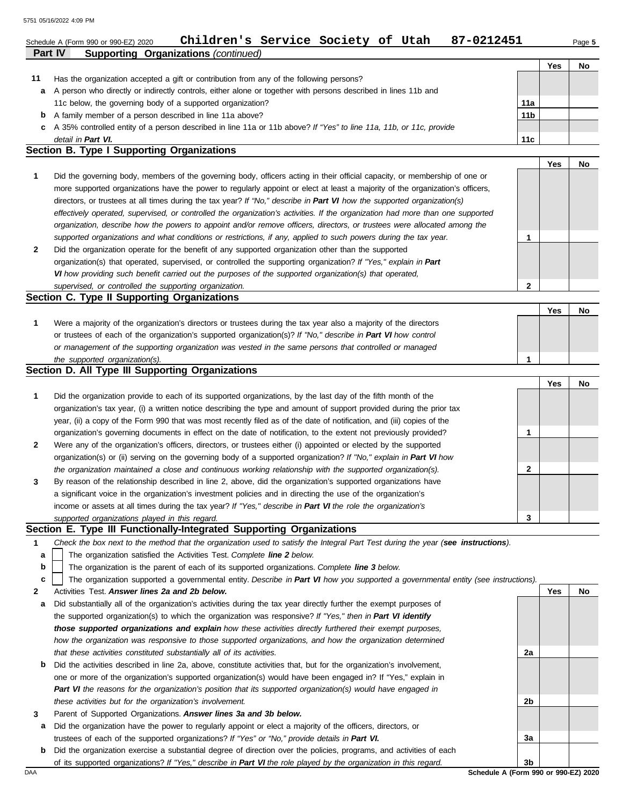|              | 5751 05/16/2022 4:09 PM                                                                                                           |              |     |        |
|--------------|-----------------------------------------------------------------------------------------------------------------------------------|--------------|-----|--------|
|              | Children's Service Society of Utah<br>87-0212451<br>Schedule A (Form 990 or 990-EZ) 2020                                          |              |     | Page 5 |
|              | Part IV<br><b>Supporting Organizations (continued)</b>                                                                            |              |     |        |
|              |                                                                                                                                   |              | Yes | No     |
| 11           | Has the organization accepted a gift or contribution from any of the following persons?                                           |              |     |        |
| а            | A person who directly or indirectly controls, either alone or together with persons described in lines 11b and                    |              |     |        |
|              | 11c below, the governing body of a supported organization?                                                                        | 11a          |     |        |
| b            | A family member of a person described in line 11a above?                                                                          | 11b          |     |        |
| c            | A 35% controlled entity of a person described in line 11a or 11b above? If "Yes" to line 11a, 11b, or 11c, provide                |              |     |        |
|              | detail in Part VI.                                                                                                                | 11c          |     |        |
|              | <b>Section B. Type I Supporting Organizations</b>                                                                                 |              |     |        |
|              |                                                                                                                                   |              | Yes | No     |
| 1            | Did the governing body, members of the governing body, officers acting in their official capacity, or membership of one or        |              |     |        |
|              | more supported organizations have the power to regularly appoint or elect at least a majority of the organization's officers,     |              |     |        |
|              | directors, or trustees at all times during the tax year? If "No," describe in Part VI how the supported organization(s)           |              |     |        |
|              | effectively operated, supervised, or controlled the organization's activities. If the organization had more than one supported    |              |     |        |
|              | organization, describe how the powers to appoint and/or remove officers, directors, or trustees were allocated among the          |              |     |        |
|              | supported organizations and what conditions or restrictions, if any, applied to such powers during the tax year.                  | 1            |     |        |
| $\mathbf{2}$ | Did the organization operate for the benefit of any supported organization other than the supported                               |              |     |        |
|              | organization(s) that operated, supervised, or controlled the supporting organization? If "Yes," explain in Part                   |              |     |        |
|              | VI how providing such benefit carried out the purposes of the supported organization(s) that operated,                            |              |     |        |
|              | supervised, or controlled the supporting organization.                                                                            | $\mathbf{2}$ |     |        |
|              | Section C. Type II Supporting Organizations                                                                                       |              |     |        |
|              |                                                                                                                                   |              | Yes | No     |
| 1            | Were a majority of the organization's directors or trustees during the tax year also a majority of the directors                  |              |     |        |
|              | or trustees of each of the organization's supported organization(s)? If "No," describe in Part VI how control                     |              |     |        |
|              | or management of the supporting organization was vested in the same persons that controlled or managed                            |              |     |        |
|              | the supported organization(s).                                                                                                    | 1            |     |        |
|              | Section D. All Type III Supporting Organizations                                                                                  |              |     |        |
|              |                                                                                                                                   |              | Yes | No     |
| 1            | Did the organization provide to each of its supported organizations, by the last day of the fifth month of the                    |              |     |        |
|              | organization's tax year, (i) a written notice describing the type and amount of support provided during the prior tax             |              |     |        |
|              | year, (ii) a copy of the Form 990 that was most recently filed as of the date of notification, and (iii) copies of the            |              |     |        |
|              | organization's governing documents in effect on the date of notification, to the extent not previously provided?                  | 1            |     |        |
| $\mathbf{2}$ | Were any of the organization's officers, directors, or trustees either (i) appointed or elected by the supported                  |              |     |        |
|              | organization(s) or (ii) serving on the governing body of a supported organization? If "No," explain in Part VI how                |              |     |        |
|              | the organization maintained a close and continuous working relationship with the supported organization(s).                       | $\mathbf 2$  |     |        |
| 3            | By reason of the relationship described in line 2, above, did the organization's supported organizations have                     |              |     |        |
|              | a significant voice in the organization's investment policies and in directing the use of the organization's                      |              |     |        |
|              | income or assets at all times during the tax year? If "Yes," describe in Part VI the role the organization's                      |              |     |        |
|              | supported organizations played in this regard.<br>Section E. Type III Functionally-Integrated Supporting Organizations            | 3            |     |        |
|              |                                                                                                                                   |              |     |        |
| 1            | Check the box next to the method that the organization used to satisfy the Integral Part Test during the year (see instructions). |              |     |        |
| а            | The organization satisfied the Activities Test. Complete line 2 below.                                                            |              |     |        |
| b<br>c       | The organization is the parent of each of its supported organizations. Complete line 3 below.                                     |              |     |        |
|              | The organization supported a governmental entity. Describe in Part VI how you supported a governmental entity (see instructions). |              |     |        |
| 2            | Activities Test. Answer lines 2a and 2b below.                                                                                    |              | Yes | No     |
| а            | Did substantially all of the organization's activities during the tax year directly further the exempt purposes of                |              |     |        |
|              | the supported organization(s) to which the organization was responsive? If "Yes," then in Part VI identify                        |              |     |        |
|              | those supported organizations and explain how these activities directly furthered their exempt purposes,                          |              |     |        |
|              | how the organization was responsive to those supported organizations, and how the organization determined                         |              |     |        |

- **b** Did the activities described in line 2a, above, constitute activities that, but for the organization's involvement, one or more of the organization's supported organization(s) would have been engaged in? If "Yes," explain in *Part VI the reasons for the organization's position that its supported organization(s) would have engaged in these activities but for the organization's involvement.*
- **3** Parent of Supported Organizations. *Answer lines 3a and 3b below.*

*that these activities constituted substantially all of its activities.*

- **a** Did the organization have the power to regularly appoint or elect a majority of the officers, directors, or trustees of each of the supported organizations? *If "Yes" or "No," provide details in Part VI.*
- DAA **Schedule A (Form 990 or 990-EZ) 2020 b** Did the organization exercise a substantial degree of direction over the policies, programs, and activities of each of its supported organizations? *If "Yes," describe in Part VI the role played by the organization in this regard.*

**3b**

**2a**

**2b**

**3a**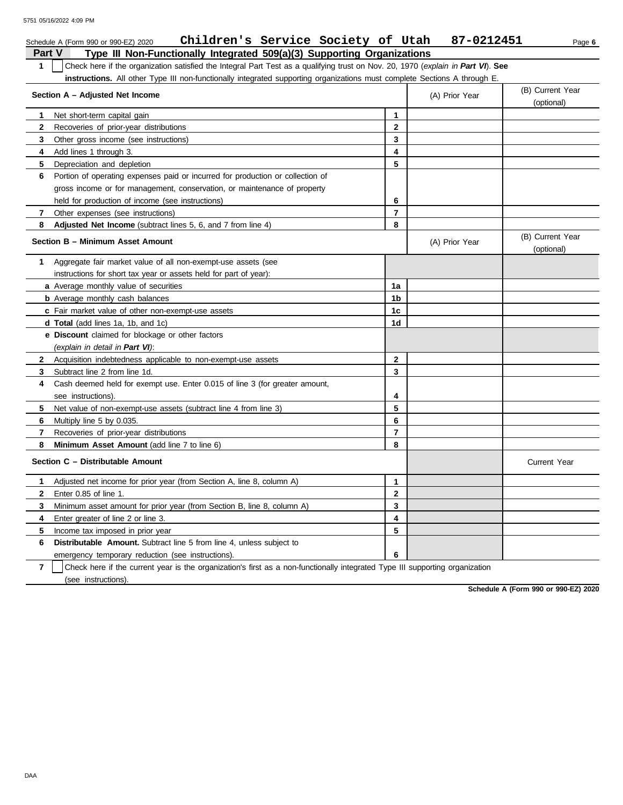|               | Children's Service Society of Utah<br>Schedule A (Form 990 or 990-EZ) 2020                                                       |                | 87-0212451     | Page 6                         |
|---------------|----------------------------------------------------------------------------------------------------------------------------------|----------------|----------------|--------------------------------|
| <b>Part V</b> | Type III Non-Functionally Integrated 509(a)(3) Supporting Organizations                                                          |                |                |                                |
| 1             | Check here if the organization satisfied the Integral Part Test as a qualifying trust on Nov. 20, 1970 (explain in Part VI). See |                |                |                                |
|               | <b>instructions.</b> All other Type III non-functionally integrated supporting organizations must complete Sections A through E. |                |                |                                |
|               | Section A - Adjusted Net Income                                                                                                  |                | (A) Prior Year | (B) Current Year               |
|               |                                                                                                                                  |                |                | (optional)                     |
| $\mathbf{1}$  | Net short-term capital gain                                                                                                      | $\mathbf{1}$   |                |                                |
| $\mathbf{2}$  | Recoveries of prior-year distributions                                                                                           | $\overline{2}$ |                |                                |
| 3             | Other gross income (see instructions)                                                                                            | 3              |                |                                |
| 4             | Add lines 1 through 3.                                                                                                           | 4              |                |                                |
| 5             | Depreciation and depletion                                                                                                       | 5              |                |                                |
| 6             | Portion of operating expenses paid or incurred for production or collection of                                                   |                |                |                                |
|               | gross income or for management, conservation, or maintenance of property                                                         |                |                |                                |
|               | held for production of income (see instructions)                                                                                 | 6              |                |                                |
| 7             | Other expenses (see instructions)                                                                                                | $\overline{7}$ |                |                                |
| 8             | Adjusted Net Income (subtract lines 5, 6, and 7 from line 4)                                                                     | 8              |                |                                |
|               | Section B - Minimum Asset Amount                                                                                                 |                | (A) Prior Year | (B) Current Year<br>(optional) |
| $\mathbf 1$   | Aggregate fair market value of all non-exempt-use assets (see                                                                    |                |                |                                |
|               | instructions for short tax year or assets held for part of year):                                                                |                |                |                                |
|               | a Average monthly value of securities                                                                                            | 1a             |                |                                |
|               | <b>b</b> Average monthly cash balances                                                                                           | 1 <sub>b</sub> |                |                                |
|               | c Fair market value of other non-exempt-use assets                                                                               | 1 <sub>c</sub> |                |                                |
|               | d Total (add lines 1a, 1b, and 1c)                                                                                               | 1d             |                |                                |
|               | <b>e</b> Discount claimed for blockage or other factors                                                                          |                |                |                                |
|               | (explain in detail in Part VI):                                                                                                  |                |                |                                |
| $\mathbf{2}$  | Acquisition indebtedness applicable to non-exempt-use assets                                                                     | $\mathbf{2}$   |                |                                |
| 3             | Subtract line 2 from line 1d.                                                                                                    | 3              |                |                                |
| 4             | Cash deemed held for exempt use. Enter 0.015 of line 3 (for greater amount,                                                      |                |                |                                |
|               | see instructions).                                                                                                               | 4              |                |                                |
| 5.            | Net value of non-exempt-use assets (subtract line 4 from line 3)                                                                 | 5              |                |                                |
| 6             | Multiply line 5 by 0.035.                                                                                                        | 6              |                |                                |
| 7             | Recoveries of prior-year distributions                                                                                           | $\overline{7}$ |                |                                |
| 8             | Minimum Asset Amount (add line 7 to line 6)                                                                                      | 8              |                |                                |
|               | Section C - Distributable Amount                                                                                                 |                |                | <b>Current Year</b>            |
| 1             | Adjusted net income for prior year (from Section A, line 8, column A)                                                            | $\mathbf{1}$   |                |                                |
| $\mathbf{2}$  | Enter 0.85 of line 1.                                                                                                            | $\mathbf{2}$   |                |                                |
| 3             | Minimum asset amount for prior year (from Section B, line 8, column A)                                                           | 3              |                |                                |
| 4             | Enter greater of line 2 or line 3.                                                                                               | 4              |                |                                |
| 5.            | Income tax imposed in prior year                                                                                                 | 5              |                |                                |
| 6             | <b>Distributable Amount.</b> Subtract line 5 from line 4, unless subject to                                                      |                |                |                                |
|               | emergency temporary reduction (see instructions).                                                                                | 6              |                |                                |
|               |                                                                                                                                  |                |                |                                |

**7** | Check here if the current year is the organization's first as a non-functionally integrated Type III supporting organization (see instructions).

**Schedule A (Form 990 or 990-EZ) 2020**

DAA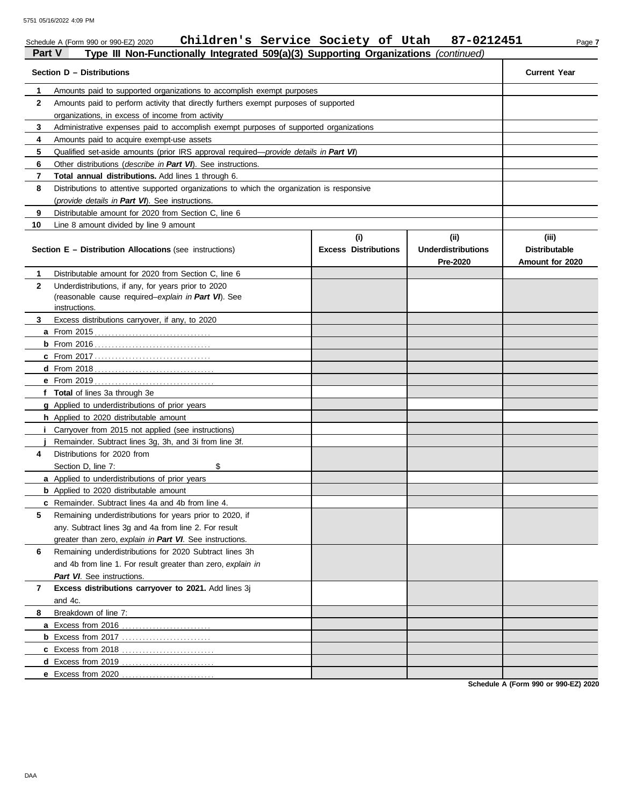| Part V       | Children's Service Society of Utah<br>Schedule A (Form 990 or 990-EZ) 2020<br>Type III Non-Functionally Integrated 509(a)(3) Supporting Organizations (continued) |                                    | 87-0212451                                    | Page 7                                           |
|--------------|-------------------------------------------------------------------------------------------------------------------------------------------------------------------|------------------------------------|-----------------------------------------------|--------------------------------------------------|
|              | Section D - Distributions                                                                                                                                         |                                    |                                               | <b>Current Year</b>                              |
| 1            | Amounts paid to supported organizations to accomplish exempt purposes                                                                                             |                                    |                                               |                                                  |
| $\mathbf{2}$ | Amounts paid to perform activity that directly furthers exempt purposes of supported                                                                              |                                    |                                               |                                                  |
|              | organizations, in excess of income from activity                                                                                                                  |                                    |                                               |                                                  |
| 3            | Administrative expenses paid to accomplish exempt purposes of supported organizations                                                                             |                                    |                                               |                                                  |
| 4            | Amounts paid to acquire exempt-use assets                                                                                                                         |                                    |                                               |                                                  |
| 5            | Qualified set-aside amounts (prior IRS approval required— <i>provide details in Part VI</i> )                                                                     |                                    |                                               |                                                  |
| 6            | Other distributions ( <i>describe in Part VI</i> ). See instructions.                                                                                             |                                    |                                               |                                                  |
| 7            | <b>Total annual distributions.</b> Add lines 1 through 6.                                                                                                         |                                    |                                               |                                                  |
| 8            | Distributions to attentive supported organizations to which the organization is responsive                                                                        |                                    |                                               |                                                  |
|              | (provide details in Part VI). See instructions.                                                                                                                   |                                    |                                               |                                                  |
| 9            | Distributable amount for 2020 from Section C, line 6                                                                                                              |                                    |                                               |                                                  |
| 10           | Line 8 amount divided by line 9 amount                                                                                                                            |                                    |                                               |                                                  |
|              | <b>Section E - Distribution Allocations (see instructions)</b>                                                                                                    | (i)<br><b>Excess Distributions</b> | (ii)<br><b>Underdistributions</b><br>Pre-2020 | (iii)<br><b>Distributable</b><br>Amount for 2020 |
| 1            | Distributable amount for 2020 from Section C, line 6                                                                                                              |                                    |                                               |                                                  |
| $\mathbf{2}$ | Underdistributions, if any, for years prior to 2020<br>(reasonable cause required-explain in Part VI). See<br>instructions.                                       |                                    |                                               |                                                  |
| 3            | Excess distributions carryover, if any, to 2020                                                                                                                   |                                    |                                               |                                                  |
|              |                                                                                                                                                                   |                                    |                                               |                                                  |
|              |                                                                                                                                                                   |                                    |                                               |                                                  |
|              |                                                                                                                                                                   |                                    |                                               |                                                  |
|              |                                                                                                                                                                   |                                    |                                               |                                                  |
|              |                                                                                                                                                                   |                                    |                                               |                                                  |
|              | f Total of lines 3a through 3e                                                                                                                                    |                                    |                                               |                                                  |
|              | g Applied to underdistributions of prior years                                                                                                                    |                                    |                                               |                                                  |
|              | h Applied to 2020 distributable amount                                                                                                                            |                                    |                                               |                                                  |
|              | Carryover from 2015 not applied (see instructions)                                                                                                                |                                    |                                               |                                                  |
|              | Remainder. Subtract lines 3g, 3h, and 3i from line 3f.                                                                                                            |                                    |                                               |                                                  |
| 4            | Distributions for 2020 from                                                                                                                                       |                                    |                                               |                                                  |
|              | \$<br>Section D, line 7:                                                                                                                                          |                                    |                                               |                                                  |
|              | a Applied to underdistributions of prior years                                                                                                                    |                                    |                                               |                                                  |
|              | <b>b</b> Applied to 2020 distributable amount                                                                                                                     |                                    |                                               |                                                  |
|              | c Remainder. Subtract lines 4a and 4b from line 4.                                                                                                                |                                    |                                               |                                                  |
| 5            | Remaining underdistributions for years prior to 2020, if                                                                                                          |                                    |                                               |                                                  |
|              | any. Subtract lines 3g and 4a from line 2. For result                                                                                                             |                                    |                                               |                                                  |
|              | greater than zero, explain in Part VI. See instructions.                                                                                                          |                                    |                                               |                                                  |
| 6            | Remaining underdistributions for 2020 Subtract lines 3h                                                                                                           |                                    |                                               |                                                  |
|              | and 4b from line 1. For result greater than zero, explain in                                                                                                      |                                    |                                               |                                                  |
|              | Part VI. See instructions.                                                                                                                                        |                                    |                                               |                                                  |

**Schedule A (Form 990 or 990-EZ) 2020**

**8** Breakdown of line 7:

and 4c.

**7 Excess distributions carryover to 2021.** Add lines 3j

**a** Excess from 2016 . . . . . . . . . . . . . . . . . . . . . . . . . . **b** Excess from 2017 . . . . . . . . . . . . . . . . . . . . . . . . . . **c** Excess from 2018 . . . . . . . . . . . . . . . . . . . . . . . . . . . **d** Excess from 2019 . . . . . . . . . . . . . . . . . . . . . . . . . . . **e** Excess from 2020 . . . . . . . . . . . . . . . . . . . . . . . . . . .

DAA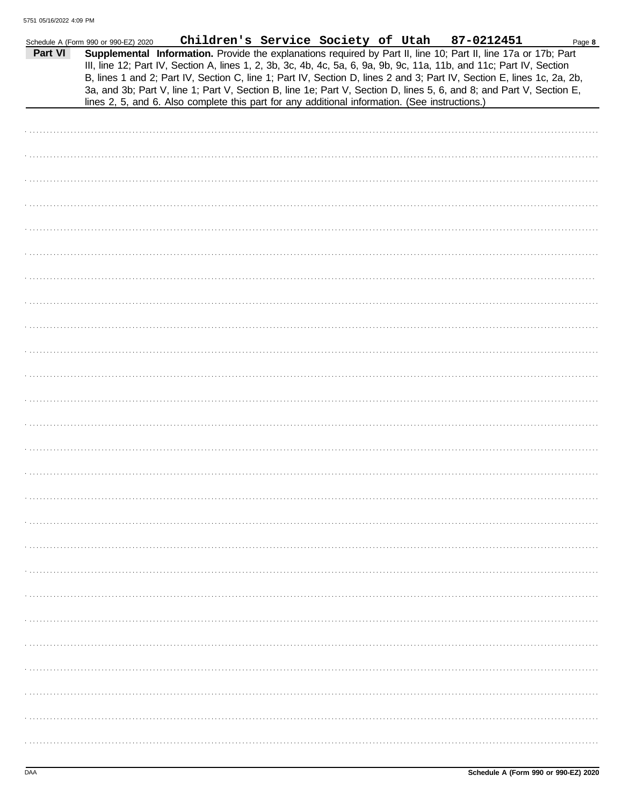| Part VI<br>Supplemental Information. Provide the explanations required by Part II, line 10; Part II, line 17a or 17b; Part<br>III, line 12; Part IV, Section A, lines 1, 2, 3b, 3c, 4b, 4c, 5a, 6, 9a, 9b, 9c, 11a, 11b, and 11c; Part IV, Section<br>B, lines 1 and 2; Part IV, Section C, line 1; Part IV, Section D, lines 2 and 3; Part IV, Section E, lines 1c, 2a, 2b,<br>3a, and 3b; Part V, line 1; Part V, Section B, line 1e; Part V, Section D, lines 5, 6, and 8; and Part V, Section E,<br>lines 2, 5, and 6. Also complete this part for any additional information. (See instructions.) | Schedule A (Form 990 or 990-EZ) 2020 |  |  | Children's Service Society of Utah | 87-0212451 | Page 8 |
|--------------------------------------------------------------------------------------------------------------------------------------------------------------------------------------------------------------------------------------------------------------------------------------------------------------------------------------------------------------------------------------------------------------------------------------------------------------------------------------------------------------------------------------------------------------------------------------------------------|--------------------------------------|--|--|------------------------------------|------------|--------|
|                                                                                                                                                                                                                                                                                                                                                                                                                                                                                                                                                                                                        |                                      |  |  |                                    |            |        |
|                                                                                                                                                                                                                                                                                                                                                                                                                                                                                                                                                                                                        |                                      |  |  |                                    |            |        |
|                                                                                                                                                                                                                                                                                                                                                                                                                                                                                                                                                                                                        |                                      |  |  |                                    |            |        |
|                                                                                                                                                                                                                                                                                                                                                                                                                                                                                                                                                                                                        |                                      |  |  |                                    |            |        |
|                                                                                                                                                                                                                                                                                                                                                                                                                                                                                                                                                                                                        |                                      |  |  |                                    |            |        |
|                                                                                                                                                                                                                                                                                                                                                                                                                                                                                                                                                                                                        |                                      |  |  |                                    |            |        |
|                                                                                                                                                                                                                                                                                                                                                                                                                                                                                                                                                                                                        |                                      |  |  |                                    |            |        |
|                                                                                                                                                                                                                                                                                                                                                                                                                                                                                                                                                                                                        |                                      |  |  |                                    |            |        |
|                                                                                                                                                                                                                                                                                                                                                                                                                                                                                                                                                                                                        |                                      |  |  |                                    |            |        |
|                                                                                                                                                                                                                                                                                                                                                                                                                                                                                                                                                                                                        |                                      |  |  |                                    |            |        |
|                                                                                                                                                                                                                                                                                                                                                                                                                                                                                                                                                                                                        |                                      |  |  |                                    |            |        |
|                                                                                                                                                                                                                                                                                                                                                                                                                                                                                                                                                                                                        |                                      |  |  |                                    |            |        |
|                                                                                                                                                                                                                                                                                                                                                                                                                                                                                                                                                                                                        |                                      |  |  |                                    |            |        |
|                                                                                                                                                                                                                                                                                                                                                                                                                                                                                                                                                                                                        |                                      |  |  |                                    |            |        |
|                                                                                                                                                                                                                                                                                                                                                                                                                                                                                                                                                                                                        |                                      |  |  |                                    |            |        |
|                                                                                                                                                                                                                                                                                                                                                                                                                                                                                                                                                                                                        |                                      |  |  |                                    |            |        |
|                                                                                                                                                                                                                                                                                                                                                                                                                                                                                                                                                                                                        |                                      |  |  |                                    |            |        |
|                                                                                                                                                                                                                                                                                                                                                                                                                                                                                                                                                                                                        |                                      |  |  |                                    |            |        |
|                                                                                                                                                                                                                                                                                                                                                                                                                                                                                                                                                                                                        |                                      |  |  |                                    |            |        |
|                                                                                                                                                                                                                                                                                                                                                                                                                                                                                                                                                                                                        |                                      |  |  |                                    |            |        |
|                                                                                                                                                                                                                                                                                                                                                                                                                                                                                                                                                                                                        |                                      |  |  |                                    |            |        |
|                                                                                                                                                                                                                                                                                                                                                                                                                                                                                                                                                                                                        |                                      |  |  |                                    |            |        |
|                                                                                                                                                                                                                                                                                                                                                                                                                                                                                                                                                                                                        |                                      |  |  |                                    |            |        |
|                                                                                                                                                                                                                                                                                                                                                                                                                                                                                                                                                                                                        |                                      |  |  |                                    |            |        |
|                                                                                                                                                                                                                                                                                                                                                                                                                                                                                                                                                                                                        |                                      |  |  |                                    |            |        |
|                                                                                                                                                                                                                                                                                                                                                                                                                                                                                                                                                                                                        |                                      |  |  |                                    |            |        |
|                                                                                                                                                                                                                                                                                                                                                                                                                                                                                                                                                                                                        |                                      |  |  |                                    |            |        |
|                                                                                                                                                                                                                                                                                                                                                                                                                                                                                                                                                                                                        |                                      |  |  |                                    |            |        |
|                                                                                                                                                                                                                                                                                                                                                                                                                                                                                                                                                                                                        |                                      |  |  |                                    |            |        |
|                                                                                                                                                                                                                                                                                                                                                                                                                                                                                                                                                                                                        |                                      |  |  |                                    |            |        |
|                                                                                                                                                                                                                                                                                                                                                                                                                                                                                                                                                                                                        |                                      |  |  |                                    |            |        |
|                                                                                                                                                                                                                                                                                                                                                                                                                                                                                                                                                                                                        |                                      |  |  |                                    |            |        |
|                                                                                                                                                                                                                                                                                                                                                                                                                                                                                                                                                                                                        |                                      |  |  |                                    |            |        |
|                                                                                                                                                                                                                                                                                                                                                                                                                                                                                                                                                                                                        |                                      |  |  |                                    |            |        |
| .                                                                                                                                                                                                                                                                                                                                                                                                                                                                                                                                                                                                      |                                      |  |  |                                    |            |        |
|                                                                                                                                                                                                                                                                                                                                                                                                                                                                                                                                                                                                        |                                      |  |  |                                    |            |        |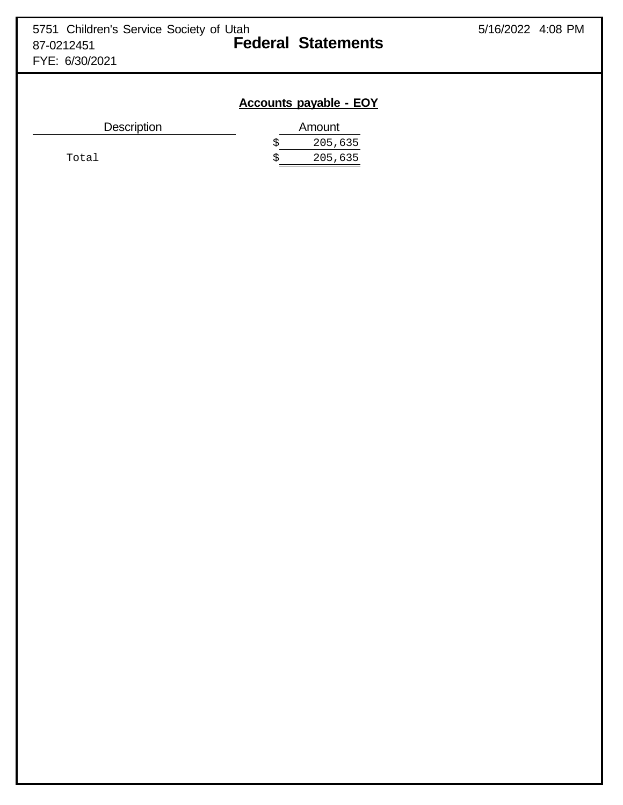## **Accounts payable - EOY**

| <b>Description</b> | Amount  |
|--------------------|---------|
|                    | 205,635 |
| Total              | 205,635 |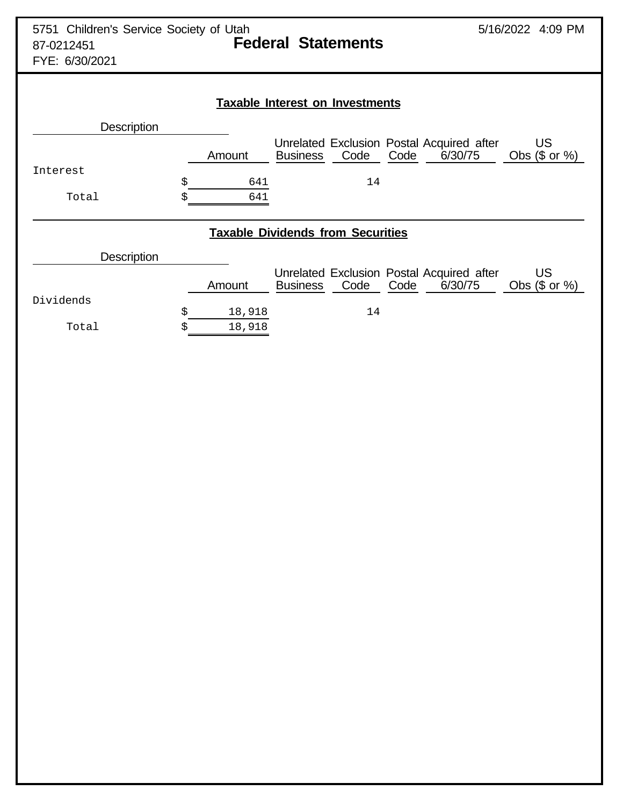| 5751 Children's Service Society of Utah<br>87-0212451<br>FYE: 6/30/2021 |                                          | <b>Federal Statements</b>              |      |      |                                                      | 5/16/2022 4:09 PM            |
|-------------------------------------------------------------------------|------------------------------------------|----------------------------------------|------|------|------------------------------------------------------|------------------------------|
|                                                                         |                                          | <b>Taxable Interest on Investments</b> |      |      |                                                      |                              |
| <b>Description</b>                                                      |                                          |                                        |      |      |                                                      |                              |
|                                                                         | Amount                                   | <b>Business</b>                        | Code | Code | Unrelated Exclusion Postal Acquired after<br>6/30/75 | US.<br>Obs $($or %)$         |
| Interest                                                                |                                          |                                        |      |      |                                                      |                              |
|                                                                         | \$<br>641                                |                                        | 14   |      |                                                      |                              |
| Total                                                                   | \$<br>641                                |                                        |      |      |                                                      |                              |
|                                                                         | <b>Taxable Dividends from Securities</b> |                                        |      |      |                                                      |                              |
| <b>Description</b>                                                      |                                          |                                        |      |      |                                                      |                              |
|                                                                         | Amount                                   | <b>Business</b>                        | Code | Code | Unrelated Exclusion Postal Acquired after<br>6/30/75 | <b>US</b><br>Obs $($ or  %)$ |
| Dividends                                                               | \$<br>18,918                             |                                        | 14   |      |                                                      |                              |
| Total                                                                   | \$<br>18,918                             |                                        |      |      |                                                      |                              |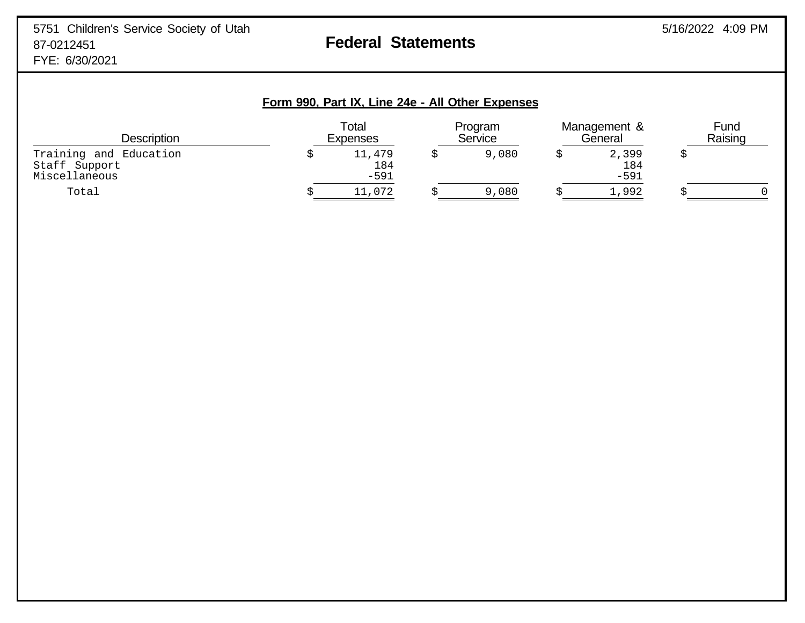## 5751 Children's Service Society of Utah  $\qquad \qquad \qquad \qquad \qquad \qquad \qquad \qquad \qquad \qquad \qquad \qquad$  5/16/2022 4:09 PM 87-0212451 **Federal Statements** FYE: 6/30/2021

|                                                          | Form 990, Part IX, Line 24e - All Other Expenses |                    |                         |                 |
|----------------------------------------------------------|--------------------------------------------------|--------------------|-------------------------|-----------------|
| <b>Description</b>                                       | Total<br><b>Expenses</b>                         | Program<br>Service | Management &<br>General | Fund<br>Raising |
| Training and Education<br>Staff Support<br>Miscellaneous | 11,479<br>184<br>$-591$                          | 9,080              | 2,399<br>184<br>$-591$  |                 |
| Total                                                    | 11,072                                           | 9,080              | 1,992                   |                 |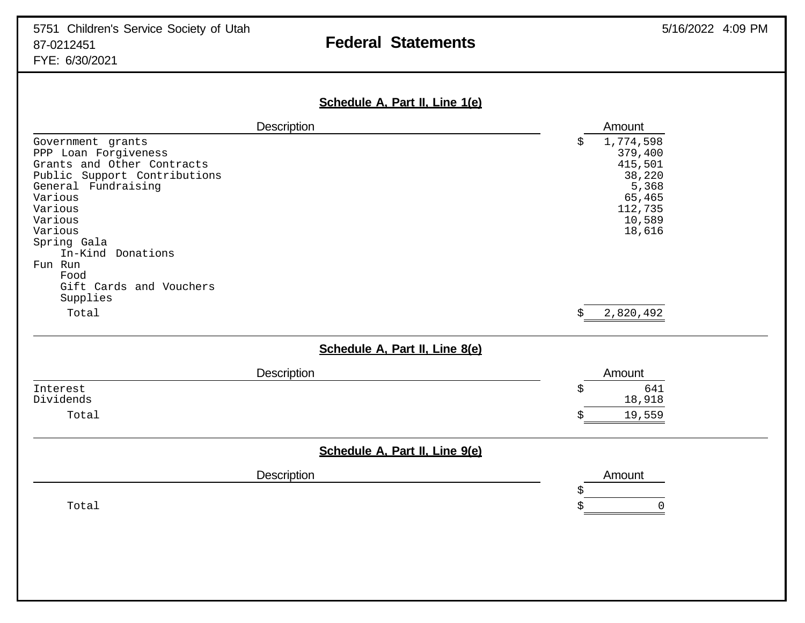## 5751 Children's Service Society of Utah 5/16/2022 4:09 PM 87-0212451 **Federal Statements** FYE: 6/30/2021

## **Schedule A, Part II, Line 1(e)**

| <b>Description</b>                                                                                                                                                                                                        | Amount                                                                                            |
|---------------------------------------------------------------------------------------------------------------------------------------------------------------------------------------------------------------------------|---------------------------------------------------------------------------------------------------|
| Government grants<br>PPP Loan Forgiveness<br>Grants and Other Contracts<br>Public Support Contributions<br>General Fundraising<br>Various<br>Various<br>Various<br>Various<br>Spring Gala<br>In-Kind Donations<br>Fun Run | 1,774,598<br>\$<br>379,400<br>415,501<br>38,220<br>5,368<br>65,465<br>112,735<br>10,589<br>18,616 |
| Food<br>Gift Cards and Vouchers<br>Supplies<br>Total                                                                                                                                                                      | 2,820,492<br>S                                                                                    |
|                                                                                                                                                                                                                           | Schedule A, Part II, Line 8(e)                                                                    |
| Description                                                                                                                                                                                                               | Amount                                                                                            |
| Interest<br>Dividends<br>Total                                                                                                                                                                                            | 641<br>Ś<br>18,918<br>19,559<br>S                                                                 |
| Schedule A, Part II, Line 9(e)                                                                                                                                                                                            |                                                                                                   |
| Description                                                                                                                                                                                                               | Amount                                                                                            |
| Total                                                                                                                                                                                                                     | \$<br>$\Omega$                                                                                    |